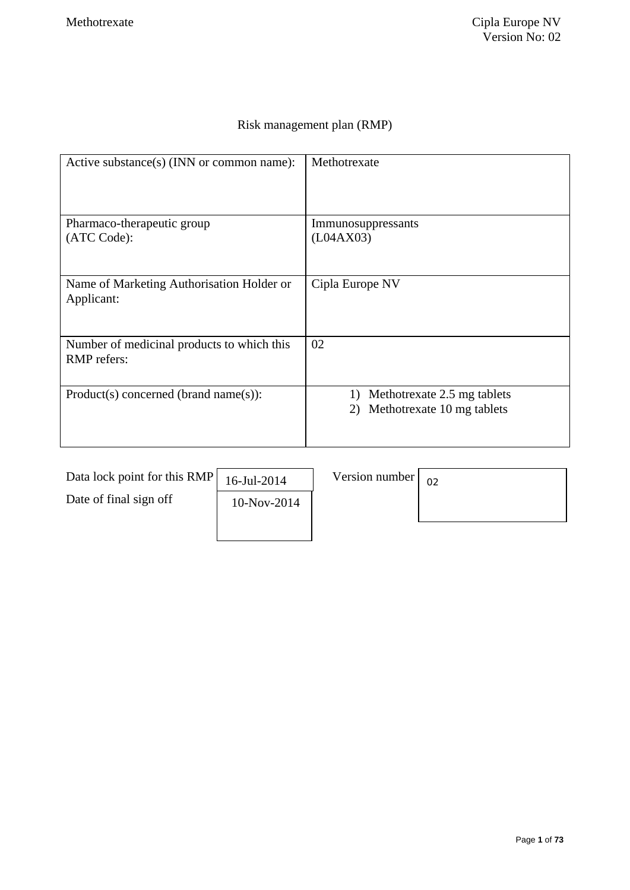## Risk management plan (RMP)

| Active substance(s) (INN or common name):                        | Methotrexate                                                          |
|------------------------------------------------------------------|-----------------------------------------------------------------------|
| Pharmaco-therapeutic group                                       | Immunosuppressants                                                    |
| (ATC Code):                                                      | (L04AX03)                                                             |
| Name of Marketing Authorisation Holder or<br>Applicant:          | Cipla Europe NV                                                       |
| Number of medicinal products to which this<br><b>RMP</b> refers: | 02                                                                    |
| $Product(s) concerned (brand name(s))$ :                         | Methotrexate 2.5 mg tablets<br>1)<br>Methotrexate 10 mg tablets<br>2) |

| Data lock point for this RMP | 16-Jul-2014 | Version number | 02 |
|------------------------------|-------------|----------------|----|
| Date of final sign off       | 10-Nov-2014 |                |    |
|                              |             |                |    |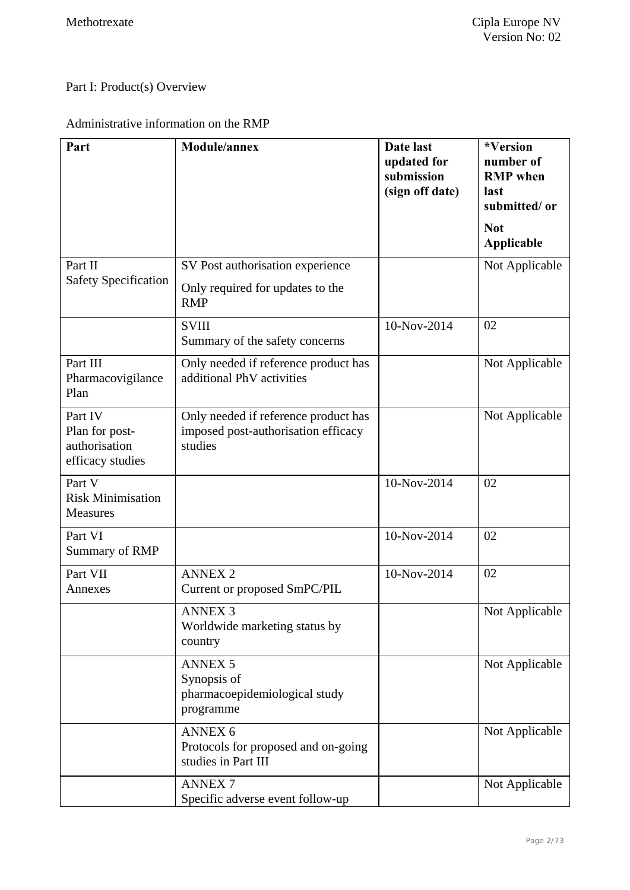## Part I: Product(s) Overview

## Administrative information on the RMP

| Part                                                           | <b>Module/annex</b>                                                                    | Date last<br>updated for<br>submission<br>(sign off date) | *Version<br>number of<br><b>RMP</b> when<br>last<br>submitted/or<br><b>Not</b><br>Applicable |
|----------------------------------------------------------------|----------------------------------------------------------------------------------------|-----------------------------------------------------------|----------------------------------------------------------------------------------------------|
| Part II<br><b>Safety Specification</b>                         | SV Post authorisation experience<br>Only required for updates to the<br><b>RMP</b>     |                                                           | Not Applicable                                                                               |
|                                                                | <b>SVIII</b><br>Summary of the safety concerns                                         | 10-Nov-2014                                               | 02                                                                                           |
| Part III<br>Pharmacovigilance<br>Plan                          | Only needed if reference product has<br>additional PhV activities                      |                                                           | Not Applicable                                                                               |
| Part IV<br>Plan for post-<br>authorisation<br>efficacy studies | Only needed if reference product has<br>imposed post-authorisation efficacy<br>studies |                                                           | Not Applicable                                                                               |
| Part V<br><b>Risk Minimisation</b><br>Measures                 |                                                                                        | 10-Nov-2014                                               | 02                                                                                           |
| Part VI<br>Summary of RMP                                      |                                                                                        | 10-Nov-2014                                               | 02                                                                                           |
| Part VII<br>Annexes                                            | <b>ANNEX 2</b><br>Current or proposed SmPC/PIL                                         | 10-Nov-2014                                               | 02                                                                                           |
|                                                                | <b>ANNEX 3</b><br>Worldwide marketing status by<br>country                             |                                                           | Not Applicable                                                                               |
|                                                                | <b>ANNEX 5</b><br>Synopsis of<br>pharmacoepidemiological study<br>programme            |                                                           | Not Applicable                                                                               |
|                                                                | <b>ANNEX 6</b><br>Protocols for proposed and on-going<br>studies in Part III           |                                                           | Not Applicable                                                                               |
|                                                                | <b>ANNEX7</b><br>Specific adverse event follow-up                                      |                                                           | Not Applicable                                                                               |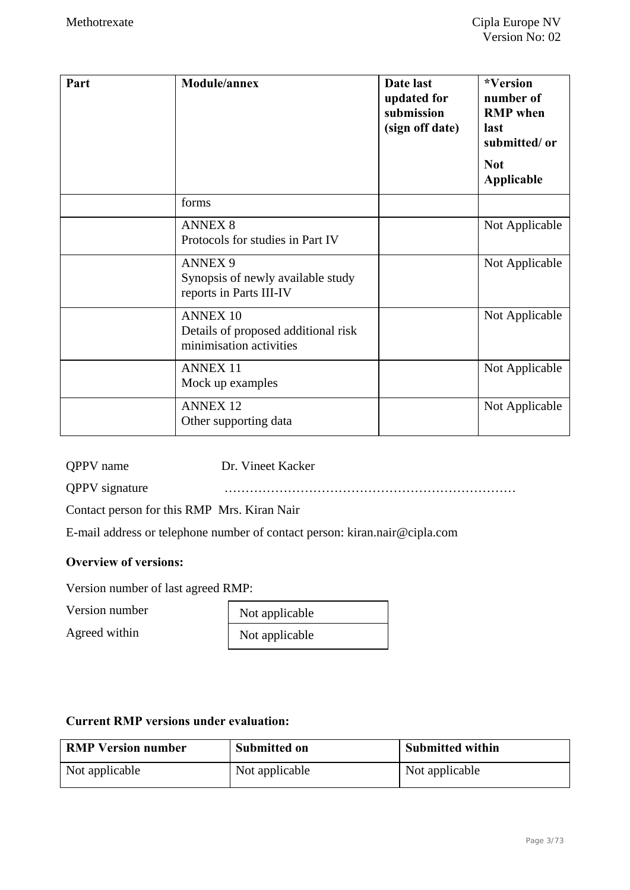| Part | <b>Module/annex</b>                                                               | Date last<br>updated for<br>submission<br>(sign off date) | *Version<br>number of<br><b>RMP</b> when<br>last<br>submitted/or<br><b>Not</b><br>Applicable |
|------|-----------------------------------------------------------------------------------|-----------------------------------------------------------|----------------------------------------------------------------------------------------------|
|      | forms                                                                             |                                                           |                                                                                              |
|      | <b>ANNEX 8</b><br>Protocols for studies in Part IV                                |                                                           | Not Applicable                                                                               |
|      | <b>ANNEX 9</b><br>Synopsis of newly available study<br>reports in Parts III-IV    |                                                           | Not Applicable                                                                               |
|      | <b>ANNEX 10</b><br>Details of proposed additional risk<br>minimisation activities |                                                           | Not Applicable                                                                               |
|      | <b>ANNEX 11</b><br>Mock up examples                                               |                                                           | Not Applicable                                                                               |
|      | <b>ANNEX 12</b><br>Other supporting data                                          |                                                           | Not Applicable                                                                               |

QPPV name Dr. Vineet Kacker

QPPV signature ……………………………………………………………

Contact person for this RMP Mrs. Kiran Nair

E-mail address or telephone number of contact person: kiran.nair@cipla.com

### **Overview of versions:**

Version number of last agreed RMP:

Version number

Agreed within

| Not applicable |  |
|----------------|--|
| Not applicable |  |

### **Current RMP versions under evaluation:**

| <b>RMP Version number</b> | <b>Submitted on</b> | <b>Submitted within</b> |
|---------------------------|---------------------|-------------------------|
| Not applicable            | Not applicable      | Not applicable          |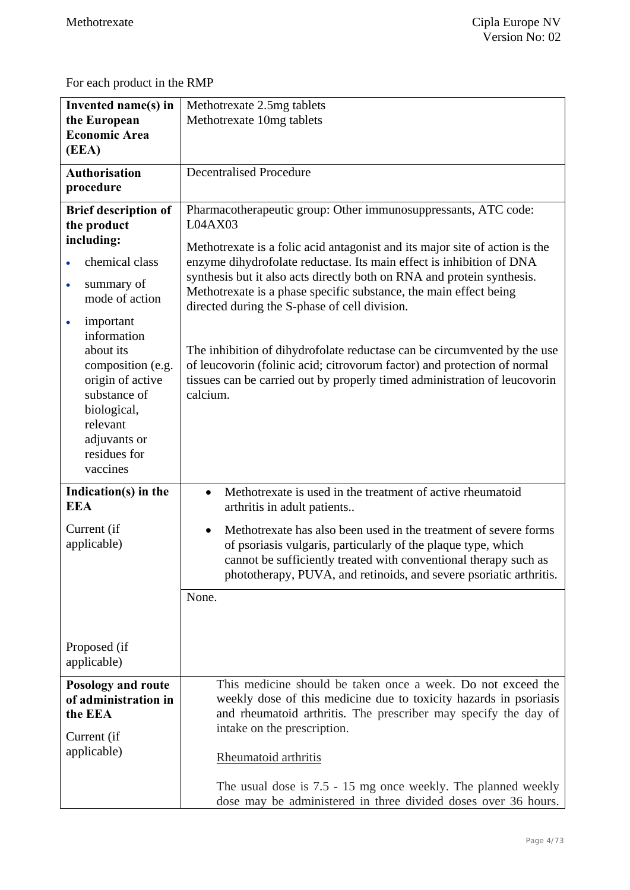For each product in the RMP

| Invented name(s) in<br>the European<br><b>Economic Area</b><br>(EEA)                                                                                                                                                                                                                                          | Methotrexate 2.5mg tablets<br>Methotrexate 10mg tablets                                                                                                                                                                                                                                                                                                                                                                                                                                                                                                                                                                                                                           |
|---------------------------------------------------------------------------------------------------------------------------------------------------------------------------------------------------------------------------------------------------------------------------------------------------------------|-----------------------------------------------------------------------------------------------------------------------------------------------------------------------------------------------------------------------------------------------------------------------------------------------------------------------------------------------------------------------------------------------------------------------------------------------------------------------------------------------------------------------------------------------------------------------------------------------------------------------------------------------------------------------------------|
| <b>Authorisation</b><br>procedure                                                                                                                                                                                                                                                                             | <b>Decentralised Procedure</b>                                                                                                                                                                                                                                                                                                                                                                                                                                                                                                                                                                                                                                                    |
| <b>Brief description of</b><br>the product<br>including:<br>chemical class<br>summary of<br>$\bullet$<br>mode of action<br>important<br>$\bullet$<br>information<br>about its<br>composition (e.g.<br>origin of active<br>substance of<br>biological,<br>relevant<br>adjuvants or<br>residues for<br>vaccines | Pharmacotherapeutic group: Other immunosuppressants, ATC code:<br>L04AX03<br>Methotrexate is a folic acid antagonist and its major site of action is the<br>enzyme dihydrofolate reductase. Its main effect is inhibition of DNA<br>synthesis but it also acts directly both on RNA and protein synthesis.<br>Methotrexate is a phase specific substance, the main effect being<br>directed during the S-phase of cell division.<br>The inhibition of dihydrofolate reductase can be circumvented by the use<br>of leucovorin (folinic acid; citrovorum factor) and protection of normal<br>tissues can be carried out by properly timed administration of leucovorin<br>calcium. |
| Indication(s) in the<br><b>EEA</b><br>Current (if<br>applicable)                                                                                                                                                                                                                                              | Methotrexate is used in the treatment of active rheumatoid<br>$\bullet$<br>arthritis in adult patients<br>Methotrexate has also been used in the treatment of severe forms<br>$\bullet$<br>of psoriasis vulgaris, particularly of the plaque type, which<br>cannot be sufficiently treated with conventional therapy such as<br>phototherapy, PUVA, and retinoids, and severe psoriatic arthritis.                                                                                                                                                                                                                                                                                |
| Proposed (if<br>applicable)                                                                                                                                                                                                                                                                                   | None.                                                                                                                                                                                                                                                                                                                                                                                                                                                                                                                                                                                                                                                                             |
| Posology and route<br>of administration in<br>the EEA<br>Current (if<br>applicable)                                                                                                                                                                                                                           | This medicine should be taken once a week. Do not exceed the<br>weekly dose of this medicine due to toxicity hazards in psoriasis<br>and rheumatoid arthritis. The prescriber may specify the day of<br>intake on the prescription.<br>Rheumatoid arthritis<br>The usual dose is 7.5 - 15 mg once weekly. The planned weekly<br>dose may be administered in three divided doses over 36 hours.                                                                                                                                                                                                                                                                                    |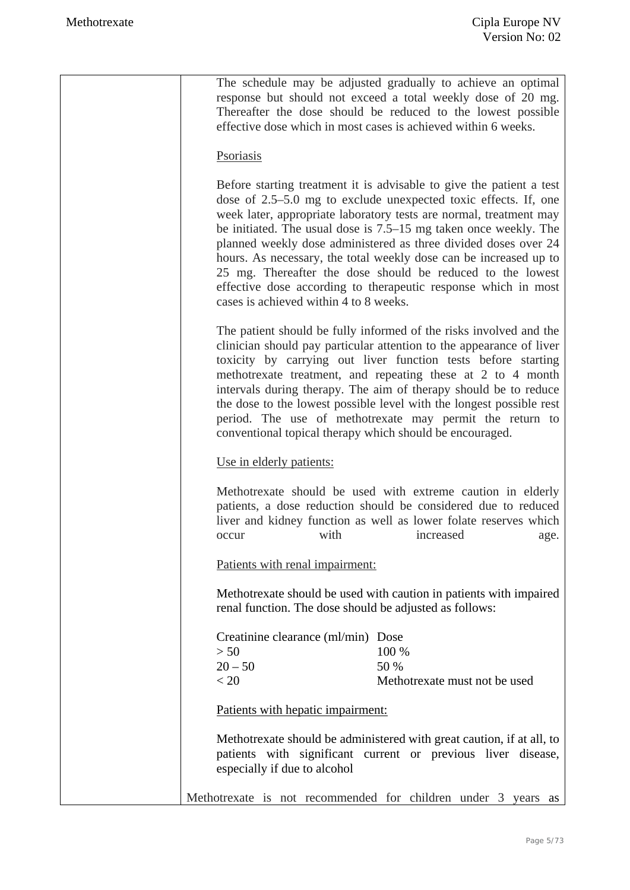| The schedule may be adjusted gradually to achieve an optimal<br>response but should not exceed a total weekly dose of 20 mg.<br>Thereafter the dose should be reduced to the lowest possible<br>effective dose which in most cases is achieved within 6 weeks.                                                                                                                                                                                                                                                                                                                                      |
|-----------------------------------------------------------------------------------------------------------------------------------------------------------------------------------------------------------------------------------------------------------------------------------------------------------------------------------------------------------------------------------------------------------------------------------------------------------------------------------------------------------------------------------------------------------------------------------------------------|
| Psoriasis                                                                                                                                                                                                                                                                                                                                                                                                                                                                                                                                                                                           |
| Before starting treatment it is advisable to give the patient a test<br>dose of 2.5–5.0 mg to exclude unexpected toxic effects. If, one<br>week later, appropriate laboratory tests are normal, treatment may<br>be initiated. The usual dose is 7.5–15 mg taken once weekly. The<br>planned weekly dose administered as three divided doses over 24<br>hours. As necessary, the total weekly dose can be increased up to<br>25 mg. Thereafter the dose should be reduced to the lowest<br>effective dose according to therapeutic response which in most<br>cases is achieved within 4 to 8 weeks. |
| The patient should be fully informed of the risks involved and the<br>clinician should pay particular attention to the appearance of liver<br>toxicity by carrying out liver function tests before starting<br>methotrexate treatment, and repeating these at 2 to 4 month<br>intervals during therapy. The aim of therapy should be to reduce<br>the dose to the lowest possible level with the longest possible rest<br>period. The use of methotrexate may permit the return to<br>conventional topical therapy which should be encouraged.                                                      |
| Use in elderly patients:                                                                                                                                                                                                                                                                                                                                                                                                                                                                                                                                                                            |
| Methotrexate should be used with extreme caution in elderly<br>patients, a dose reduction should be considered due to reduced<br>liver and kidney function as well as lower folate reserves which<br>with<br>increased<br>occur<br>age.                                                                                                                                                                                                                                                                                                                                                             |
| Patients with renal impairment:                                                                                                                                                                                                                                                                                                                                                                                                                                                                                                                                                                     |
| Methotrexate should be used with caution in patients with impaired<br>renal function. The dose should be adjusted as follows:                                                                                                                                                                                                                                                                                                                                                                                                                                                                       |
| Creatinine clearance (ml/min) Dose<br>> 50<br>100 %<br>$20 - 50$<br>50 %<br>< 20<br>Methotrexate must not be used                                                                                                                                                                                                                                                                                                                                                                                                                                                                                   |
| Patients with hepatic impairment:                                                                                                                                                                                                                                                                                                                                                                                                                                                                                                                                                                   |
| Methotrexate should be administered with great caution, if at all, to<br>patients with significant current or previous liver disease,<br>especially if due to alcohol                                                                                                                                                                                                                                                                                                                                                                                                                               |
| Methotrexate is not recommended for children under 3 years as                                                                                                                                                                                                                                                                                                                                                                                                                                                                                                                                       |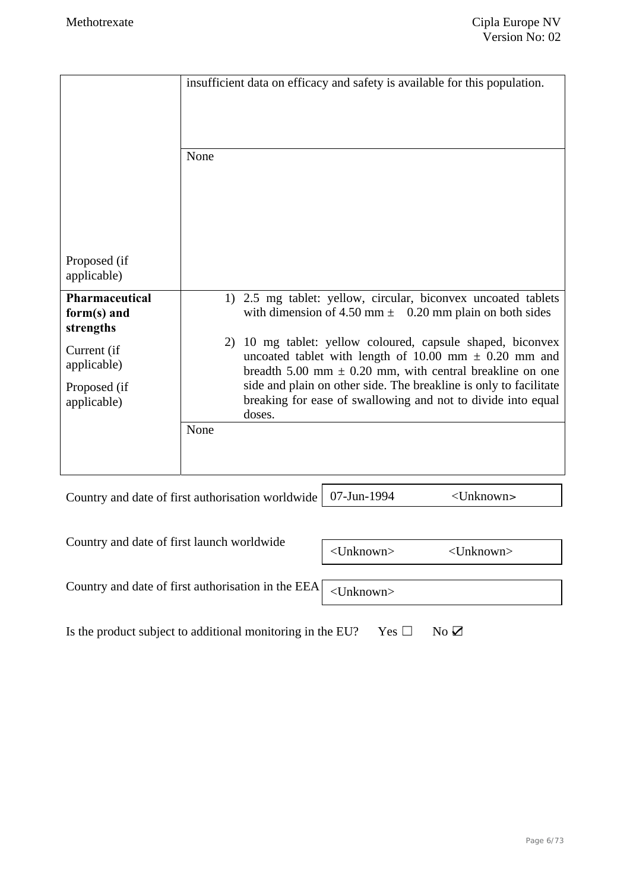|                                                   | insufficient data on efficacy and safety is available for this population.<br>None                                                                                                         |
|---------------------------------------------------|--------------------------------------------------------------------------------------------------------------------------------------------------------------------------------------------|
| Proposed (if<br>applicable)                       |                                                                                                                                                                                            |
| <b>Pharmaceutical</b><br>form(s) and<br>strengths | 1) 2.5 mg tablet: yellow, circular, biconvex uncoated tablets<br>with dimension of 4.50 mm $\pm$ 0.20 mm plain on both sides                                                               |
| Current (if<br>applicable)                        | 10 mg tablet: yellow coloured, capsule shaped, biconvex<br>2)<br>uncoated tablet with length of 10.00 mm $\pm$ 0.20 mm and<br>breadth 5.00 mm $\pm$ 0.20 mm, with central breakline on one |
| Proposed (if<br>applicable)                       | side and plain on other side. The breakline is only to facilitate<br>breaking for ease of swallowing and not to divide into equal<br>doses.                                                |
|                                                   | None                                                                                                                                                                                       |
|                                                   |                                                                                                                                                                                            |

Country and date of first authorisation worldwide 07-Jun-1994 <Unknown>

| Country and date of first launch worldwide                                     | <unknown></unknown> | $\langle$ Unknown $\rangle$ |
|--------------------------------------------------------------------------------|---------------------|-----------------------------|
|                                                                                |                     |                             |
| Country and date of first authorisation in the EEA $\vert$ <unknown></unknown> |                     |                             |
|                                                                                |                     |                             |

Is the product subject to additional monitoring in the EU? Yes  $\Box$  No  $\Box$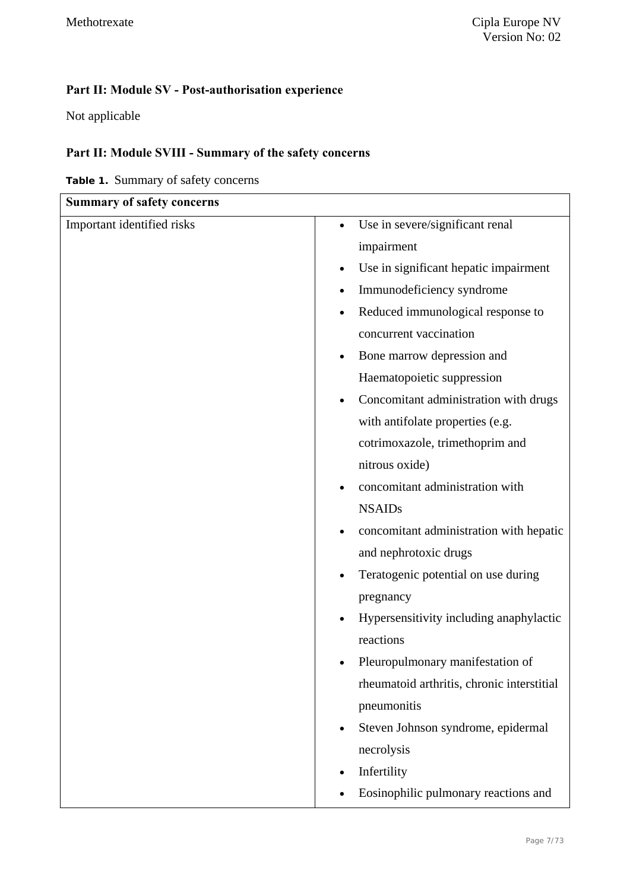# **Part II: Module SV - Post-authorisation experience**

Not applicable

## **Part II: Module SVIII - Summary of the safety concerns**

**Table 1.** Summary of safety concerns

| <b>Summary of safety concerns</b> |                                            |
|-----------------------------------|--------------------------------------------|
| Important identified risks        | Use in severe/significant renal            |
|                                   | impairment                                 |
|                                   | Use in significant hepatic impairment      |
|                                   | Immunodeficiency syndrome                  |
|                                   | Reduced immunological response to          |
|                                   | concurrent vaccination                     |
|                                   | Bone marrow depression and                 |
|                                   | Haematopoietic suppression                 |
|                                   | Concomitant administration with drugs      |
|                                   | with antifolate properties (e.g.           |
|                                   | cotrimoxazole, trimethoprim and            |
|                                   | nitrous oxide)                             |
|                                   | concomitant administration with            |
|                                   | <b>NSAIDs</b>                              |
|                                   | concomitant administration with hepatic    |
|                                   | and nephrotoxic drugs                      |
|                                   | Teratogenic potential on use during        |
|                                   | pregnancy                                  |
|                                   | Hypersensitivity including anaphylactic    |
|                                   | reactions                                  |
|                                   | Pleuropulmonary manifestation of           |
|                                   | rheumatoid arthritis, chronic interstitial |
|                                   | pneumonitis                                |
|                                   | Steven Johnson syndrome, epidermal         |
|                                   | necrolysis                                 |
|                                   | Infertility                                |
|                                   | Eosinophilic pulmonary reactions and       |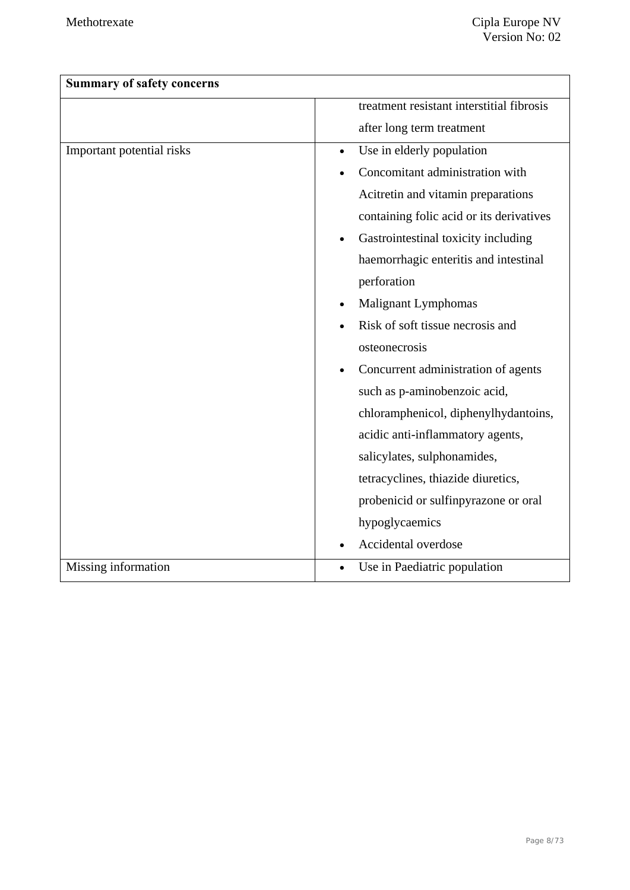| <b>Summary of safety concerns</b> |                                           |
|-----------------------------------|-------------------------------------------|
|                                   | treatment resistant interstitial fibrosis |
|                                   | after long term treatment                 |
| Important potential risks         | Use in elderly population<br>$\bullet$    |
|                                   | Concomitant administration with           |
|                                   | Acitretin and vitamin preparations        |
|                                   | containing folic acid or its derivatives  |
|                                   | Gastrointestinal toxicity including       |
|                                   | haemorrhagic enteritis and intestinal     |
|                                   | perforation                               |
|                                   | <b>Malignant Lymphomas</b>                |
|                                   | Risk of soft tissue necrosis and          |
|                                   | osteonecrosis                             |
|                                   | Concurrent administration of agents       |
|                                   | such as p-aminobenzoic acid,              |
|                                   | chloramphenicol, diphenylhydantoins,      |
|                                   | acidic anti-inflammatory agents,          |
|                                   | salicylates, sulphonamides,               |
|                                   | tetracyclines, thiazide diuretics,        |
|                                   | probenicid or sulfinpyrazone or oral      |
|                                   | hypoglycaemics                            |
|                                   | Accidental overdose                       |
| Missing information               | Use in Paediatric population<br>$\bullet$ |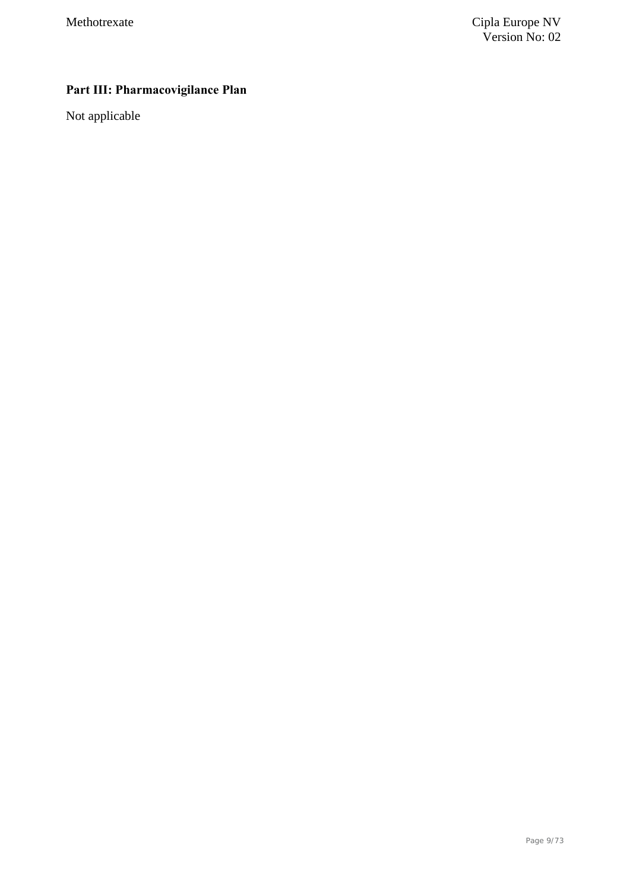# **Part III: Pharmacovigilance Plan**

Not applicable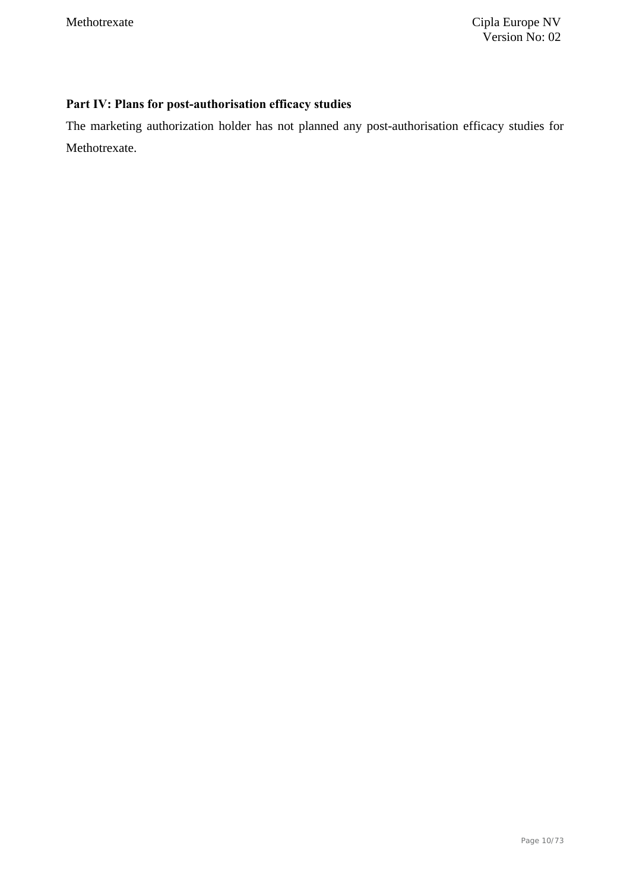## **Part IV: Plans for post-authorisation efficacy studies**

The marketing authorization holder has not planned any post-authorisation efficacy studies for Methotrexate.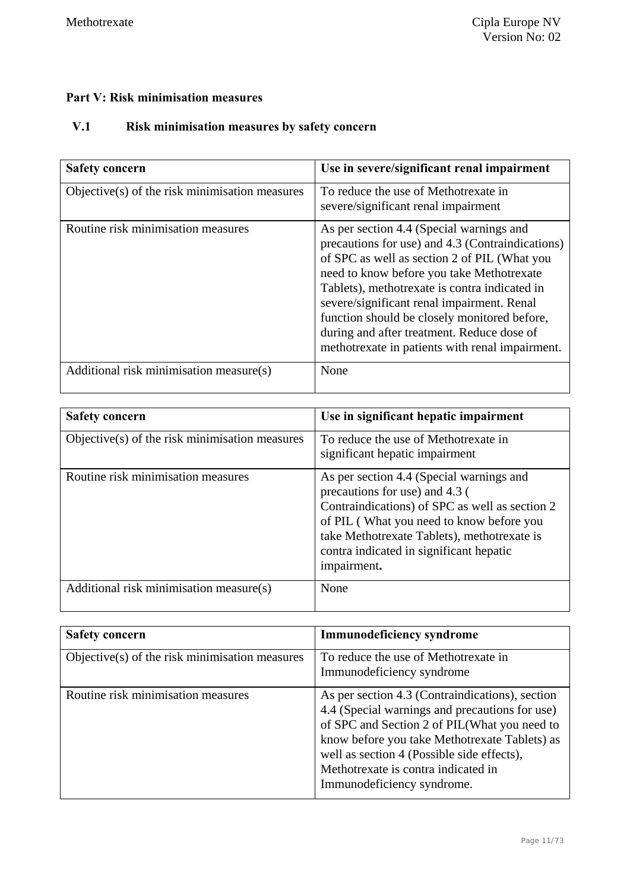### **Part V: Risk minimisation measures**

## **V.1 Risk minimisation measures by safety concern**

| <b>Safety concern</b>                          | Use in severe/significant renal impairment                                                                                                                                                                                                                                                                                                                                                                                                |
|------------------------------------------------|-------------------------------------------------------------------------------------------------------------------------------------------------------------------------------------------------------------------------------------------------------------------------------------------------------------------------------------------------------------------------------------------------------------------------------------------|
| Objective(s) of the risk minimisation measures | To reduce the use of Methotrexate in<br>severe/significant renal impairment                                                                                                                                                                                                                                                                                                                                                               |
| Routine risk minimisation measures             | As per section 4.4 (Special warnings and<br>precautions for use) and 4.3 (Contraindications)<br>of SPC as well as section 2 of PIL (What you<br>need to know before you take Methotrexate<br>Tablets), methotrexate is contra indicated in<br>severe/significant renal impairment. Renal<br>function should be closely monitored before,<br>during and after treatment. Reduce dose of<br>methotrexate in patients with renal impairment. |
| Additional risk minimisation measure(s)        | None                                                                                                                                                                                                                                                                                                                                                                                                                                      |

| <b>Safety concern</b>                          | Use in significant hepatic impairment                                                                                                                                                                                                                                             |
|------------------------------------------------|-----------------------------------------------------------------------------------------------------------------------------------------------------------------------------------------------------------------------------------------------------------------------------------|
| Objective(s) of the risk minimisation measures | To reduce the use of Methotrexate in<br>significant hepatic impairment                                                                                                                                                                                                            |
| Routine risk minimisation measures             | As per section 4.4 (Special warnings and<br>precautions for use) and 4.3 (<br>Contraindications) of SPC as well as section 2<br>of PIL (What you need to know before you<br>take Methotrexate Tablets), methotrexate is<br>contra indicated in significant hepatic<br>impairment. |
| Additional risk minimisation measure(s)        | None                                                                                                                                                                                                                                                                              |

| <b>Safety concern</b>                          | <b>Immunodeficiency syndrome</b>                                                                                                                                                                                                                                                                                      |
|------------------------------------------------|-----------------------------------------------------------------------------------------------------------------------------------------------------------------------------------------------------------------------------------------------------------------------------------------------------------------------|
| Objective(s) of the risk minimisation measures | To reduce the use of Methotrexate in<br>Immunodeficiency syndrome                                                                                                                                                                                                                                                     |
| Routine risk minimisation measures             | As per section 4.3 (Contraindications), section<br>4.4 (Special warnings and precautions for use)<br>of SPC and Section 2 of PIL(What you need to<br>know before you take Methotrexate Tablets) as<br>well as section 4 (Possible side effects),<br>Methotrexate is contra indicated in<br>Immunodeficiency syndrome. |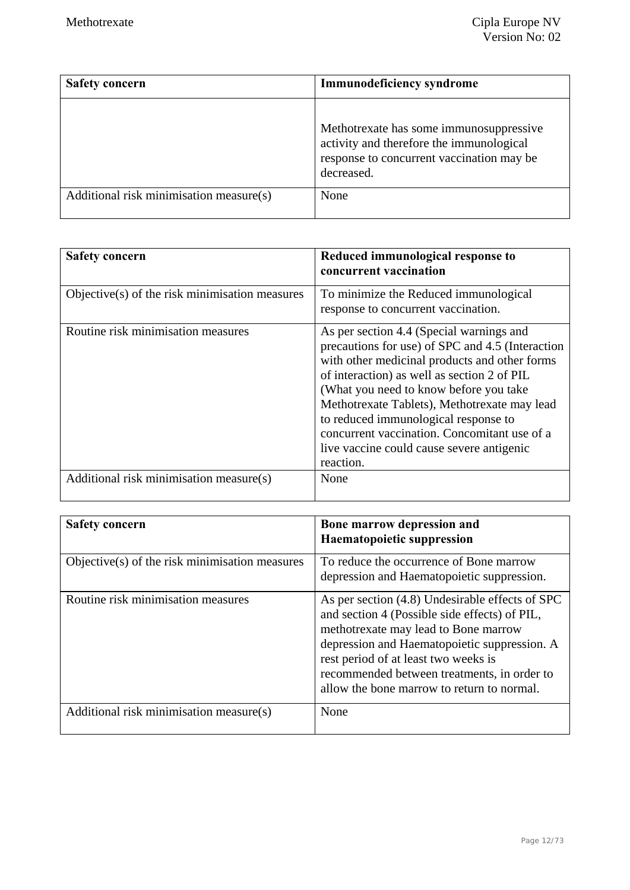| <b>Safety concern</b>                   | <b>Immunodeficiency syndrome</b>                                                                                                               |
|-----------------------------------------|------------------------------------------------------------------------------------------------------------------------------------------------|
|                                         | Methotrexate has some immunosuppressive<br>activity and therefore the immunological<br>response to concurrent vaccination may be<br>decreased. |
| Additional risk minimisation measure(s) | None                                                                                                                                           |

| <b>Safety concern</b>                          | Reduced immunological response to<br>concurrent vaccination                                                                                                                                                                                                                                                                                                                                                                               |
|------------------------------------------------|-------------------------------------------------------------------------------------------------------------------------------------------------------------------------------------------------------------------------------------------------------------------------------------------------------------------------------------------------------------------------------------------------------------------------------------------|
| Objective(s) of the risk minimisation measures | To minimize the Reduced immunological<br>response to concurrent vaccination.                                                                                                                                                                                                                                                                                                                                                              |
| Routine risk minimisation measures             | As per section 4.4 (Special warnings and<br>precautions for use) of SPC and 4.5 (Interaction<br>with other medicinal products and other forms<br>of interaction) as well as section 2 of PIL<br>(What you need to know before you take)<br>Methotrexate Tablets), Methotrexate may lead<br>to reduced immunological response to<br>concurrent vaccination. Concomitant use of a<br>live vaccine could cause severe antigenic<br>reaction. |
| Additional risk minimisation measure(s)        | None                                                                                                                                                                                                                                                                                                                                                                                                                                      |

| <b>Safety concern</b>                          | Bone marrow depression and<br><b>Haematopoietic suppression</b>                                                                                                                                                                                                                                                               |
|------------------------------------------------|-------------------------------------------------------------------------------------------------------------------------------------------------------------------------------------------------------------------------------------------------------------------------------------------------------------------------------|
| Objective(s) of the risk minimisation measures | To reduce the occurrence of Bone marrow<br>depression and Haematopoietic suppression.                                                                                                                                                                                                                                         |
| Routine risk minimisation measures             | As per section (4.8) Undesirable effects of SPC<br>and section 4 (Possible side effects) of PIL,<br>methotrexate may lead to Bone marrow<br>depression and Haematopoietic suppression. A<br>rest period of at least two weeks is<br>recommended between treatments, in order to<br>allow the bone marrow to return to normal. |
| Additional risk minimisation measure(s)        | None                                                                                                                                                                                                                                                                                                                          |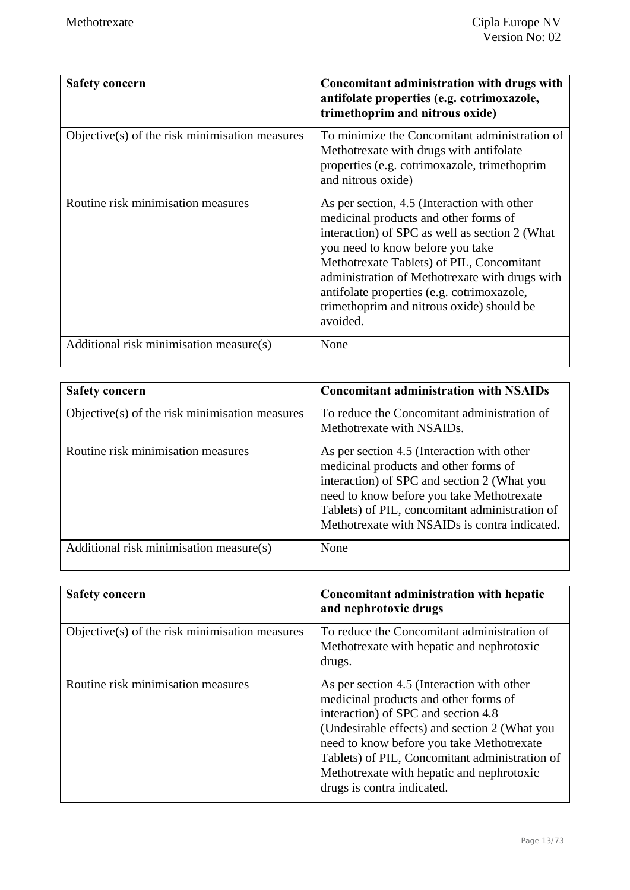| <b>Safety concern</b>                            | Concomitant administration with drugs with<br>antifolate properties (e.g. cotrimoxazole,<br>trimethoprim and nitrous oxide)                                                                                                                                                                                                                                                      |
|--------------------------------------------------|----------------------------------------------------------------------------------------------------------------------------------------------------------------------------------------------------------------------------------------------------------------------------------------------------------------------------------------------------------------------------------|
| $Objective(s)$ of the risk minimisation measures | To minimize the Concomitant administration of<br>Methotrexate with drugs with antifolate<br>properties (e.g. cotrimoxazole, trimethoprim<br>and nitrous oxide)                                                                                                                                                                                                                   |
| Routine risk minimisation measures               | As per section, 4.5 (Interaction with other<br>medicinal products and other forms of<br>interaction) of SPC as well as section 2 (What<br>you need to know before you take<br>Methotrexate Tablets) of PIL, Concomitant<br>administration of Methotrexate with drugs with<br>antifolate properties (e.g. cotrimoxazole,<br>trimethoprim and nitrous oxide) should be<br>avoided. |
| Additional risk minimisation measure(s)          | None                                                                                                                                                                                                                                                                                                                                                                             |

| <b>Safety concern</b>                             | <b>Concomitant administration with NSAIDs</b>                                                                                                                                                                                                                                      |
|---------------------------------------------------|------------------------------------------------------------------------------------------------------------------------------------------------------------------------------------------------------------------------------------------------------------------------------------|
| Objective $(s)$ of the risk minimisation measures | To reduce the Concomitant administration of<br>Methotrexate with NSAIDs.                                                                                                                                                                                                           |
| Routine risk minimisation measures                | As per section 4.5 (Interaction with other<br>medicinal products and other forms of<br>interaction) of SPC and section 2 (What you<br>need to know before you take Methotrexate<br>Tablets) of PIL, concomitant administration of<br>Methotrexate with NSAIDs is contra indicated. |
| Additional risk minimisation measure(s)           | None                                                                                                                                                                                                                                                                               |

| <b>Safety concern</b>                          | Concomitant administration with hepatic<br>and nephrotoxic drugs                                                                                                                                                                                                                                                                                      |
|------------------------------------------------|-------------------------------------------------------------------------------------------------------------------------------------------------------------------------------------------------------------------------------------------------------------------------------------------------------------------------------------------------------|
| Objective(s) of the risk minimisation measures | To reduce the Concomitant administration of<br>Methotrexate with hepatic and nephrotoxic<br>drugs.                                                                                                                                                                                                                                                    |
| Routine risk minimisation measures             | As per section 4.5 (Interaction with other<br>medicinal products and other forms of<br>interaction) of SPC and section 4.8<br>(Undesirable effects) and section 2 (What you<br>need to know before you take Methotrexate<br>Tablets) of PIL, Concomitant administration of<br>Methotrexate with hepatic and nephrotoxic<br>drugs is contra indicated. |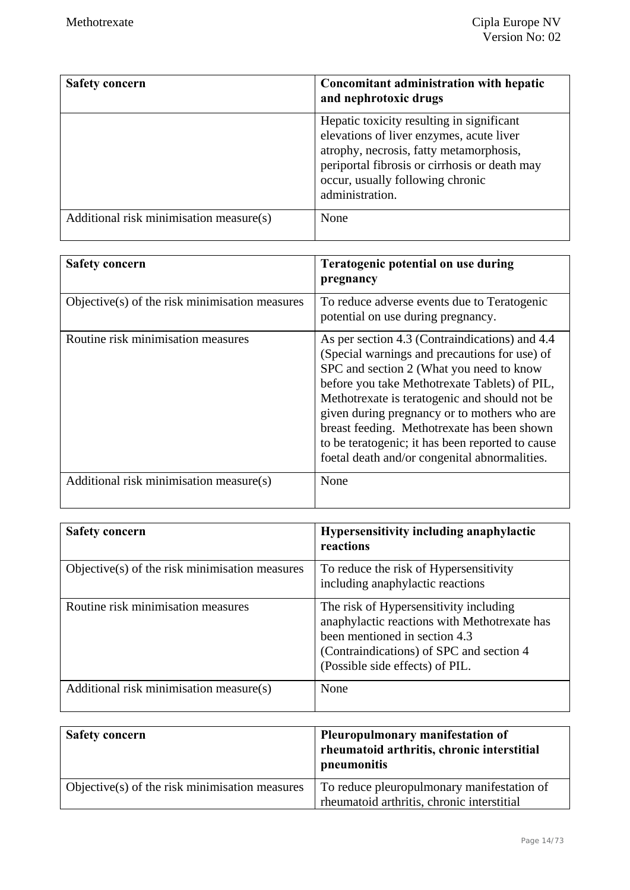| <b>Safety concern</b>                   | Concomitant administration with hepatic<br>and nephrotoxic drugs                                                                                                                                                                         |
|-----------------------------------------|------------------------------------------------------------------------------------------------------------------------------------------------------------------------------------------------------------------------------------------|
|                                         | Hepatic toxicity resulting in significant<br>elevations of liver enzymes, acute liver<br>atrophy, necrosis, fatty metamorphosis,<br>periportal fibrosis or cirrhosis or death may<br>occur, usually following chronic<br>administration. |
| Additional risk minimisation measure(s) | None                                                                                                                                                                                                                                     |

| <b>Safety concern</b>                          | Teratogenic potential on use during<br>pregnancy                                                                                                                                                                                                                                                                                                                                                                                                  |
|------------------------------------------------|---------------------------------------------------------------------------------------------------------------------------------------------------------------------------------------------------------------------------------------------------------------------------------------------------------------------------------------------------------------------------------------------------------------------------------------------------|
| Objective(s) of the risk minimisation measures | To reduce adverse events due to Teratogenic<br>potential on use during pregnancy.                                                                                                                                                                                                                                                                                                                                                                 |
| Routine risk minimisation measures             | As per section 4.3 (Contraindications) and 4.4<br>(Special warnings and precautions for use) of<br>SPC and section 2 (What you need to know<br>before you take Methotrexate Tablets) of PIL,<br>Methotrexate is teratogenic and should not be<br>given during pregnancy or to mothers who are<br>breast feeding. Methotrexate has been shown<br>to be teratogenic; it has been reported to cause<br>foetal death and/or congenital abnormalities. |
| Additional risk minimisation measure(s)        | None                                                                                                                                                                                                                                                                                                                                                                                                                                              |

| <b>Safety concern</b>                          | Hypersensitivity including anaphylactic<br>reactions                                                                                                                                                   |
|------------------------------------------------|--------------------------------------------------------------------------------------------------------------------------------------------------------------------------------------------------------|
| Objective(s) of the risk minimisation measures | To reduce the risk of Hypersensitivity<br>including anaphylactic reactions                                                                                                                             |
| Routine risk minimisation measures             | The risk of Hypersensitivity including<br>anaphylactic reactions with Methotrexate has<br>been mentioned in section 4.3<br>(Contraindications) of SPC and section 4<br>(Possible side effects) of PIL. |
| Additional risk minimisation measure(s)        | None                                                                                                                                                                                                   |

| <b>Safety concern</b>                          | Pleuropulmonary manifestation of<br>rheumatoid arthritis, chronic interstitial<br>pneumonitis |
|------------------------------------------------|-----------------------------------------------------------------------------------------------|
| Objective(s) of the risk minimisation measures | To reduce pleuropulmonary manifestation of<br>rheumatoid arthritis, chronic interstitial      |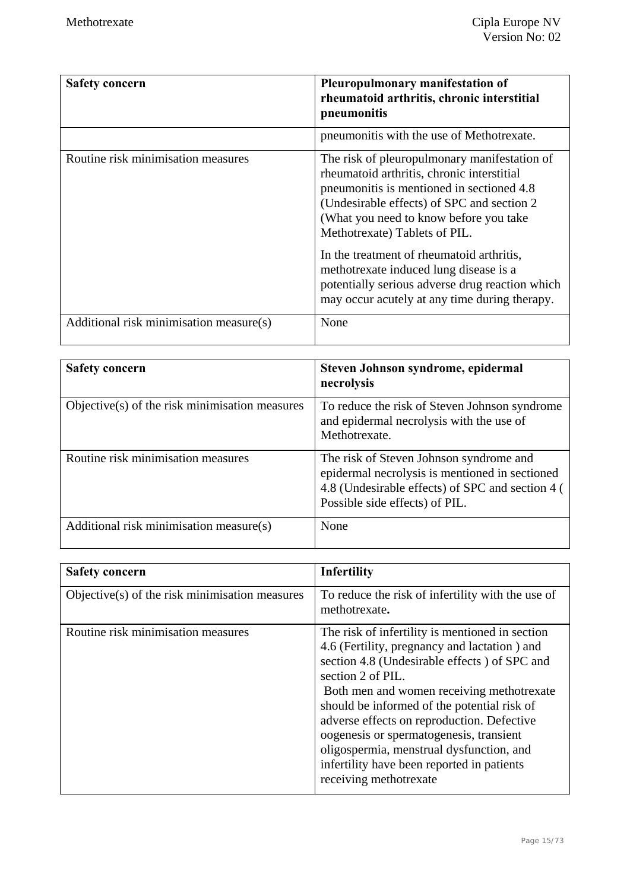| Safety concern                          | <b>Pleuropulmonary manifestation of</b><br>rheumatoid arthritis, chronic interstitial<br>pneumonitis                                                                                                                                                                                                                                                                                                                                                        |
|-----------------------------------------|-------------------------------------------------------------------------------------------------------------------------------------------------------------------------------------------------------------------------------------------------------------------------------------------------------------------------------------------------------------------------------------------------------------------------------------------------------------|
|                                         | pneumonitis with the use of Methotrexate.                                                                                                                                                                                                                                                                                                                                                                                                                   |
| Routine risk minimisation measures      | The risk of pleuropulmonary manifestation of<br>rheumatoid arthritis, chronic interstitial<br>pneumonitis is mentioned in sectioned 4.8<br>(Undesirable effects) of SPC and section 2<br>(What you need to know before you take<br>Methotrexate) Tablets of PIL.<br>In the treatment of rheumatoid arthritis,<br>methotrexate induced lung disease is a<br>potentially serious adverse drug reaction which<br>may occur acutely at any time during therapy. |
| Additional risk minimisation measure(s) | None                                                                                                                                                                                                                                                                                                                                                                                                                                                        |

| <b>Safety concern</b>                             | Steven Johnson syndrome, epidermal<br>necrolysis                                                                                                                                |
|---------------------------------------------------|---------------------------------------------------------------------------------------------------------------------------------------------------------------------------------|
| Objective $(s)$ of the risk minimisation measures | To reduce the risk of Steven Johnson syndrome<br>and epidermal necrolysis with the use of<br>Methotrexate.                                                                      |
| Routine risk minimisation measures                | The risk of Steven Johnson syndrome and<br>epidermal necrolysis is mentioned in sectioned<br>4.8 (Undesirable effects) of SPC and section 4 (<br>Possible side effects) of PIL. |
| Additional risk minimisation measure(s)           | None                                                                                                                                                                            |

| <b>Safety concern</b>                          | <b>Infertility</b>                                                                                                                                                                                                                                                                                                                                                                                                                                                            |
|------------------------------------------------|-------------------------------------------------------------------------------------------------------------------------------------------------------------------------------------------------------------------------------------------------------------------------------------------------------------------------------------------------------------------------------------------------------------------------------------------------------------------------------|
| Objective(s) of the risk minimisation measures | To reduce the risk of infertility with the use of<br>methotrexate.                                                                                                                                                                                                                                                                                                                                                                                                            |
| Routine risk minimisation measures             | The risk of infertility is mentioned in section<br>4.6 (Fertility, pregnancy and lactation) and<br>section 4.8 (Undesirable effects) of SPC and<br>section 2 of PIL.<br>Both men and women receiving methotrexate<br>should be informed of the potential risk of<br>adverse effects on reproduction. Defective<br>oogenesis or spermatogenesis, transient<br>oligospermia, menstrual dysfunction, and<br>infertility have been reported in patients<br>receiving methotrexate |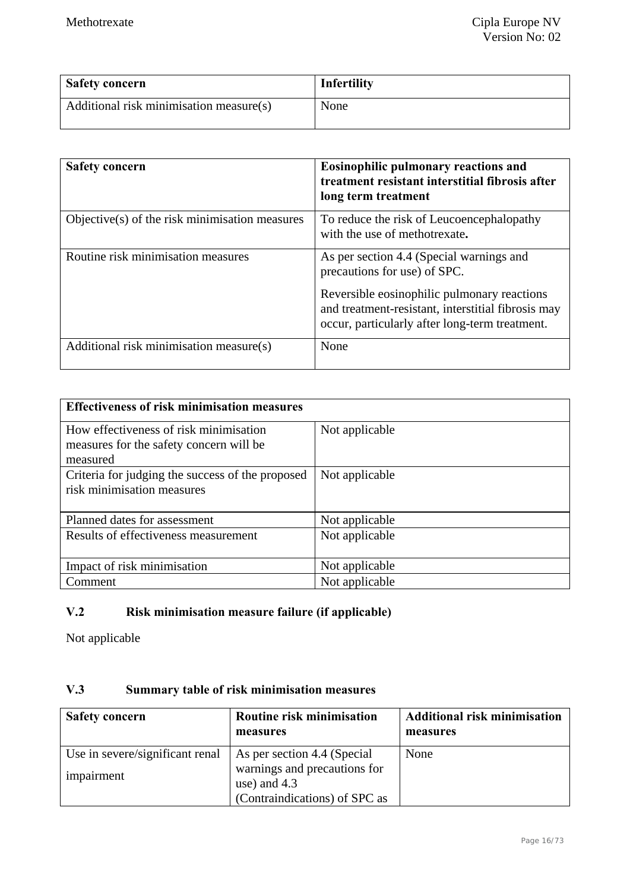| <b>Safety concern</b>                   | Infertility |
|-----------------------------------------|-------------|
| Additional risk minimisation measure(s) | None        |

| <b>Safety concern</b>                          | Eosinophilic pulmonary reactions and<br>treatment resistant interstitial fibrosis after<br>long term treatment                                      |
|------------------------------------------------|-----------------------------------------------------------------------------------------------------------------------------------------------------|
| Objective(s) of the risk minimisation measures | To reduce the risk of Leucoencephalopathy<br>with the use of methotrexate.                                                                          |
| Routine risk minimisation measures             | As per section 4.4 (Special warnings and<br>precautions for use) of SPC.                                                                            |
|                                                | Reversible eosinophilic pulmonary reactions<br>and treatment-resistant, interstitial fibrosis may<br>occur, particularly after long-term treatment. |
| Additional risk minimisation measure(s)        | None                                                                                                                                                |

| <b>Effectiveness of risk minimisation measures</b> |                |
|----------------------------------------------------|----------------|
| How effectiveness of risk minimisation             | Not applicable |
| measures for the safety concern will be            |                |
| measured                                           |                |
| Criteria for judging the success of the proposed   | Not applicable |
| risk minimisation measures                         |                |
|                                                    |                |
| Planned dates for assessment                       | Not applicable |
| Results of effectiveness measurement               | Not applicable |
|                                                    |                |
| Impact of risk minimisation                        | Not applicable |
| Comment                                            | Not applicable |

# **V.2 Risk minimisation measure failure (if applicable)**

Not applicable

## **V.3 Summary table of risk minimisation measures**

| <b>Safety concern</b>           | <b>Routine risk minimisation</b><br>measures                                    | <b>Additional risk minimisation</b><br>measures |
|---------------------------------|---------------------------------------------------------------------------------|-------------------------------------------------|
| Use in severe/significant renal | As per section 4.4 (Special                                                     | None                                            |
| impairment                      | warnings and precautions for<br>use) and $4.3$<br>(Contraindications) of SPC as |                                                 |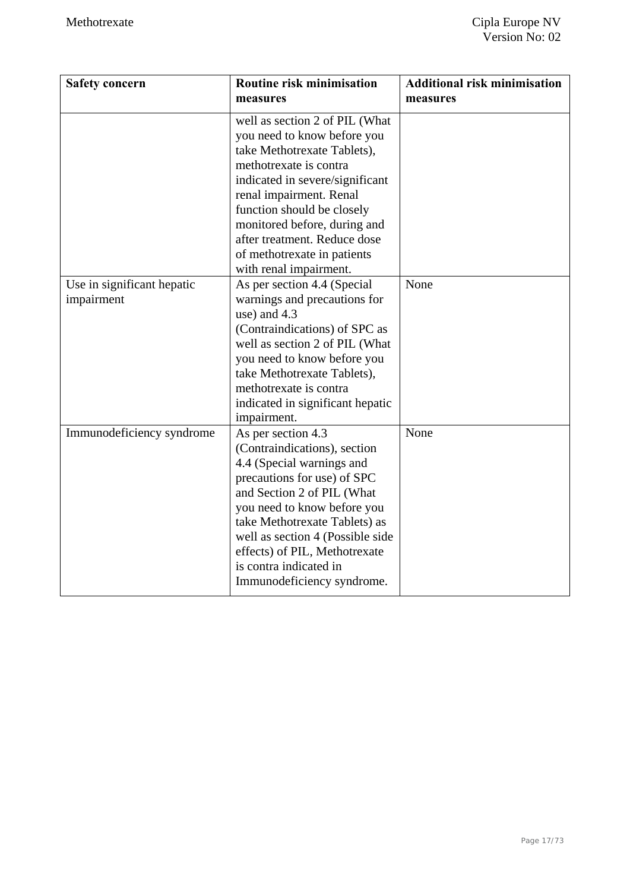| <b>Safety concern</b>                    | Routine risk minimisation<br>measures                                                                                                                                                                                                                                                                                                       | <b>Additional risk minimisation</b><br>measures |
|------------------------------------------|---------------------------------------------------------------------------------------------------------------------------------------------------------------------------------------------------------------------------------------------------------------------------------------------------------------------------------------------|-------------------------------------------------|
|                                          | well as section 2 of PIL (What<br>you need to know before you<br>take Methotrexate Tablets),<br>methotrexate is contra<br>indicated in severe/significant<br>renal impairment. Renal<br>function should be closely<br>monitored before, during and<br>after treatment. Reduce dose<br>of methotrexate in patients<br>with renal impairment. |                                                 |
| Use in significant hepatic<br>impairment | As per section 4.4 (Special<br>warnings and precautions for<br>use) and 4.3<br>(Contraindications) of SPC as<br>well as section 2 of PIL (What<br>you need to know before you<br>take Methotrexate Tablets),<br>methotrexate is contra<br>indicated in significant hepatic<br>impairment.                                                   | None                                            |
| Immunodeficiency syndrome                | As per section 4.3<br>(Contraindications), section<br>4.4 (Special warnings and<br>precautions for use) of SPC<br>and Section 2 of PIL (What<br>you need to know before you<br>take Methotrexate Tablets) as<br>well as section 4 (Possible side<br>effects) of PIL, Methotrexate<br>is contra indicated in<br>Immunodeficiency syndrome.   | None                                            |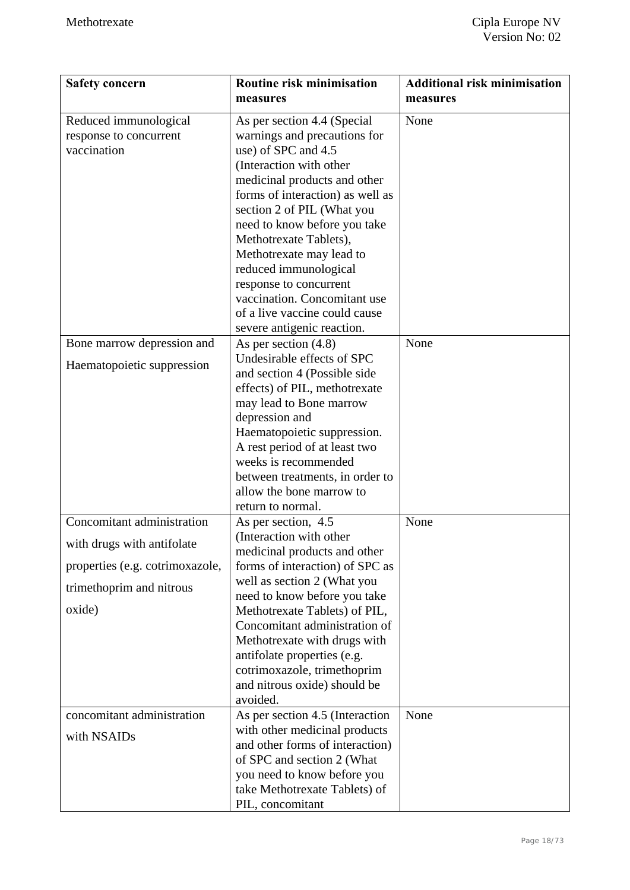| <b>Safety concern</b>                                                                                                             | Routine risk minimisation<br>measures                                                                                                                                                                                                                                                                                                                                                                                                                   | <b>Additional risk minimisation</b><br>measures |
|-----------------------------------------------------------------------------------------------------------------------------------|---------------------------------------------------------------------------------------------------------------------------------------------------------------------------------------------------------------------------------------------------------------------------------------------------------------------------------------------------------------------------------------------------------------------------------------------------------|-------------------------------------------------|
| Reduced immunological<br>response to concurrent<br>vaccination                                                                    | As per section 4.4 (Special<br>warnings and precautions for<br>use) of SPC and 4.5<br>(Interaction with other<br>medicinal products and other<br>forms of interaction) as well as<br>section 2 of PIL (What you<br>need to know before you take<br>Methotrexate Tablets),<br>Methotrexate may lead to<br>reduced immunological<br>response to concurrent<br>vaccination. Concomitant use<br>of a live vaccine could cause<br>severe antigenic reaction. | None                                            |
| Bone marrow depression and<br>Haematopoietic suppression                                                                          | As per section $(4.8)$<br>Undesirable effects of SPC<br>and section 4 (Possible side<br>effects) of PIL, methotrexate<br>may lead to Bone marrow<br>depression and<br>Haematopoietic suppression.<br>A rest period of at least two<br>weeks is recommended<br>between treatments, in order to<br>allow the bone marrow to<br>return to normal.                                                                                                          | None                                            |
| Concomitant administration<br>with drugs with antifolate<br>properties (e.g. cotrimoxazole,<br>trimethoprim and nitrous<br>oxide) | As per section, 4.5<br>(Interaction with other<br>medicinal products and other<br>forms of interaction) of SPC as<br>well as section 2 (What you<br>need to know before you take<br>Methotrexate Tablets) of PIL,<br>Concomitant administration of<br>Methotrexate with drugs with<br>antifolate properties (e.g.<br>cotrimoxazole, trimethoprim<br>and nitrous oxide) should be<br>avoided.                                                            | None                                            |
| concomitant administration<br>with NSAIDs                                                                                         | As per section 4.5 (Interaction<br>with other medicinal products<br>and other forms of interaction)<br>of SPC and section 2 (What<br>you need to know before you<br>take Methotrexate Tablets) of<br>PIL, concomitant                                                                                                                                                                                                                                   | None                                            |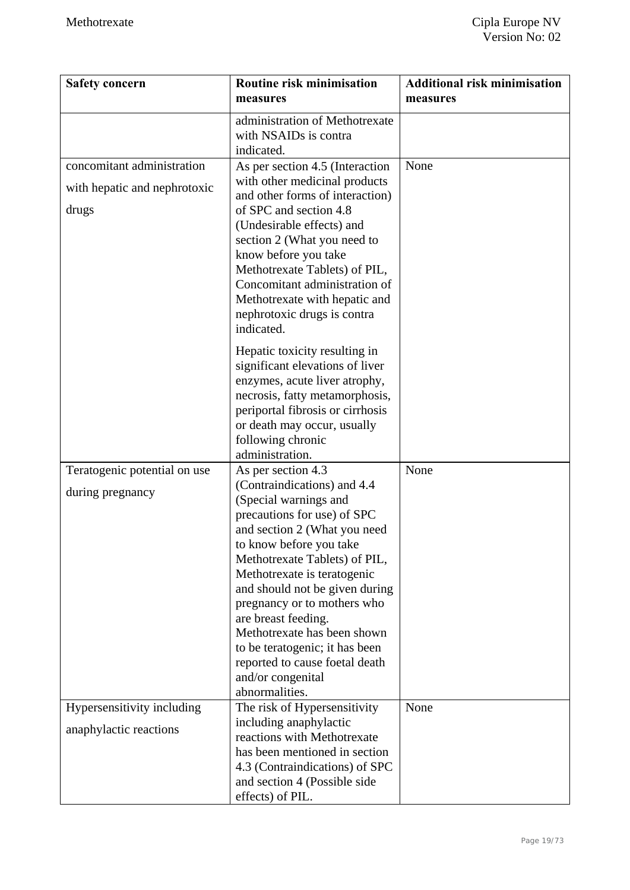| <b>Safety concern</b>                                               | Routine risk minimisation<br>measures                                                                                                                                                                                                                                                                                                                                                                                                                                  | <b>Additional risk minimisation</b><br>measures |
|---------------------------------------------------------------------|------------------------------------------------------------------------------------------------------------------------------------------------------------------------------------------------------------------------------------------------------------------------------------------------------------------------------------------------------------------------------------------------------------------------------------------------------------------------|-------------------------------------------------|
|                                                                     | administration of Methotrexate<br>with NSAIDs is contra<br>indicated.                                                                                                                                                                                                                                                                                                                                                                                                  |                                                 |
| concomitant administration<br>with hepatic and nephrotoxic<br>drugs | As per section 4.5 (Interaction<br>with other medicinal products<br>and other forms of interaction)<br>of SPC and section 4.8<br>(Undesirable effects) and<br>section 2 (What you need to<br>know before you take<br>Methotrexate Tablets) of PIL,<br>Concomitant administration of<br>Methotrexate with hepatic and<br>nephrotoxic drugs is contra<br>indicated.                                                                                                      | None                                            |
|                                                                     | Hepatic toxicity resulting in<br>significant elevations of liver<br>enzymes, acute liver atrophy,<br>necrosis, fatty metamorphosis,<br>periportal fibrosis or cirrhosis<br>or death may occur, usually<br>following chronic<br>administration.                                                                                                                                                                                                                         |                                                 |
| Teratogenic potential on use<br>during pregnancy                    | As per section 4.3<br>(Contraindications) and 4.4<br>(Special warnings and<br>precautions for use) of SPC<br>and section 2 (What you need<br>to know before you take<br>Methotrexate Tablets) of PIL,<br>Methotrexate is teratogenic<br>and should not be given during<br>pregnancy or to mothers who<br>are breast feeding.<br>Methotrexate has been shown<br>to be teratogenic; it has been<br>reported to cause foetal death<br>and/or congenital<br>abnormalities. | None                                            |
| Hypersensitivity including<br>anaphylactic reactions                | The risk of Hypersensitivity<br>including anaphylactic<br>reactions with Methotrexate<br>has been mentioned in section<br>4.3 (Contraindications) of SPC<br>and section 4 (Possible side<br>effects) of PIL.                                                                                                                                                                                                                                                           | None                                            |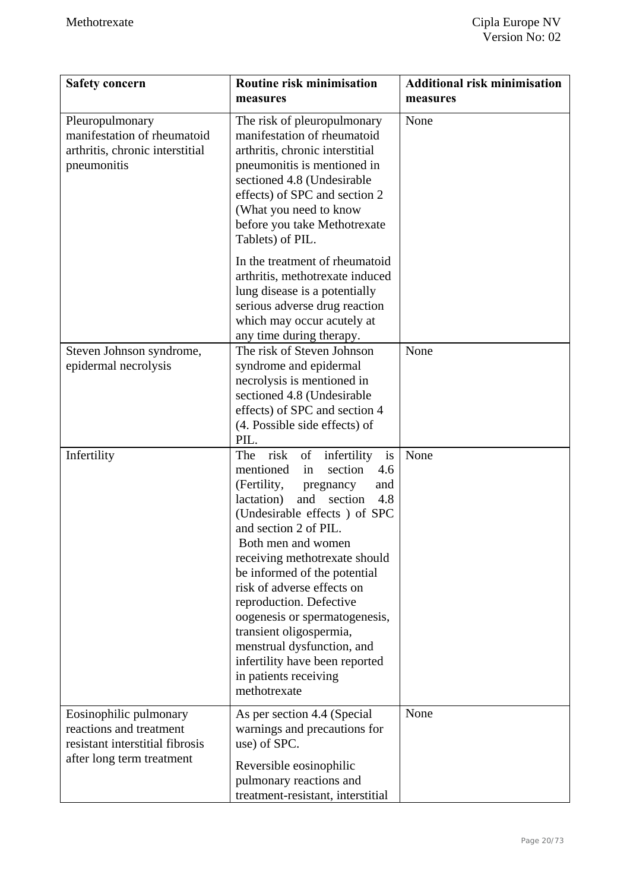| <b>Safety concern</b>                                                                                             | <b>Routine risk minimisation</b><br>measures                                                                                                                                                                                                                                                                                                                                                                                                                                                                                        | <b>Additional risk minimisation</b><br>measures |
|-------------------------------------------------------------------------------------------------------------------|-------------------------------------------------------------------------------------------------------------------------------------------------------------------------------------------------------------------------------------------------------------------------------------------------------------------------------------------------------------------------------------------------------------------------------------------------------------------------------------------------------------------------------------|-------------------------------------------------|
| Pleuropulmonary<br>manifestation of rheumatoid<br>arthritis, chronic interstitial<br>pneumonitis                  | The risk of pleuropulmonary<br>manifestation of rheumatoid<br>arthritis, chronic interstitial<br>pneumonitis is mentioned in<br>sectioned 4.8 (Undesirable<br>effects) of SPC and section 2<br>(What you need to know<br>before you take Methotrexate<br>Tablets) of PIL.                                                                                                                                                                                                                                                           | None                                            |
|                                                                                                                   | In the treatment of rheumatoid<br>arthritis, methotrexate induced<br>lung disease is a potentially<br>serious adverse drug reaction<br>which may occur acutely at<br>any time during therapy.                                                                                                                                                                                                                                                                                                                                       |                                                 |
| Steven Johnson syndrome,<br>epidermal necrolysis                                                                  | The risk of Steven Johnson<br>syndrome and epidermal<br>necrolysis is mentioned in<br>sectioned 4.8 (Undesirable<br>effects) of SPC and section 4<br>(4. Possible side effects) of<br>PIL.                                                                                                                                                                                                                                                                                                                                          | None                                            |
| Infertility                                                                                                       | risk<br>The<br>of<br>infertility<br>is<br>mentioned<br>section<br>4.6<br>in<br>(Fertility,<br>and<br>pregnancy<br>lactation)<br>and<br>section<br>4.8<br>(Undesirable effects) of SPC<br>and section 2 of PIL.<br>Both men and women<br>receiving methotrexate should<br>be informed of the potential<br>risk of adverse effects on<br>reproduction. Defective<br>oogenesis or spermatogenesis,<br>transient oligospermia,<br>menstrual dysfunction, and<br>infertility have been reported<br>in patients receiving<br>methotrexate | None                                            |
| Eosinophilic pulmonary<br>reactions and treatment<br>resistant interstitial fibrosis<br>after long term treatment | As per section 4.4 (Special<br>warnings and precautions for<br>use) of SPC.<br>Reversible eosinophilic<br>pulmonary reactions and<br>treatment-resistant, interstitial                                                                                                                                                                                                                                                                                                                                                              | None                                            |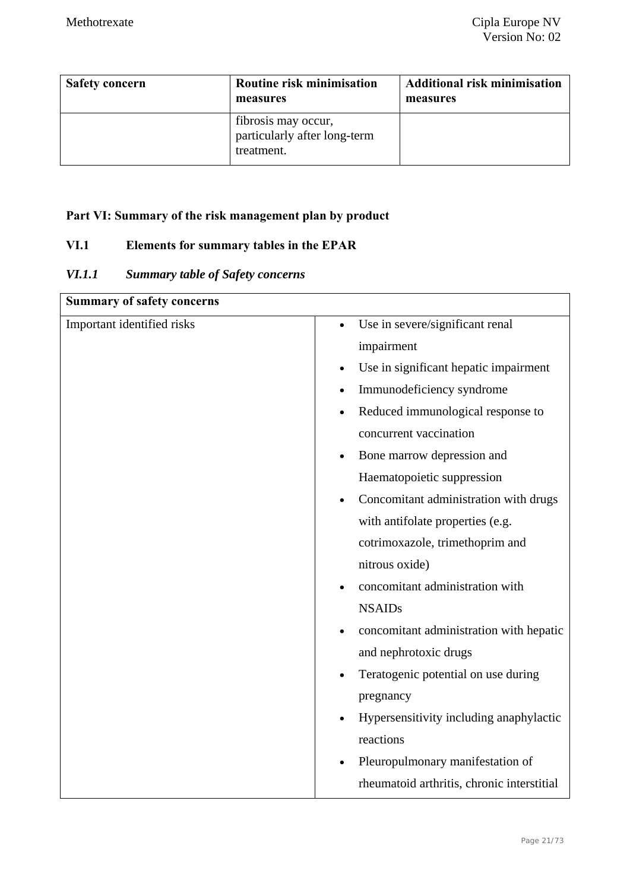| <b>Safety concern</b> | Routine risk minimisation<br>measures                             | <b>Additional risk minimisation</b><br>measures |
|-----------------------|-------------------------------------------------------------------|-------------------------------------------------|
|                       | fibrosis may occur,<br>particularly after long-term<br>treatment. |                                                 |

## **Part VI: Summary of the risk management plan by product**

## **VI.1 Elements for summary tables in the EPAR**

## *VI.1.1 Summary table of Safety concerns*

| <b>Summary of safety concerns</b> |                                                    |
|-----------------------------------|----------------------------------------------------|
| Important identified risks        | Use in severe/significant renal<br>$\bullet$       |
|                                   | impairment                                         |
|                                   | Use in significant hepatic impairment<br>$\bullet$ |
|                                   | Immunodeficiency syndrome                          |
|                                   | Reduced immunological response to<br>$\bullet$     |
|                                   | concurrent vaccination                             |
|                                   | Bone marrow depression and                         |
|                                   | Haematopoietic suppression                         |
|                                   | Concomitant administration with drugs              |
|                                   | with antifolate properties (e.g.                   |
|                                   | cotrimoxazole, trimethoprim and                    |
|                                   | nitrous oxide)                                     |
|                                   | concomitant administration with                    |
|                                   | <b>NSAIDs</b>                                      |
|                                   | concomitant administration with hepatic            |
|                                   | and nephrotoxic drugs                              |
|                                   | Teratogenic potential on use during                |
|                                   | pregnancy                                          |
|                                   | Hypersensitivity including anaphylactic            |
|                                   | reactions                                          |
|                                   | Pleuropulmonary manifestation of                   |
|                                   | rheumatoid arthritis, chronic interstitial         |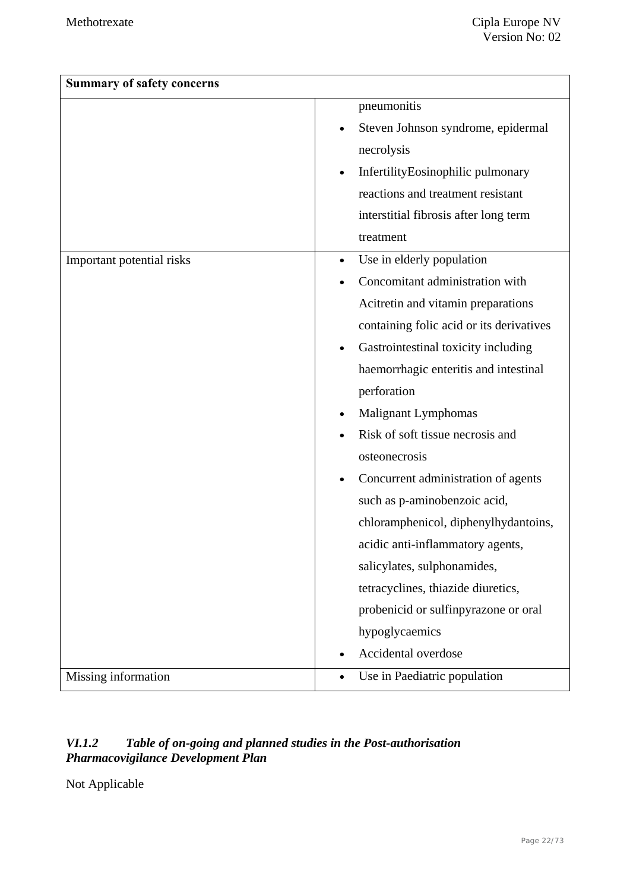| <b>Summary of safety concerns</b> |                                          |
|-----------------------------------|------------------------------------------|
|                                   | pneumonitis                              |
|                                   | Steven Johnson syndrome, epidermal       |
|                                   | necrolysis                               |
|                                   | InfertilityEosinophilic pulmonary        |
|                                   | reactions and treatment resistant        |
|                                   | interstitial fibrosis after long term    |
|                                   | treatment                                |
| Important potential risks         | Use in elderly population<br>$\bullet$   |
|                                   | Concomitant administration with          |
|                                   | Acitretin and vitamin preparations       |
|                                   | containing folic acid or its derivatives |
|                                   | Gastrointestinal toxicity including      |
|                                   | haemorrhagic enteritis and intestinal    |
|                                   | perforation                              |
|                                   | Malignant Lymphomas                      |
|                                   | Risk of soft tissue necrosis and         |
|                                   | osteonecrosis                            |
|                                   | Concurrent administration of agents      |
|                                   | such as p-aminobenzoic acid,             |
|                                   | chloramphenicol, diphenylhydantoins,     |
|                                   | acidic anti-inflammatory agents,         |
|                                   | salicylates, sulphonamides,              |
|                                   | tetracyclines, thiazide diuretics,       |
|                                   | probenicid or sulfinpyrazone or oral     |
|                                   | hypoglycaemics                           |
|                                   | Accidental overdose                      |
| Missing information               | Use in Paediatric population             |

### *VI.1.2 Table of on-going and planned studies in the Post-authorisation Pharmacovigilance Development Plan*

Not Applicable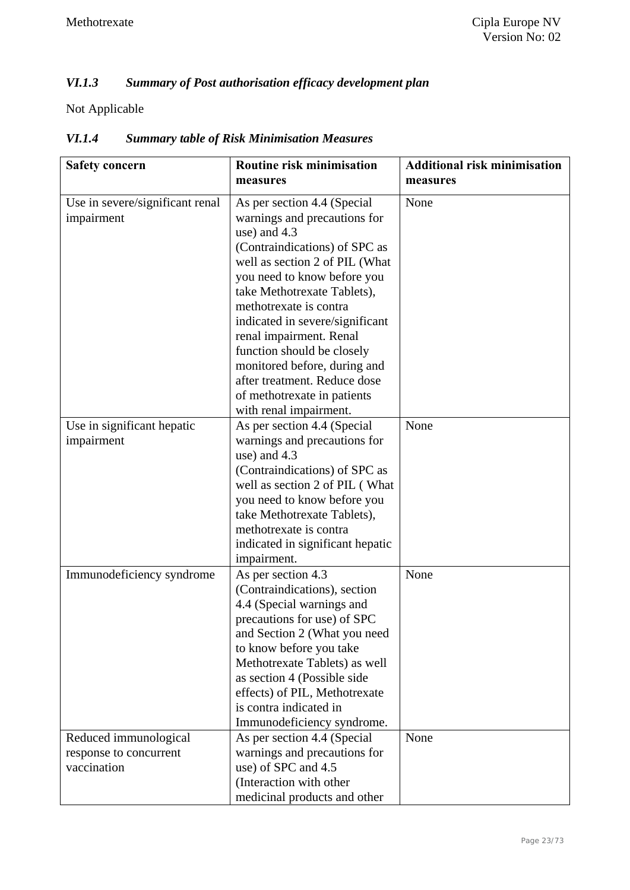## *VI.1.3 Summary of Post authorisation efficacy development plan*

Not Applicable

| <b>Safety concern</b>                                          | Routine risk minimisation<br>measures                                                                                                                                                                                                                                                                                                                                                                                                                       | <b>Additional risk minimisation</b><br>measures |
|----------------------------------------------------------------|-------------------------------------------------------------------------------------------------------------------------------------------------------------------------------------------------------------------------------------------------------------------------------------------------------------------------------------------------------------------------------------------------------------------------------------------------------------|-------------------------------------------------|
| Use in severe/significant renal<br>impairment                  | As per section 4.4 (Special<br>warnings and precautions for<br>use) and 4.3<br>(Contraindications) of SPC as<br>well as section 2 of PIL (What<br>you need to know before you<br>take Methotrexate Tablets),<br>methotrexate is contra<br>indicated in severe/significant<br>renal impairment. Renal<br>function should be closely<br>monitored before, during and<br>after treatment. Reduce dose<br>of methotrexate in patients<br>with renal impairment. | None                                            |
| Use in significant hepatic<br>impairment                       | As per section 4.4 (Special<br>warnings and precautions for<br>use) and 4.3<br>(Contraindications) of SPC as<br>well as section 2 of PIL (What<br>you need to know before you<br>take Methotrexate Tablets),<br>methotrexate is contra<br>indicated in significant hepatic<br>impairment.                                                                                                                                                                   | None                                            |
| Immunodeficiency syndrome                                      | As per section 4.3<br>(Contraindications), section<br>4.4 (Special warnings and<br>precautions for use) of SPC<br>and Section 2 (What you need<br>to know before you take<br>Methotrexate Tablets) as well<br>as section 4 (Possible side<br>effects) of PIL, Methotrexate<br>is contra indicated in<br>Immunodeficiency syndrome.                                                                                                                          | None                                            |
| Reduced immunological<br>response to concurrent<br>vaccination | As per section 4.4 (Special<br>warnings and precautions for<br>use) of SPC and 4.5<br>(Interaction with other<br>medicinal products and other                                                                                                                                                                                                                                                                                                               | None                                            |

## *VI.1.4 Summary table of Risk Minimisation Measures*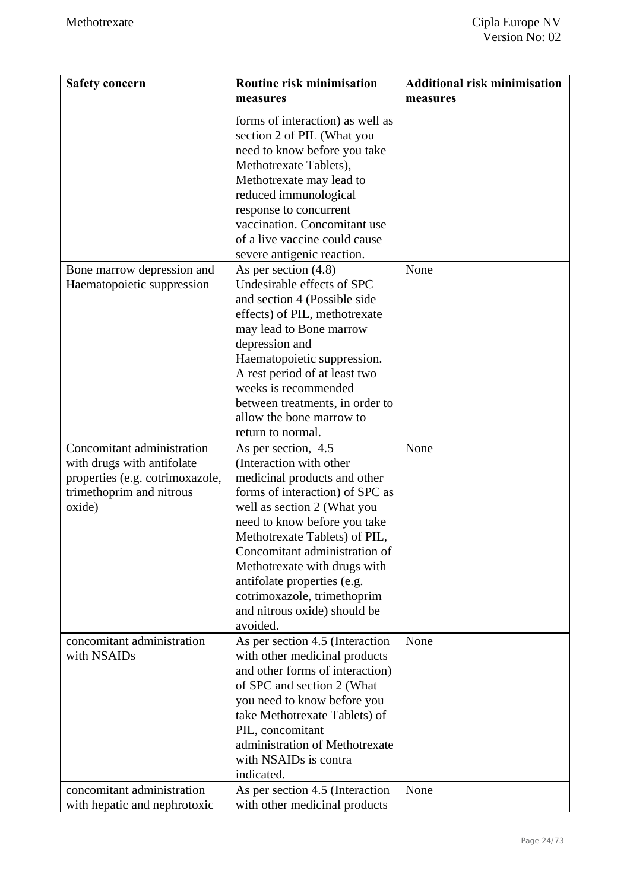| <b>Safety concern</b>                                                                                                             | Routine risk minimisation<br>measures                                                                                                                                                                                                                                                                                                                                                        | <b>Additional risk minimisation</b><br>measures |
|-----------------------------------------------------------------------------------------------------------------------------------|----------------------------------------------------------------------------------------------------------------------------------------------------------------------------------------------------------------------------------------------------------------------------------------------------------------------------------------------------------------------------------------------|-------------------------------------------------|
|                                                                                                                                   | forms of interaction) as well as<br>section 2 of PIL (What you<br>need to know before you take<br>Methotrexate Tablets),<br>Methotrexate may lead to<br>reduced immunological<br>response to concurrent<br>vaccination. Concomitant use<br>of a live vaccine could cause<br>severe antigenic reaction.                                                                                       |                                                 |
| Bone marrow depression and<br>Haematopoietic suppression                                                                          | As per section $(4.8)$<br>Undesirable effects of SPC<br>and section 4 (Possible side<br>effects) of PIL, methotrexate<br>may lead to Bone marrow<br>depression and<br>Haematopoietic suppression.<br>A rest period of at least two<br>weeks is recommended<br>between treatments, in order to<br>allow the bone marrow to<br>return to normal.                                               | None                                            |
| Concomitant administration<br>with drugs with antifolate<br>properties (e.g. cotrimoxazole,<br>trimethoprim and nitrous<br>oxide) | As per section, 4.5<br>(Interaction with other<br>medicinal products and other<br>forms of interaction) of SPC as<br>well as section 2 (What you<br>need to know before you take<br>Methotrexate Tablets) of PIL,<br>Concomitant administration of<br>Methotrexate with drugs with<br>antifolate properties (e.g.<br>cotrimoxazole, trimethoprim<br>and nitrous oxide) should be<br>avoided. | None                                            |
| concomitant administration<br>with NSAIDs<br>concomitant administration                                                           | As per section 4.5 (Interaction<br>with other medicinal products<br>and other forms of interaction)<br>of SPC and section 2 (What<br>you need to know before you<br>take Methotrexate Tablets) of<br>PIL, concomitant<br>administration of Methotrexate<br>with NSAIDs is contra<br>indicated.<br>As per section 4.5 (Interaction                                                            | None<br>None                                    |
| with hepatic and nephrotoxic                                                                                                      | with other medicinal products                                                                                                                                                                                                                                                                                                                                                                |                                                 |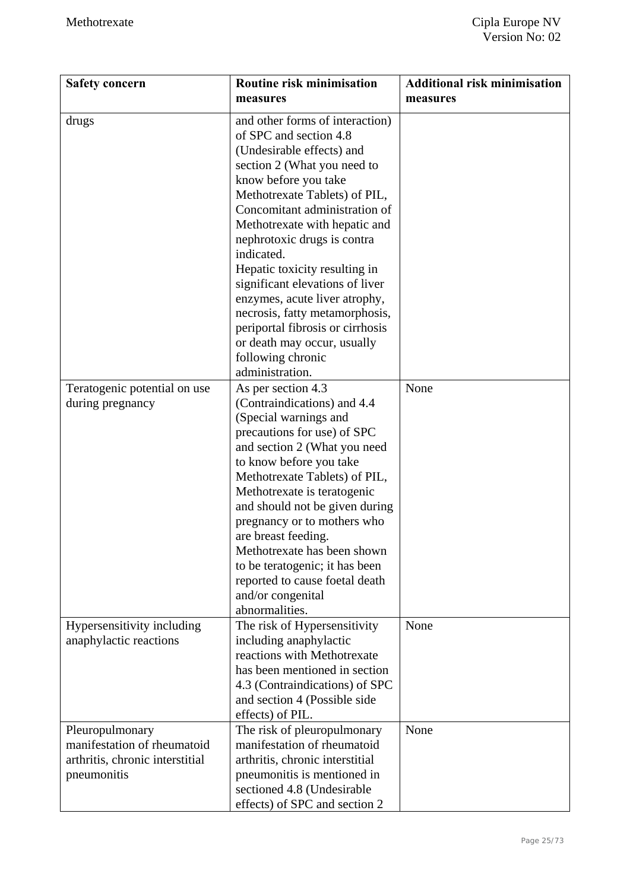| <b>Safety concern</b>                                                                            | Routine risk minimisation                                                                                                                                                                                                                                                                                                                                                                                                                                                                                                    | <b>Additional risk minimisation</b> |
|--------------------------------------------------------------------------------------------------|------------------------------------------------------------------------------------------------------------------------------------------------------------------------------------------------------------------------------------------------------------------------------------------------------------------------------------------------------------------------------------------------------------------------------------------------------------------------------------------------------------------------------|-------------------------------------|
|                                                                                                  | measures                                                                                                                                                                                                                                                                                                                                                                                                                                                                                                                     | measures                            |
| drugs                                                                                            | and other forms of interaction)<br>of SPC and section 4.8<br>(Undesirable effects) and<br>section 2 (What you need to<br>know before you take<br>Methotrexate Tablets) of PIL,<br>Concomitant administration of<br>Methotrexate with hepatic and<br>nephrotoxic drugs is contra<br>indicated.<br>Hepatic toxicity resulting in<br>significant elevations of liver<br>enzymes, acute liver atrophy,<br>necrosis, fatty metamorphosis,<br>periportal fibrosis or cirrhosis<br>or death may occur, usually<br>following chronic |                                     |
| Teratogenic potential on use<br>during pregnancy                                                 | administration.<br>As per section 4.3<br>(Contraindications) and 4.4<br>(Special warnings and<br>precautions for use) of SPC<br>and section 2 (What you need<br>to know before you take<br>Methotrexate Tablets) of PIL,<br>Methotrexate is teratogenic<br>and should not be given during<br>pregnancy or to mothers who<br>are breast feeding.<br>Methotrexate has been shown<br>to be teratogenic; it has been<br>reported to cause foetal death<br>and/or congenital<br>abnormalities.                                    | None                                |
| Hypersensitivity including<br>anaphylactic reactions                                             | The risk of Hypersensitivity<br>including anaphylactic<br>reactions with Methotrexate<br>has been mentioned in section<br>4.3 (Contraindications) of SPC<br>and section 4 (Possible side<br>effects) of PIL.                                                                                                                                                                                                                                                                                                                 | None                                |
| Pleuropulmonary<br>manifestation of rheumatoid<br>arthritis, chronic interstitial<br>pneumonitis | The risk of pleuropulmonary<br>manifestation of rheumatoid<br>arthritis, chronic interstitial<br>pneumonitis is mentioned in<br>sectioned 4.8 (Undesirable<br>effects) of SPC and section 2                                                                                                                                                                                                                                                                                                                                  | None                                |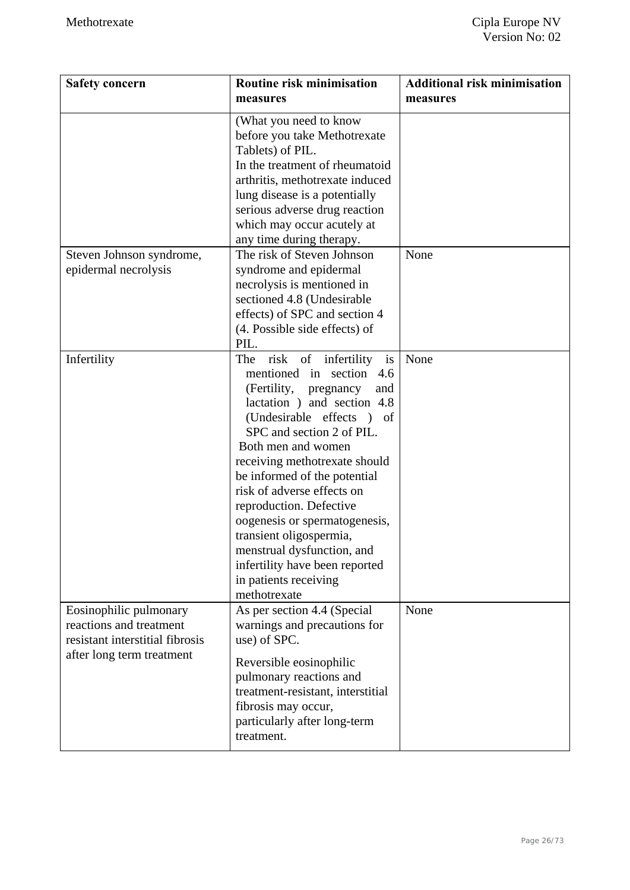| <b>Safety concern</b>                                                                                             | <b>Routine risk minimisation</b><br>measures                                                                                                                                                                                                                                                                                                                                                                                                                                                                      | <b>Additional risk minimisation</b><br>measures |
|-------------------------------------------------------------------------------------------------------------------|-------------------------------------------------------------------------------------------------------------------------------------------------------------------------------------------------------------------------------------------------------------------------------------------------------------------------------------------------------------------------------------------------------------------------------------------------------------------------------------------------------------------|-------------------------------------------------|
|                                                                                                                   | (What you need to know<br>before you take Methotrexate<br>Tablets) of PIL.<br>In the treatment of rheumatoid<br>arthritis, methotrexate induced<br>lung disease is a potentially<br>serious adverse drug reaction<br>which may occur acutely at<br>any time during therapy.                                                                                                                                                                                                                                       |                                                 |
| Steven Johnson syndrome,<br>epidermal necrolysis                                                                  | The risk of Steven Johnson<br>syndrome and epidermal<br>necrolysis is mentioned in<br>sectioned 4.8 (Undesirable<br>effects) of SPC and section 4<br>(4. Possible side effects) of<br>PIL.                                                                                                                                                                                                                                                                                                                        | None                                            |
| Infertility                                                                                                       | risk<br>of infertility<br>The<br>is<br>mentioned in section<br>4.6<br>(Fertility,<br>pregnancy<br>and<br>lactation) and section 4.8<br>(Undesirable effects) of<br>SPC and section 2 of PIL.<br>Both men and women<br>receiving methotrexate should<br>be informed of the potential<br>risk of adverse effects on<br>reproduction. Defective<br>oogenesis or spermatogenesis,<br>transient oligospermia,<br>menstrual dysfunction, and<br>infertility have been reported<br>in patients receiving<br>methotrexate | None                                            |
| Eosinophilic pulmonary<br>reactions and treatment<br>resistant interstitial fibrosis<br>after long term treatment | As per section 4.4 (Special<br>warnings and precautions for<br>use) of SPC.<br>Reversible eosinophilic<br>pulmonary reactions and<br>treatment-resistant, interstitial<br>fibrosis may occur,<br>particularly after long-term<br>treatment.                                                                                                                                                                                                                                                                       | None                                            |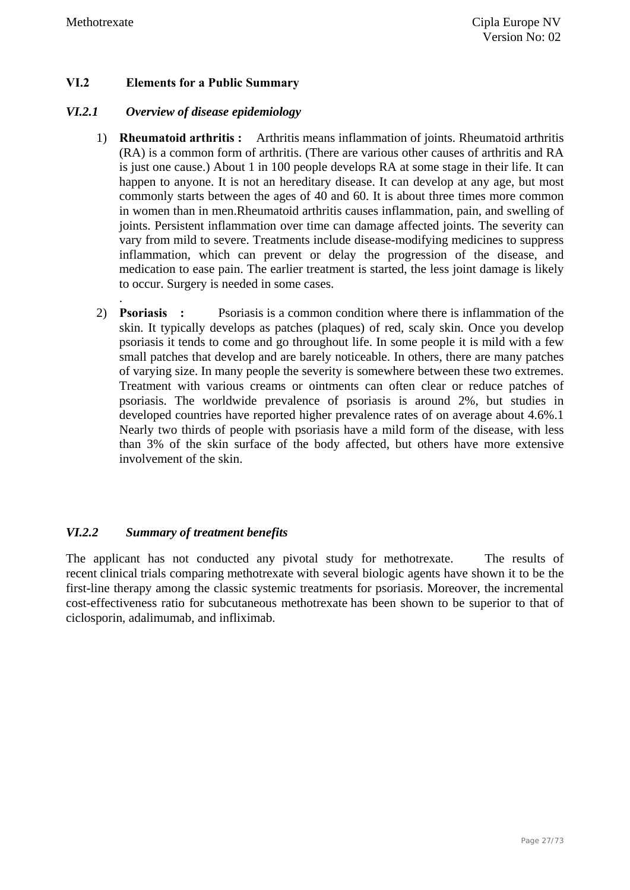.

#### **VI.2 Elements for a Public Summary**

#### *VI.2.1 Overview of disease epidemiology*

- 1) **Rheumatoid arthritis :** Arthritis means inflammation of joints. Rheumatoid arthritis (RA) is a common form of arthritis. (There are various other causes of arthritis and RA is just one cause.) About 1 in 100 people develops RA at some stage in their life. It can happen to anyone. It is not an hereditary disease. It can develop at any age, but most commonly starts between the ages of 40 and 60. It is about three times more common in women than in men.Rheumatoid arthritis causes inflammation, pain, and swelling of joints. Persistent inflammation over time can damage affected joints. The severity can vary from mild to severe. Treatments include disease-modifying medicines to suppress inflammation, which can prevent or delay the progression of the disease, and medication to ease pain. The earlier treatment is started, the less joint damage is likely to occur. Surgery is needed in some cases.
- 2) **Psoriasis :** Psoriasis is a common condition where there is inflammation of the skin. It typically develops as patches (plaques) of red, scaly skin. Once you develop psoriasis it tends to come and go throughout life. In some people it is mild with a few small patches that develop and are barely noticeable. In others, there are many patches of varying size. In many people the severity is somewhere between these two extremes. Treatment with various creams or ointments can often clear or reduce patches of psoriasis. The worldwide prevalence of psoriasis is around 2%, but studies in developed countries have reported higher prevalence rates of on average about 4.6%.1 Nearly two thirds of people with psoriasis have a mild form of the disease, with less than 3% of the skin surface of the body affected, but others have more extensive involvement of the skin.

#### *VI.2.2 Summary of treatment benefits*

The applicant has not conducted any pivotal study for methotrexate. The results of recent clinical trials comparing methotrexate with several biologic agents have shown it to be the first-line therapy among the classic systemic treatments for psoriasis. Moreover, the incremental cost-effectiveness ratio for subcutaneous methotrexate has been shown to be superior to that of ciclosporin, adalimumab, and infliximab.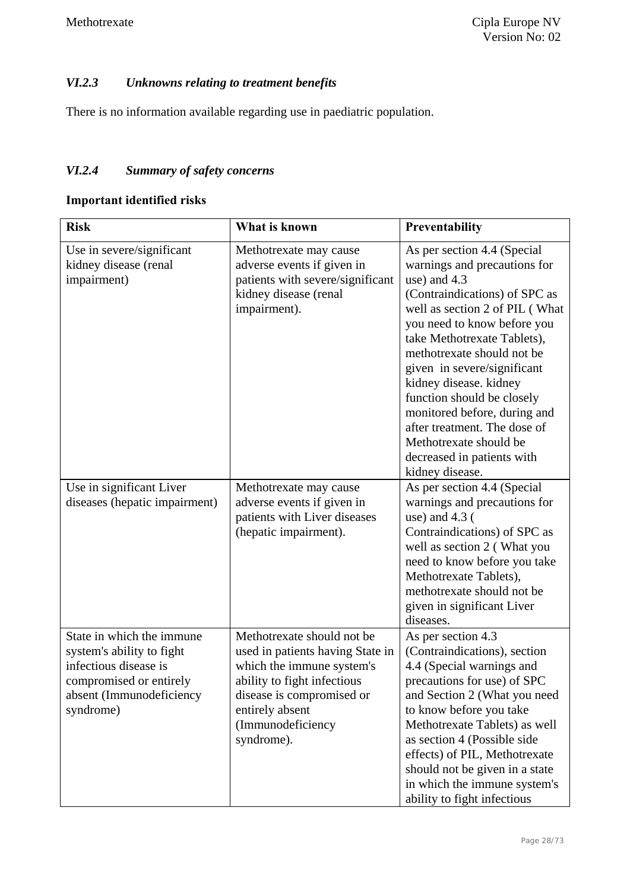## *VI.2.3 Unknowns relating to treatment benefits*

There is no information available regarding use in paediatric population.

### *VI.2.4 Summary of safety concerns*

## **Important identified risks**

| <b>Risk</b>                                                                                                                                         | What is known                                                                                                                                                                                                 | Preventability                                                                                                                                                                                                                                                                                                                                                                                                                                                               |
|-----------------------------------------------------------------------------------------------------------------------------------------------------|---------------------------------------------------------------------------------------------------------------------------------------------------------------------------------------------------------------|------------------------------------------------------------------------------------------------------------------------------------------------------------------------------------------------------------------------------------------------------------------------------------------------------------------------------------------------------------------------------------------------------------------------------------------------------------------------------|
| Use in severe/significant<br>kidney disease (renal<br>impairment)                                                                                   | Methotrexate may cause<br>adverse events if given in<br>patients with severe/significant<br>kidney disease (renal<br>impairment).                                                                             | As per section 4.4 (Special<br>warnings and precautions for<br>use) and 4.3<br>(Contraindications) of SPC as<br>well as section 2 of PIL (What<br>you need to know before you<br>take Methotrexate Tablets),<br>methotrexate should not be<br>given in severe/significant<br>kidney disease. kidney<br>function should be closely<br>monitored before, during and<br>after treatment. The dose of<br>Methotrexate should be<br>decreased in patients with<br>kidney disease. |
| Use in significant Liver<br>diseases (hepatic impairment)                                                                                           | Methotrexate may cause<br>adverse events if given in<br>patients with Liver diseases<br>(hepatic impairment).                                                                                                 | As per section 4.4 (Special<br>warnings and precautions for<br>use) and $4.3$ (<br>Contraindications) of SPC as<br>well as section 2 (What you<br>need to know before you take<br>Methotrexate Tablets),<br>methotrexate should not be<br>given in significant Liver<br>diseases.                                                                                                                                                                                            |
| State in which the immune<br>system's ability to fight<br>infectious disease is<br>compromised or entirely<br>absent (Immunodeficiency<br>syndrome) | Methotrexate should not be<br>used in patients having State in<br>which the immune system's<br>ability to fight infectious<br>disease is compromised or<br>entirely absent<br>(Immunodeficiency<br>syndrome). | As per section 4.3<br>(Contraindications), section<br>4.4 (Special warnings and<br>precautions for use) of SPC<br>and Section 2 (What you need<br>to know before you take<br>Methotrexate Tablets) as well<br>as section 4 (Possible side<br>effects) of PIL, Methotrexate<br>should not be given in a state<br>in which the immune system's<br>ability to fight infectious                                                                                                  |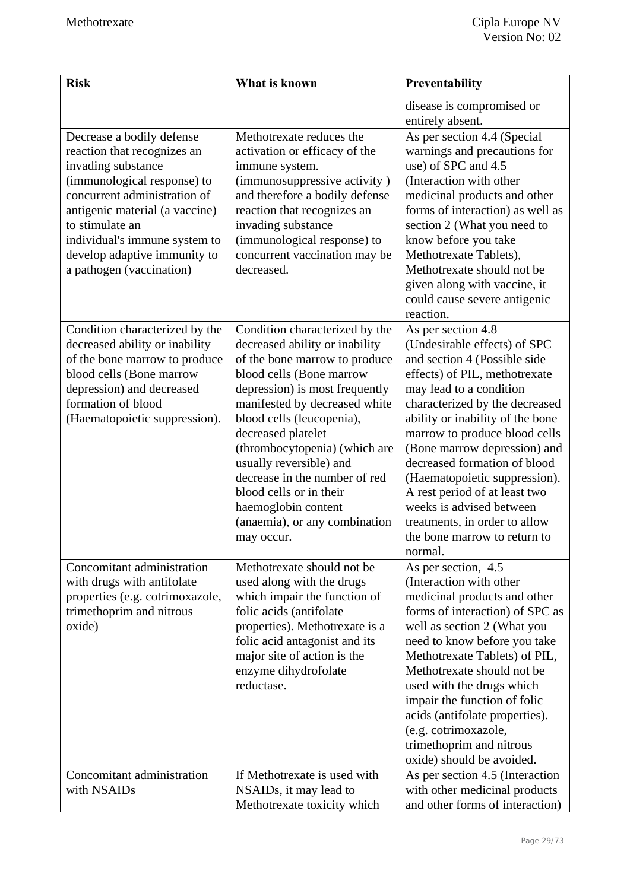| <b>Risk</b>                                                                                                                                                                                                                                                                                     | What is known                                                                                                                                                                                                                                                                                                                                                                                                                                     | Preventability                                                                                                                                                                                                                                                                                                                                                                                                                                                                                  |
|-------------------------------------------------------------------------------------------------------------------------------------------------------------------------------------------------------------------------------------------------------------------------------------------------|---------------------------------------------------------------------------------------------------------------------------------------------------------------------------------------------------------------------------------------------------------------------------------------------------------------------------------------------------------------------------------------------------------------------------------------------------|-------------------------------------------------------------------------------------------------------------------------------------------------------------------------------------------------------------------------------------------------------------------------------------------------------------------------------------------------------------------------------------------------------------------------------------------------------------------------------------------------|
|                                                                                                                                                                                                                                                                                                 |                                                                                                                                                                                                                                                                                                                                                                                                                                                   | disease is compromised or<br>entirely absent.                                                                                                                                                                                                                                                                                                                                                                                                                                                   |
| Decrease a bodily defense<br>reaction that recognizes an<br>invading substance<br>(immunological response) to<br>concurrent administration of<br>antigenic material (a vaccine)<br>to stimulate an<br>individual's immune system to<br>develop adaptive immunity to<br>a pathogen (vaccination) | Methotrexate reduces the<br>activation or efficacy of the<br>immune system.<br>(immunosuppressive activity)<br>and therefore a bodily defense<br>reaction that recognizes an<br>invading substance<br>(immunological response) to<br>concurrent vaccination may be<br>decreased.                                                                                                                                                                  | As per section 4.4 (Special<br>warnings and precautions for<br>use) of SPC and 4.5<br>(Interaction with other<br>medicinal products and other<br>forms of interaction) as well as<br>section 2 (What you need to<br>know before you take<br>Methotrexate Tablets),<br>Methotrexate should not be<br>given along with vaccine, it<br>could cause severe antigenic<br>reaction.                                                                                                                   |
| Condition characterized by the<br>decreased ability or inability<br>of the bone marrow to produce<br>blood cells (Bone marrow<br>depression) and decreased<br>formation of blood<br>(Haematopoietic suppression).                                                                               | Condition characterized by the<br>decreased ability or inability<br>of the bone marrow to produce<br>blood cells (Bone marrow<br>depression) is most frequently<br>manifested by decreased white<br>blood cells (leucopenia),<br>decreased platelet<br>(thrombocytopenia) (which are<br>usually reversible) and<br>decrease in the number of red<br>blood cells or in their<br>haemoglobin content<br>(anaemia), or any combination<br>may occur. | As per section 4.8<br>(Undesirable effects) of SPC<br>and section 4 (Possible side<br>effects) of PIL, methotrexate<br>may lead to a condition<br>characterized by the decreased<br>ability or inability of the bone<br>marrow to produce blood cells<br>(Bone marrow depression) and<br>decreased formation of blood<br>(Haematopoietic suppression).<br>A rest period of at least two<br>weeks is advised between<br>treatments, in order to allow<br>the bone marrow to return to<br>normal. |
| Concomitant administration<br>with drugs with antifolate<br>properties (e.g. cotrimoxazole,<br>trimethoprim and nitrous<br>oxide)                                                                                                                                                               | Methotrexate should not be<br>used along with the drugs<br>which impair the function of<br>folic acids (antifolate<br>properties). Methotrexate is a<br>folic acid antagonist and its<br>major site of action is the<br>enzyme dihydrofolate<br>reductase.                                                                                                                                                                                        | As per section, 4.5<br>(Interaction with other<br>medicinal products and other<br>forms of interaction) of SPC as<br>well as section 2 (What you<br>need to know before you take<br>Methotrexate Tablets) of PIL,<br>Methotrexate should not be<br>used with the drugs which<br>impair the function of folic<br>acids (antifolate properties).<br>(e.g. cotrimoxazole,<br>trimethoprim and nitrous<br>oxide) should be avoided.                                                                 |
| Concomitant administration<br>with NSAIDs                                                                                                                                                                                                                                                       | If Methotrexate is used with<br>NSAIDs, it may lead to<br>Methotrexate toxicity which                                                                                                                                                                                                                                                                                                                                                             | As per section 4.5 (Interaction<br>with other medicinal products<br>and other forms of interaction)                                                                                                                                                                                                                                                                                                                                                                                             |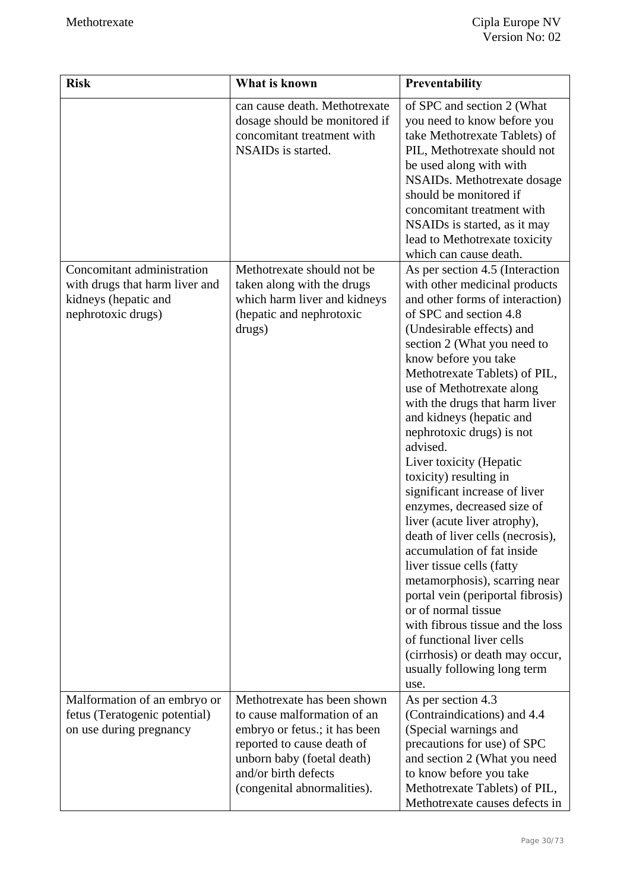| <b>Risk</b>                                                                                                | What is known                                                                                                                                                                                                  | Preventability                                                                                                                                                                                                                                                                                                                                                                                                                                                                                                                                                                                                                                                                                                                                                                                                                                                            |
|------------------------------------------------------------------------------------------------------------|----------------------------------------------------------------------------------------------------------------------------------------------------------------------------------------------------------------|---------------------------------------------------------------------------------------------------------------------------------------------------------------------------------------------------------------------------------------------------------------------------------------------------------------------------------------------------------------------------------------------------------------------------------------------------------------------------------------------------------------------------------------------------------------------------------------------------------------------------------------------------------------------------------------------------------------------------------------------------------------------------------------------------------------------------------------------------------------------------|
|                                                                                                            | can cause death. Methotrexate<br>dosage should be monitored if<br>concomitant treatment with<br>NSAIDs is started.                                                                                             | of SPC and section 2 (What<br>you need to know before you<br>take Methotrexate Tablets) of<br>PIL, Methotrexate should not<br>be used along with with<br>NSAIDs. Methotrexate dosage<br>should be monitored if<br>concomitant treatment with<br>NSAIDs is started, as it may<br>lead to Methotrexate toxicity<br>which can cause death.                                                                                                                                                                                                                                                                                                                                                                                                                                                                                                                                   |
| Concomitant administration<br>with drugs that harm liver and<br>kidneys (hepatic and<br>nephrotoxic drugs) | Methotrexate should not be<br>taken along with the drugs<br>which harm liver and kidneys<br>(hepatic and nephrotoxic<br>drugs)                                                                                 | As per section 4.5 (Interaction<br>with other medicinal products<br>and other forms of interaction)<br>of SPC and section 4.8<br>(Undesirable effects) and<br>section 2 (What you need to<br>know before you take<br>Methotrexate Tablets) of PIL,<br>use of Methotrexate along<br>with the drugs that harm liver<br>and kidneys (hepatic and<br>nephrotoxic drugs) is not<br>advised.<br>Liver toxicity (Hepatic<br>toxicity) resulting in<br>significant increase of liver<br>enzymes, decreased size of<br>liver (acute liver atrophy),<br>death of liver cells (necrosis),<br>accumulation of fat inside<br>liver tissue cells (fatty<br>metamorphosis), scarring near<br>portal vein (periportal fibrosis)<br>or of normal tissue<br>with fibrous tissue and the loss<br>of functional liver cells<br>(cirrhosis) or death may occur,<br>usually following long term |
| Malformation of an embryo or<br>fetus (Teratogenic potential)<br>on use during pregnancy                   | Methotrexate has been shown<br>to cause malformation of an<br>embryo or fetus.; it has been<br>reported to cause death of<br>unborn baby (foetal death)<br>and/or birth defects<br>(congenital abnormalities). | use.<br>As per section 4.3<br>(Contraindications) and 4.4<br>(Special warnings and<br>precautions for use) of SPC<br>and section 2 (What you need<br>to know before you take<br>Methotrexate Tablets) of PIL,<br>Methotrexate causes defects in                                                                                                                                                                                                                                                                                                                                                                                                                                                                                                                                                                                                                           |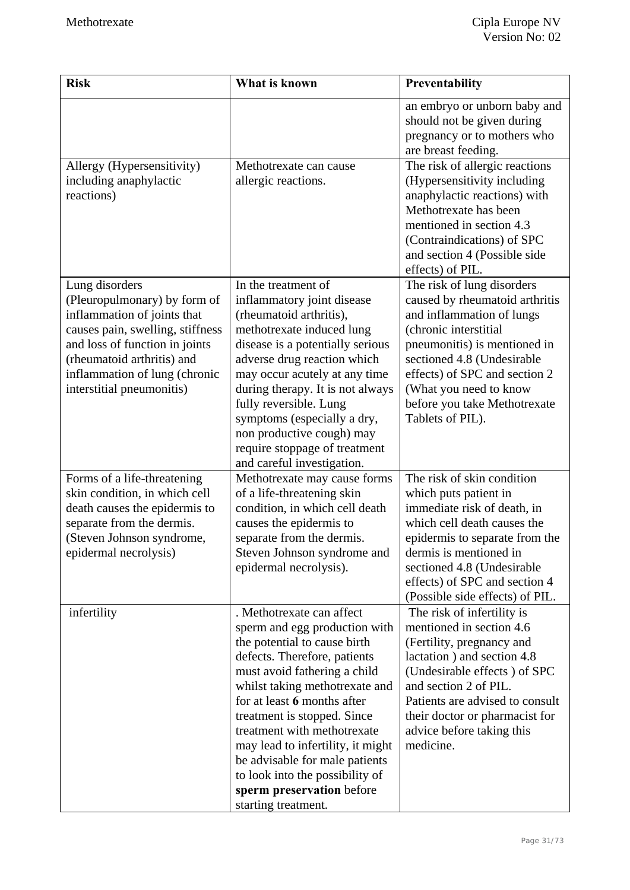| <b>Risk</b>                                                                                                                                                                                                                                     | What is known                                                                                                                                                                                                                                                                                                                                                                                                                                           | Preventability                                                                                                                                                                                                                                                                                  |
|-------------------------------------------------------------------------------------------------------------------------------------------------------------------------------------------------------------------------------------------------|---------------------------------------------------------------------------------------------------------------------------------------------------------------------------------------------------------------------------------------------------------------------------------------------------------------------------------------------------------------------------------------------------------------------------------------------------------|-------------------------------------------------------------------------------------------------------------------------------------------------------------------------------------------------------------------------------------------------------------------------------------------------|
|                                                                                                                                                                                                                                                 |                                                                                                                                                                                                                                                                                                                                                                                                                                                         | an embryo or unborn baby and<br>should not be given during<br>pregnancy or to mothers who<br>are breast feeding.                                                                                                                                                                                |
| Allergy (Hypersensitivity)<br>including anaphylactic<br>reactions)                                                                                                                                                                              | Methotrexate can cause<br>allergic reactions.                                                                                                                                                                                                                                                                                                                                                                                                           | The risk of allergic reactions<br>(Hypersensitivity including<br>anaphylactic reactions) with<br>Methotrexate has been<br>mentioned in section 4.3<br>(Contraindications) of SPC<br>and section 4 (Possible side<br>effects) of PIL.                                                            |
| Lung disorders<br>(Pleuropulmonary) by form of<br>inflammation of joints that<br>causes pain, swelling, stiffness<br>and loss of function in joints<br>(rheumatoid arthritis) and<br>inflammation of lung (chronic<br>interstitial pneumonitis) | In the treatment of<br>inflammatory joint disease<br>(rheumatoid arthritis),<br>methotrexate induced lung<br>disease is a potentially serious<br>adverse drug reaction which<br>may occur acutely at any time<br>during therapy. It is not always<br>fully reversible. Lung<br>symptoms (especially a dry,<br>non productive cough) may<br>require stoppage of treatment<br>and careful investigation.                                                  | The risk of lung disorders<br>caused by rheumatoid arthritis<br>and inflammation of lungs<br>(chronic interstitial<br>pneumonitis) is mentioned in<br>sectioned 4.8 (Undesirable<br>effects) of SPC and section 2<br>(What you need to know<br>before you take Methotrexate<br>Tablets of PIL). |
| Forms of a life-threatening<br>skin condition, in which cell<br>death causes the epidermis to<br>separate from the dermis.<br>(Steven Johnson syndrome,<br>epidermal necrolysis)                                                                | Methotrexate may cause forms<br>of a life-threatening skin<br>condition, in which cell death<br>causes the epidermis to<br>separate from the dermis.<br>Steven Johnson syndrome and<br>epidermal necrolysis).                                                                                                                                                                                                                                           | The risk of skin condition<br>which puts patient in<br>immediate risk of death, in<br>which cell death causes the<br>epidermis to separate from the<br>dermis is mentioned in<br>sectioned 4.8 (Undesirable<br>effects) of SPC and section 4<br>(Possible side effects) of PIL.                 |
| infertility                                                                                                                                                                                                                                     | . Methotrexate can affect<br>sperm and egg production with<br>the potential to cause birth<br>defects. Therefore, patients<br>must avoid fathering a child<br>whilst taking methotrexate and<br>for at least 6 months after<br>treatment is stopped. Since<br>treatment with methotrexate<br>may lead to infertility, it might<br>be advisable for male patients<br>to look into the possibility of<br>sperm preservation before<br>starting treatment. | The risk of infertility is<br>mentioned in section 4.6<br>(Fertility, pregnancy and<br>lactation) and section 4.8<br>(Undesirable effects) of SPC<br>and section 2 of PIL.<br>Patients are advised to consult<br>their doctor or pharmacist for<br>advice before taking this<br>medicine.       |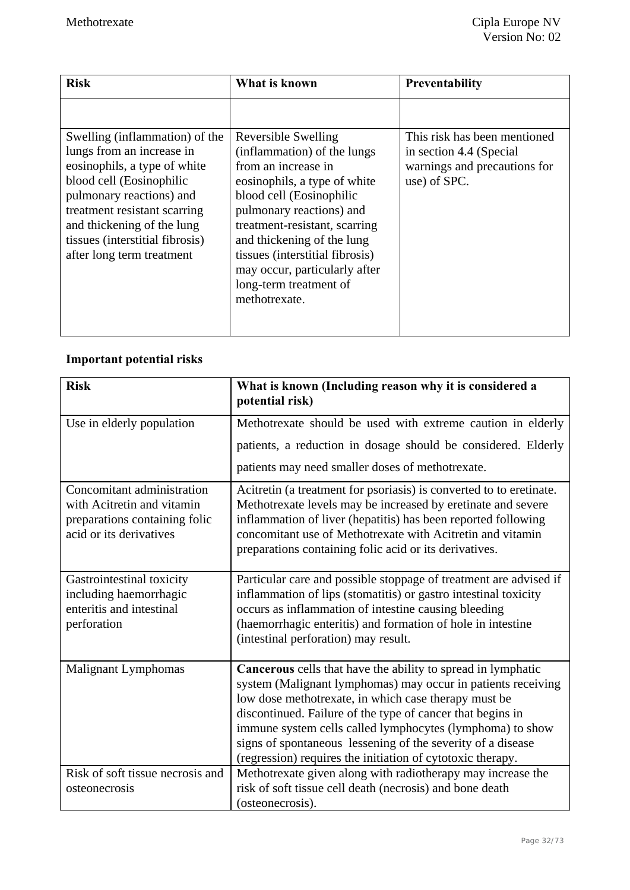| <b>Risk</b>                                                                                                                                                                                                                                     | What is known                                                                                                                                                                                                                                                                                                            | <b>Preventability</b>                                                   |
|-------------------------------------------------------------------------------------------------------------------------------------------------------------------------------------------------------------------------------------------------|--------------------------------------------------------------------------------------------------------------------------------------------------------------------------------------------------------------------------------------------------------------------------------------------------------------------------|-------------------------------------------------------------------------|
| Swelling (inflammation) of the                                                                                                                                                                                                                  | Reversible Swelling                                                                                                                                                                                                                                                                                                      | This risk has been mentioned                                            |
| lungs from an increase in<br>eosinophils, a type of white<br>blood cell (Eosinophilic<br>pulmonary reactions) and<br>treatment resistant scarring<br>and thickening of the lung<br>tissues (interstitial fibrosis)<br>after long term treatment | (inflammation) of the lungs<br>from an increase in<br>eosinophils, a type of white<br>blood cell (Eosinophilic<br>pulmonary reactions) and<br>treatment-resistant, scarring<br>and thickening of the lung<br>tissues (interstitial fibrosis)<br>may occur, particularly after<br>long-term treatment of<br>methotrexate. | in section 4.4 (Special<br>warnings and precautions for<br>use) of SPC. |

## **Important potential risks**

| <b>Risk</b>                                                                                                          | What is known (Including reason why it is considered a<br>potential risk)                                                                                                                                                                                                                                                                                                                                                                           |
|----------------------------------------------------------------------------------------------------------------------|-----------------------------------------------------------------------------------------------------------------------------------------------------------------------------------------------------------------------------------------------------------------------------------------------------------------------------------------------------------------------------------------------------------------------------------------------------|
| Use in elderly population                                                                                            | Methotrexate should be used with extreme caution in elderly                                                                                                                                                                                                                                                                                                                                                                                         |
|                                                                                                                      | patients, a reduction in dosage should be considered. Elderly                                                                                                                                                                                                                                                                                                                                                                                       |
|                                                                                                                      | patients may need smaller doses of methotrexate.                                                                                                                                                                                                                                                                                                                                                                                                    |
| Concomitant administration<br>with Acitretin and vitamin<br>preparations containing folic<br>acid or its derivatives | Acitretin (a treatment for psoriasis) is converted to to eretinate.<br>Methotrexate levels may be increased by eretinate and severe<br>inflammation of liver (hepatitis) has been reported following<br>concomitant use of Methotrexate with Acitretin and vitamin<br>preparations containing folic acid or its derivatives.                                                                                                                        |
| Gastrointestinal toxicity<br>including haemorrhagic<br>enteritis and intestinal<br>perforation                       | Particular care and possible stoppage of treatment are advised if<br>inflammation of lips (stomatitis) or gastro intestinal toxicity<br>occurs as inflammation of intestine causing bleeding<br>(haemorrhagic enteritis) and formation of hole in intestine<br>(intestinal perforation) may result.                                                                                                                                                 |
| Malignant Lymphomas                                                                                                  | <b>Cancerous</b> cells that have the ability to spread in lymphatic<br>system (Malignant lymphomas) may occur in patients receiving<br>low dose methotrexate, in which case therapy must be<br>discontinued. Failure of the type of cancer that begins in<br>immune system cells called lymphocytes (lymphoma) to show<br>signs of spontaneous lessening of the severity of a disease<br>(regression) requires the initiation of cytotoxic therapy. |
| Risk of soft tissue necrosis and<br>osteonecrosis                                                                    | Methotrexate given along with radiotherapy may increase the<br>risk of soft tissue cell death (necrosis) and bone death<br>(osteonecrosis).                                                                                                                                                                                                                                                                                                         |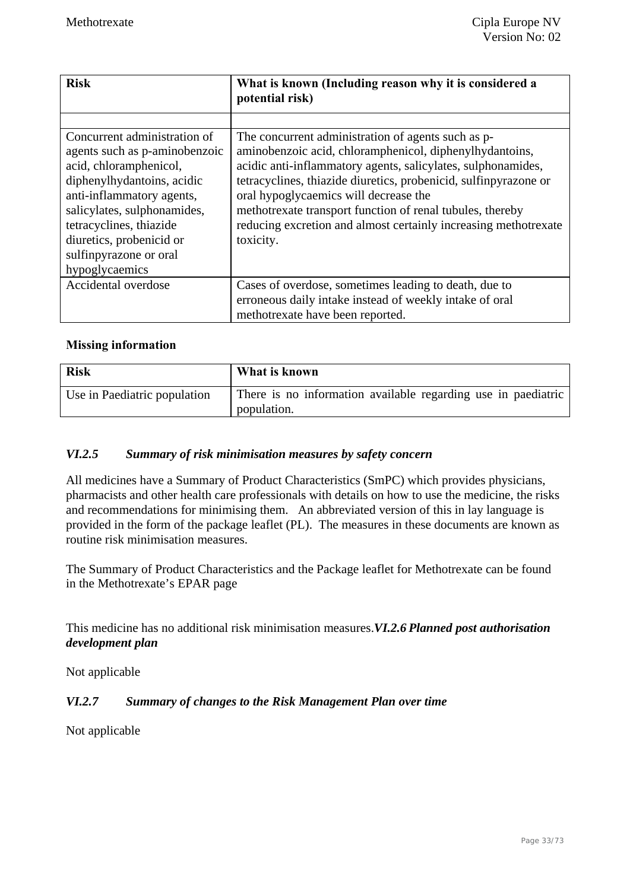| <b>Risk</b>                                                                                                                                                                                                                                                                          | What is known (Including reason why it is considered a<br>potential risk)                                                                                                                                                                                                                                                                                                                                                               |
|--------------------------------------------------------------------------------------------------------------------------------------------------------------------------------------------------------------------------------------------------------------------------------------|-----------------------------------------------------------------------------------------------------------------------------------------------------------------------------------------------------------------------------------------------------------------------------------------------------------------------------------------------------------------------------------------------------------------------------------------|
|                                                                                                                                                                                                                                                                                      |                                                                                                                                                                                                                                                                                                                                                                                                                                         |
| Concurrent administration of<br>agents such as p-aminobenzoic<br>acid, chloramphenicol,<br>diphenylhydantoins, acidic<br>anti-inflammatory agents,<br>salicylates, sulphonamides,<br>tetracyclines, thiazide<br>diuretics, probenicid or<br>sulfinpyrazone or oral<br>hypoglycaemics | The concurrent administration of agents such as p-<br>aminobenzoic acid, chloramphenicol, diphenylhydantoins,<br>acidic anti-inflammatory agents, salicylates, sulphonamides,<br>tetracyclines, thiazide diuretics, probenicid, sulfinpyrazone or<br>oral hypoglycaemics will decrease the<br>methotrexate transport function of renal tubules, thereby<br>reducing excretion and almost certainly increasing methotrexate<br>toxicity. |
| Accidental overdose                                                                                                                                                                                                                                                                  | Cases of overdose, sometimes leading to death, due to                                                                                                                                                                                                                                                                                                                                                                                   |
|                                                                                                                                                                                                                                                                                      | erroneous daily intake instead of weekly intake of oral                                                                                                                                                                                                                                                                                                                                                                                 |
|                                                                                                                                                                                                                                                                                      | methotrexate have been reported.                                                                                                                                                                                                                                                                                                                                                                                                        |

#### **Missing information**

| <b>Risk</b>                  | What is known                                                                |
|------------------------------|------------------------------------------------------------------------------|
| Use in Paediatric population | There is no information available regarding use in paediatric<br>population. |

#### *VI.2.5 Summary of risk minimisation measures by safety concern*

All medicines have a Summary of Product Characteristics (SmPC) which provides physicians, pharmacists and other health care professionals with details on how to use the medicine, the risks and recommendations for minimising them. An abbreviated version of this in lay language is provided in the form of the package leaflet (PL). The measures in these documents are known as routine risk minimisation measures.

The Summary of Product Characteristics and the Package leaflet for Methotrexate can be found in the Methotrexate's EPAR page

This medicine has no additional risk minimisation measures.*VI.2.6 Planned post authorisation development plan* 

Not applicable

#### *VI.2.7 Summary of changes to the Risk Management Plan over time*

Not applicable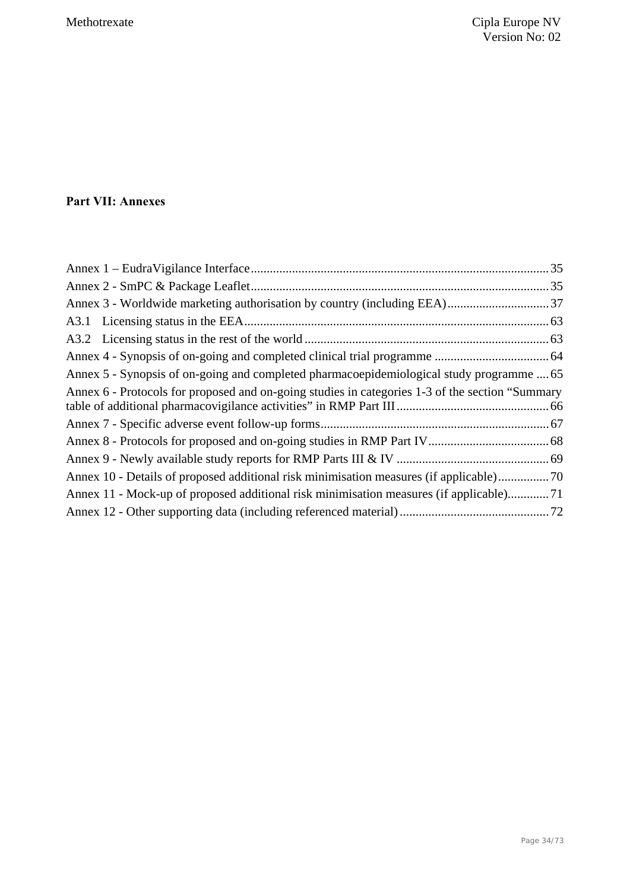## **Part VII: Annexes**

| Annex 5 - Synopsis of on-going and completed pharmacoepidemiological study programme  65         |  |
|--------------------------------------------------------------------------------------------------|--|
| Annex 6 - Protocols for proposed and on-going studies in categories 1-3 of the section "Summary" |  |
|                                                                                                  |  |
|                                                                                                  |  |
|                                                                                                  |  |
| Annex 10 - Details of proposed additional risk minimisation measures (if applicable)             |  |
| Annex 11 - Mock-up of proposed additional risk minimisation measures (if applicable)71           |  |
|                                                                                                  |  |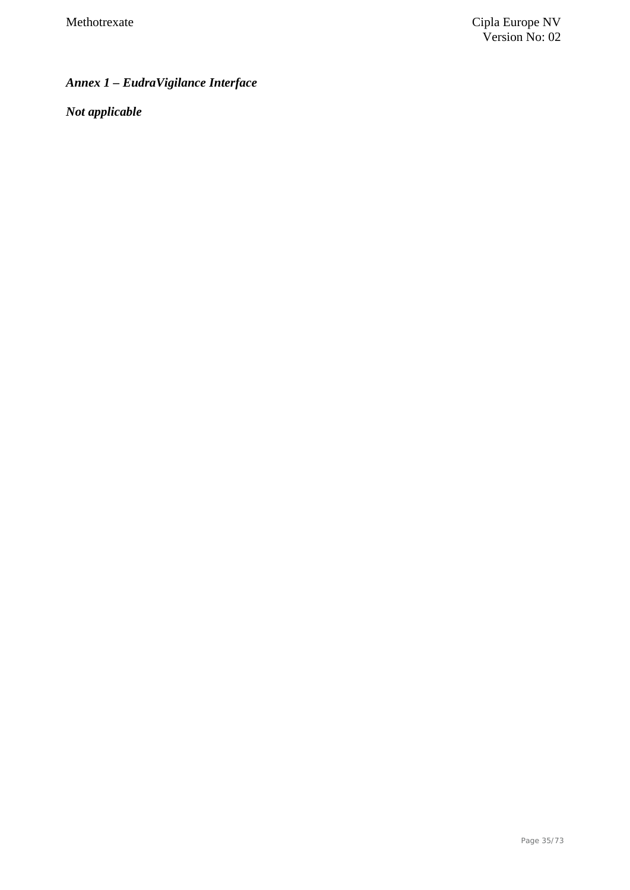# *Annex 1 – EudraVigilance Interface*

*Not applicable*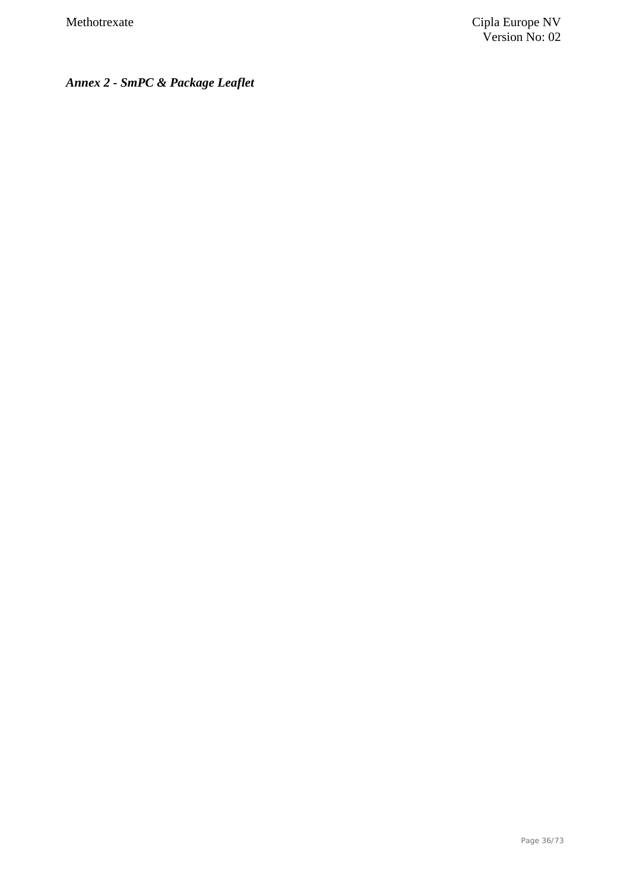*Annex 2 - SmPC & Package Leaflet*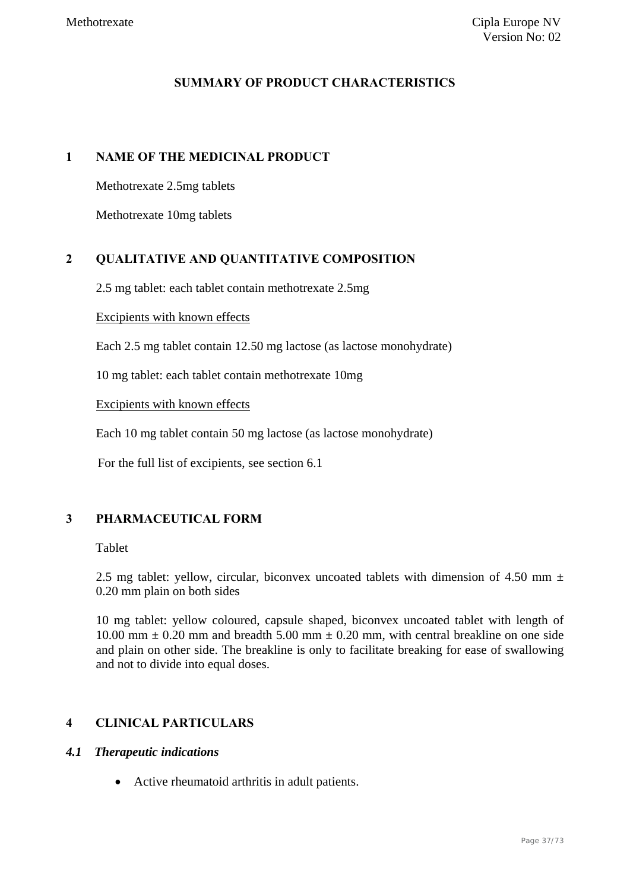### **SUMMARY OF PRODUCT CHARACTERISTICS**

### **1 NAME OF THE MEDICINAL PRODUCT**

Methotrexate 2.5mg tablets

Methotrexate 10mg tablets

### **2 QUALITATIVE AND QUANTITATIVE COMPOSITION**

2.5 mg tablet: each tablet contain methotrexate 2.5mg

#### Excipients with known effects

Each 2.5 mg tablet contain 12.50 mg lactose (as lactose monohydrate)

10 mg tablet: each tablet contain methotrexate 10mg

Excipients with known effects

Each 10 mg tablet contain 50 mg lactose (as lactose monohydrate)

For the full list of excipients, see section 6.1

### **3 PHARMACEUTICAL FORM**

#### Tablet

2.5 mg tablet: yellow, circular, biconvex uncoated tablets with dimension of 4.50 mm  $\pm$ 0.20 mm plain on both sides

10 mg tablet: yellow coloured, capsule shaped, biconvex uncoated tablet with length of 10.00 mm  $\pm$  0.20 mm and breadth 5.00 mm  $\pm$  0.20 mm, with central breakline on one side and plain on other side. The breakline is only to facilitate breaking for ease of swallowing and not to divide into equal doses.

### **4 CLINICAL PARTICULARS**

### *4.1 Therapeutic indications*

Active rheumatoid arthritis in adult patients.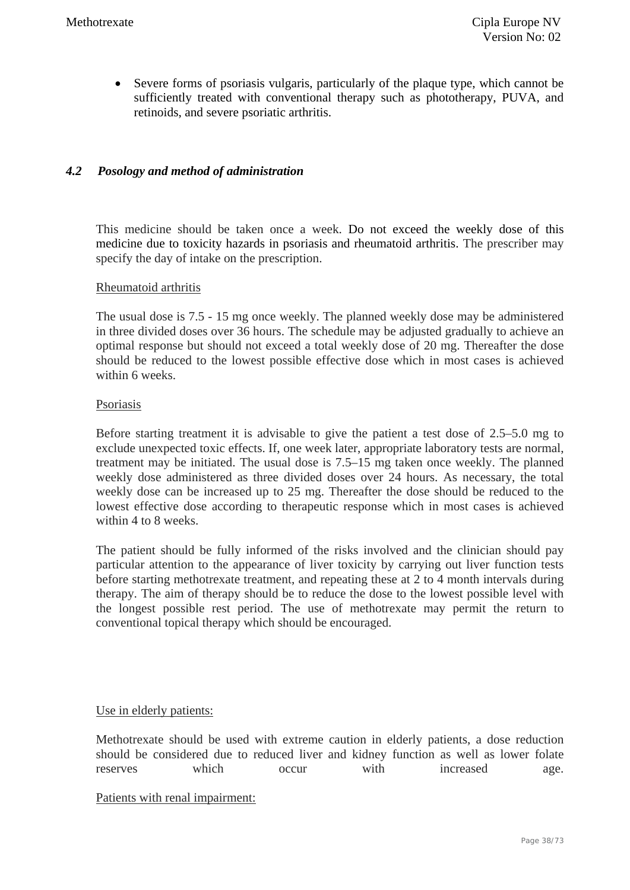Severe forms of psoriasis vulgaris, particularly of the plaque type, which cannot be sufficiently treated with conventional therapy such as phototherapy, PUVA, and retinoids, and severe psoriatic arthritis.

### *4.2 Posology and method of administration*

This medicine should be taken once a week. Do not exceed the weekly dose of this medicine due to toxicity hazards in psoriasis and rheumatoid arthritis. The prescriber may specify the day of intake on the prescription.

#### Rheumatoid arthritis

The usual dose is 7.5 - 15 mg once weekly. The planned weekly dose may be administered in three divided doses over 36 hours. The schedule may be adjusted gradually to achieve an optimal response but should not exceed a total weekly dose of 20 mg. Thereafter the dose should be reduced to the lowest possible effective dose which in most cases is achieved within 6 weeks

#### Psoriasis

Before starting treatment it is advisable to give the patient a test dose of 2.5–5.0 mg to exclude unexpected toxic effects. If, one week later, appropriate laboratory tests are normal, treatment may be initiated. The usual dose is 7.5–15 mg taken once weekly. The planned weekly dose administered as three divided doses over 24 hours. As necessary, the total weekly dose can be increased up to 25 mg. Thereafter the dose should be reduced to the lowest effective dose according to therapeutic response which in most cases is achieved within 4 to 8 weeks.

The patient should be fully informed of the risks involved and the clinician should pay particular attention to the appearance of liver toxicity by carrying out liver function tests before starting methotrexate treatment, and repeating these at 2 to 4 month intervals during therapy. The aim of therapy should be to reduce the dose to the lowest possible level with the longest possible rest period. The use of methotrexate may permit the return to conventional topical therapy which should be encouraged.

### Use in elderly patients:

Methotrexate should be used with extreme caution in elderly patients, a dose reduction should be considered due to reduced liver and kidney function as well as lower folate reserves which occur with increased age.

#### Patients with renal impairment: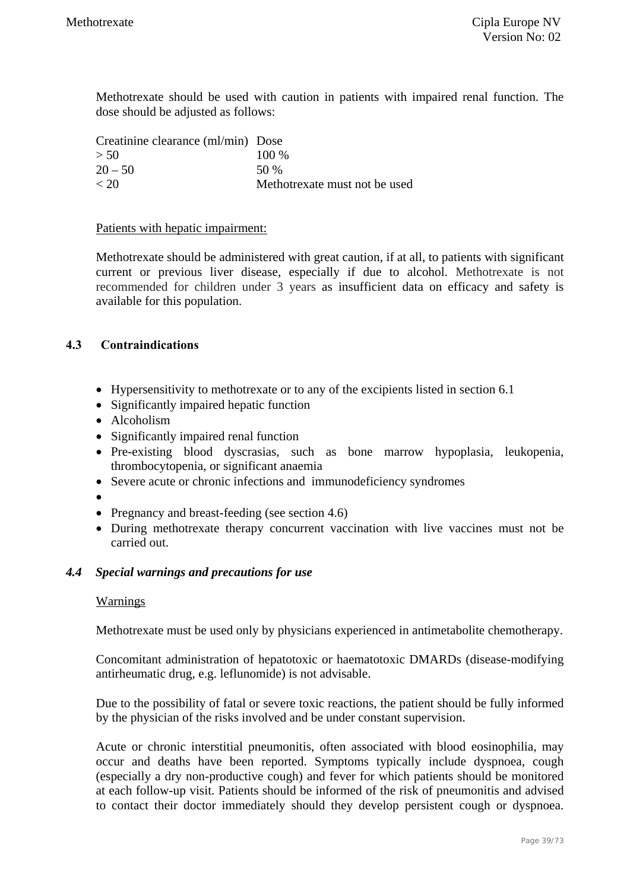Methotrexate should be used with caution in patients with impaired renal function. The dose should be adjusted as follows:

| Creatinine clearance (ml/min) Dose |                               |
|------------------------------------|-------------------------------|
| > 50                               | $100\%$                       |
| $20 - 50$                          | 50 %                          |
| < 20                               | Methotrexate must not be used |

#### Patients with hepatic impairment:

Methotrexate should be administered with great caution, if at all, to patients with significant current or previous liver disease, especially if due to alcohol. Methotrexate is not recommended for children under 3 years as insufficient data on efficacy and safety is available for this population.

### **4.3 Contraindications**

- Hypersensitivity to methotrexate or to any of the excipients listed in section 6.1
- Significantly impaired hepatic function
- Alcoholism
- Significantly impaired renal function
- Pre-existing blood dyscrasias, such as bone marrow hypoplasia, leukopenia, thrombocytopenia, or significant anaemia
- Severe acute or chronic infections and immunodeficiency syndromes
- $\bullet$
- Pregnancy and breast-feeding (see section 4.6)
- During methotrexate therapy concurrent vaccination with live vaccines must not be carried out.

### *4.4 Special warnings and precautions for use*

#### Warnings

Methotrexate must be used only by physicians experienced in antimetabolite chemotherapy.

Concomitant administration of hepatotoxic or haematotoxic DMARDs (disease-modifying antirheumatic drug, e.g. leflunomide) is not advisable.

Due to the possibility of fatal or severe toxic reactions, the patient should be fully informed by the physician of the risks involved and be under constant supervision.

Acute or chronic interstitial pneumonitis, often associated with blood eosinophilia, may occur and deaths have been reported. Symptoms typically include dyspnoea, cough (especially a dry non-productive cough) and fever for which patients should be monitored at each follow-up visit. Patients should be informed of the risk of pneumonitis and advised to contact their doctor immediately should they develop persistent cough or dyspnoea.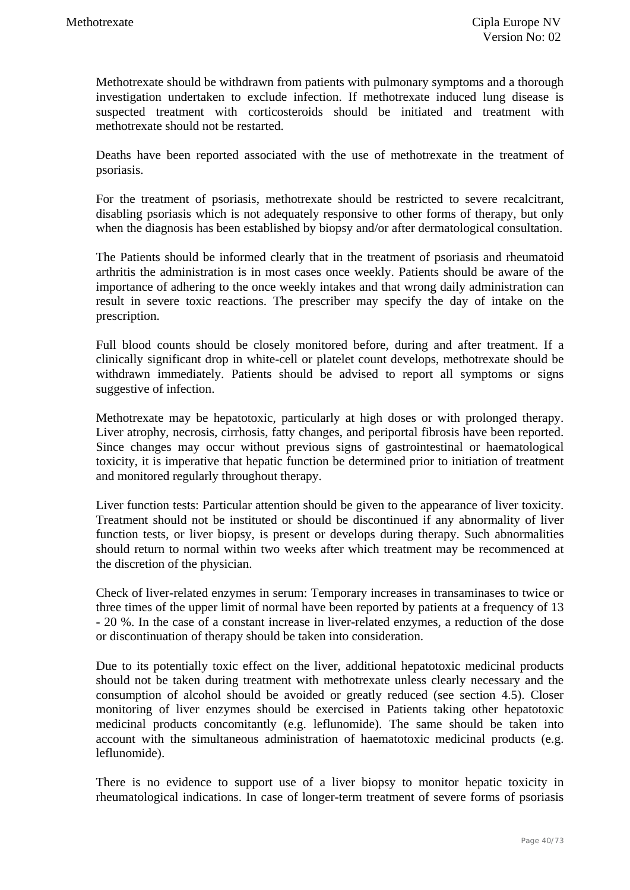Methotrexate should be withdrawn from patients with pulmonary symptoms and a thorough investigation undertaken to exclude infection. If methotrexate induced lung disease is suspected treatment with corticosteroids should be initiated and treatment with methotrexate should not be restarted.

Deaths have been reported associated with the use of methotrexate in the treatment of psoriasis.

For the treatment of psoriasis, methotrexate should be restricted to severe recalcitrant, disabling psoriasis which is not adequately responsive to other forms of therapy, but only when the diagnosis has been established by biopsy and/or after dermatological consultation.

The Patients should be informed clearly that in the treatment of psoriasis and rheumatoid arthritis the administration is in most cases once weekly. Patients should be aware of the importance of adhering to the once weekly intakes and that wrong daily administration can result in severe toxic reactions. The prescriber may specify the day of intake on the prescription.

Full blood counts should be closely monitored before, during and after treatment. If a clinically significant drop in white-cell or platelet count develops, methotrexate should be withdrawn immediately. Patients should be advised to report all symptoms or signs suggestive of infection.

Methotrexate may be hepatotoxic, particularly at high doses or with prolonged therapy. Liver atrophy, necrosis, cirrhosis, fatty changes, and periportal fibrosis have been reported. Since changes may occur without previous signs of gastrointestinal or haematological toxicity, it is imperative that hepatic function be determined prior to initiation of treatment and monitored regularly throughout therapy.

Liver function tests: Particular attention should be given to the appearance of liver toxicity. Treatment should not be instituted or should be discontinued if any abnormality of liver function tests, or liver biopsy, is present or develops during therapy. Such abnormalities should return to normal within two weeks after which treatment may be recommenced at the discretion of the physician.

Check of liver-related enzymes in serum: Temporary increases in transaminases to twice or three times of the upper limit of normal have been reported by patients at a frequency of 13 - 20 %. In the case of a constant increase in liver-related enzymes, a reduction of the dose or discontinuation of therapy should be taken into consideration.

Due to its potentially toxic effect on the liver, additional hepatotoxic medicinal products should not be taken during treatment with methotrexate unless clearly necessary and the consumption of alcohol should be avoided or greatly reduced (see section 4.5). Closer monitoring of liver enzymes should be exercised in Patients taking other hepatotoxic medicinal products concomitantly (e.g. leflunomide). The same should be taken into account with the simultaneous administration of haematotoxic medicinal products (e.g. leflunomide).

There is no evidence to support use of a liver biopsy to monitor hepatic toxicity in rheumatological indications. In case of longer-term treatment of severe forms of psoriasis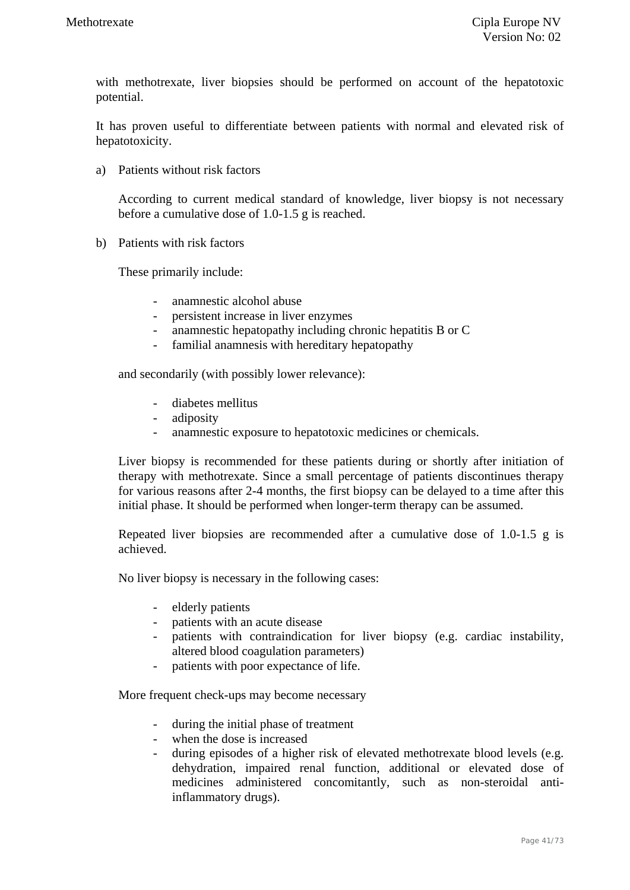with methotrexate, liver biopsies should be performed on account of the hepatotoxic potential.

It has proven useful to differentiate between patients with normal and elevated risk of hepatotoxicity.

a) Patients without risk factors

According to current medical standard of knowledge, liver biopsy is not necessary before a cumulative dose of 1.0-1.5 g is reached.

b) Patients with risk factors

These primarily include:

- anamnestic alcohol abuse
- persistent increase in liver enzymes
- anamnestic hepatopathy including chronic hepatitis B or C
- familial anamnesis with hereditary hepatopathy

and secondarily (with possibly lower relevance):

- diabetes mellitus
- adiposity
- anamnestic exposure to hepatotoxic medicines or chemicals.

Liver biopsy is recommended for these patients during or shortly after initiation of therapy with methotrexate. Since a small percentage of patients discontinues therapy for various reasons after 2-4 months, the first biopsy can be delayed to a time after this initial phase. It should be performed when longer-term therapy can be assumed.

Repeated liver biopsies are recommended after a cumulative dose of 1.0-1.5 g is achieved.

No liver biopsy is necessary in the following cases:

- elderly patients
- patients with an acute disease
- patients with contraindication for liver biopsy (e.g. cardiac instability, altered blood coagulation parameters)
- patients with poor expectance of life.

More frequent check-ups may become necessary

- during the initial phase of treatment
- when the dose is increased
- during episodes of a higher risk of elevated methotrexate blood levels (e.g. dehydration, impaired renal function, additional or elevated dose of medicines administered concomitantly, such as non-steroidal antiinflammatory drugs).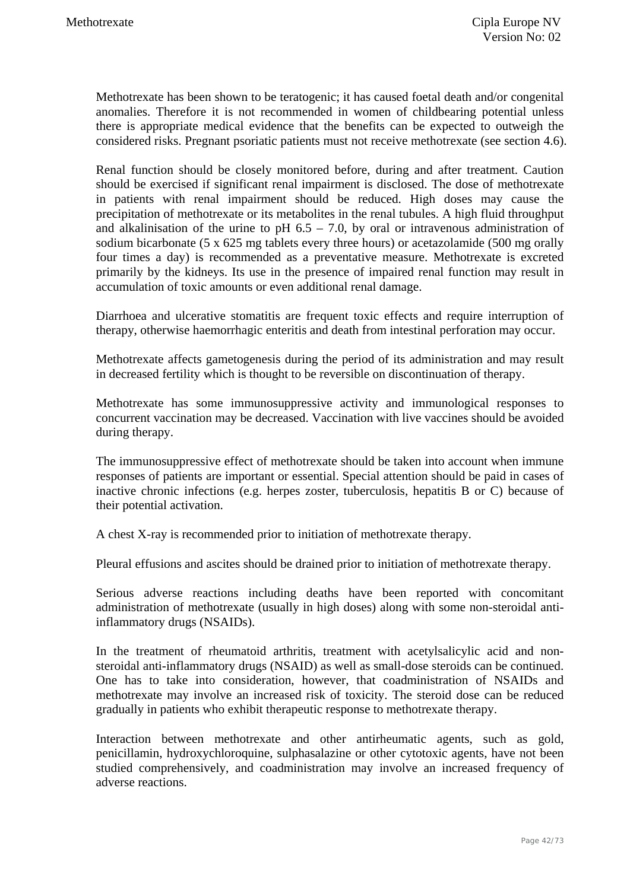Methotrexate has been shown to be teratogenic; it has caused foetal death and/or congenital anomalies. Therefore it is not recommended in women of childbearing potential unless there is appropriate medical evidence that the benefits can be expected to outweigh the considered risks. Pregnant psoriatic patients must not receive methotrexate (see section 4.6).

Renal function should be closely monitored before, during and after treatment. Caution should be exercised if significant renal impairment is disclosed. The dose of methotrexate in patients with renal impairment should be reduced. High doses may cause the precipitation of methotrexate or its metabolites in the renal tubules. A high fluid throughput and alkalinisation of the urine to pH  $6.5 - 7.0$ , by oral or intravenous administration of sodium bicarbonate (5 x 625 mg tablets every three hours) or acetazolamide (500 mg orally four times a day) is recommended as a preventative measure. Methotrexate is excreted primarily by the kidneys. Its use in the presence of impaired renal function may result in accumulation of toxic amounts or even additional renal damage.

Diarrhoea and ulcerative stomatitis are frequent toxic effects and require interruption of therapy, otherwise haemorrhagic enteritis and death from intestinal perforation may occur.

Methotrexate affects gametogenesis during the period of its administration and may result in decreased fertility which is thought to be reversible on discontinuation of therapy.

Methotrexate has some immunosuppressive activity and immunological responses to concurrent vaccination may be decreased. Vaccination with live vaccines should be avoided during therapy.

The immunosuppressive effect of methotrexate should be taken into account when immune responses of patients are important or essential. Special attention should be paid in cases of inactive chronic infections (e.g. herpes zoster, tuberculosis, hepatitis B or C) because of their potential activation.

A chest X-ray is recommended prior to initiation of methotrexate therapy.

Pleural effusions and ascites should be drained prior to initiation of methotrexate therapy.

Serious adverse reactions including deaths have been reported with concomitant administration of methotrexate (usually in high doses) along with some non-steroidal antiinflammatory drugs (NSAIDs).

In the treatment of rheumatoid arthritis, treatment with acetylsalicylic acid and nonsteroidal anti-inflammatory drugs (NSAID) as well as small-dose steroids can be continued. One has to take into consideration, however, that coadministration of NSAIDs and methotrexate may involve an increased risk of toxicity. The steroid dose can be reduced gradually in patients who exhibit therapeutic response to methotrexate therapy.

Interaction between methotrexate and other antirheumatic agents, such as gold, penicillamin, hydroxychloroquine, sulphasalazine or other cytotoxic agents, have not been studied comprehensively, and coadministration may involve an increased frequency of adverse reactions.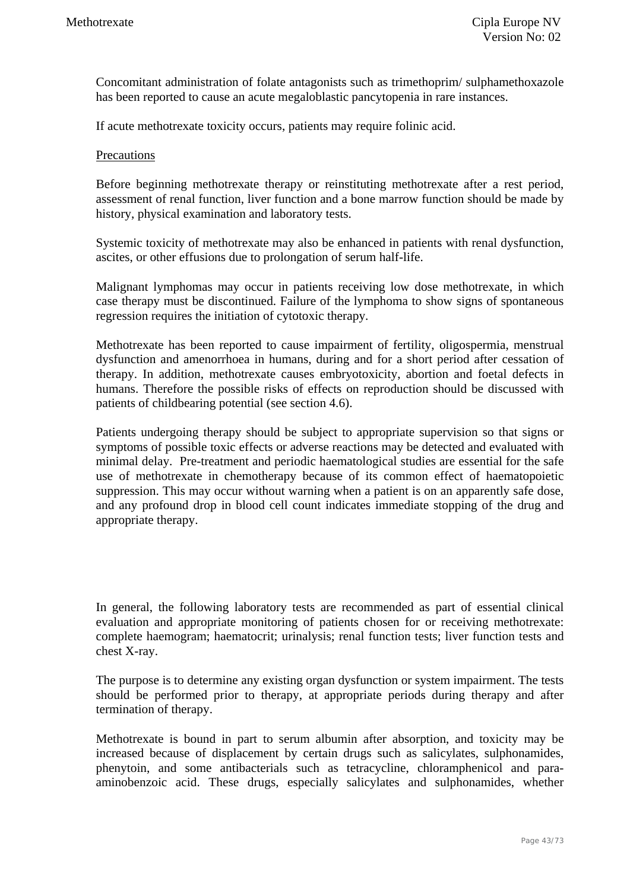Concomitant administration of folate antagonists such as trimethoprim/ sulphamethoxazole has been reported to cause an acute megaloblastic pancytopenia in rare instances.

If acute methotrexate toxicity occurs, patients may require folinic acid.

#### **Precautions**

Before beginning methotrexate therapy or reinstituting methotrexate after a rest period, assessment of renal function, liver function and a bone marrow function should be made by history, physical examination and laboratory tests.

Systemic toxicity of methotrexate may also be enhanced in patients with renal dysfunction, ascites, or other effusions due to prolongation of serum half-life.

Malignant lymphomas may occur in patients receiving low dose methotrexate, in which case therapy must be discontinued. Failure of the lymphoma to show signs of spontaneous regression requires the initiation of cytotoxic therapy.

Methotrexate has been reported to cause impairment of fertility, oligospermia, menstrual dysfunction and amenorrhoea in humans, during and for a short period after cessation of therapy. In addition, methotrexate causes embryotoxicity, abortion and foetal defects in humans. Therefore the possible risks of effects on reproduction should be discussed with patients of childbearing potential (see section 4.6).

Patients undergoing therapy should be subject to appropriate supervision so that signs or symptoms of possible toxic effects or adverse reactions may be detected and evaluated with minimal delay. Pre-treatment and periodic haematological studies are essential for the safe use of methotrexate in chemotherapy because of its common effect of haematopoietic suppression. This may occur without warning when a patient is on an apparently safe dose, and any profound drop in blood cell count indicates immediate stopping of the drug and appropriate therapy.

In general, the following laboratory tests are recommended as part of essential clinical evaluation and appropriate monitoring of patients chosen for or receiving methotrexate: complete haemogram; haematocrit; urinalysis; renal function tests; liver function tests and chest X-ray.

The purpose is to determine any existing organ dysfunction or system impairment. The tests should be performed prior to therapy, at appropriate periods during therapy and after termination of therapy.

Methotrexate is bound in part to serum albumin after absorption, and toxicity may be increased because of displacement by certain drugs such as salicylates, sulphonamides, phenytoin, and some antibacterials such as tetracycline, chloramphenicol and paraaminobenzoic acid. These drugs, especially salicylates and sulphonamides, whether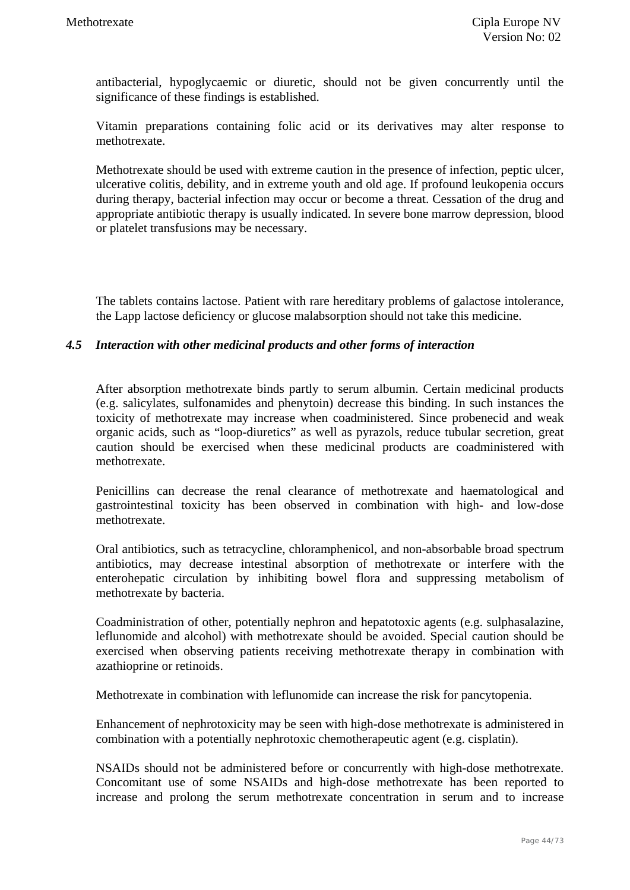antibacterial, hypoglycaemic or diuretic, should not be given concurrently until the significance of these findings is established.

Vitamin preparations containing folic acid or its derivatives may alter response to methotrexate.

Methotrexate should be used with extreme caution in the presence of infection, peptic ulcer, ulcerative colitis, debility, and in extreme youth and old age. If profound leukopenia occurs during therapy, bacterial infection may occur or become a threat. Cessation of the drug and appropriate antibiotic therapy is usually indicated. In severe bone marrow depression, blood or platelet transfusions may be necessary.

The tablets contains lactose. Patient with rare hereditary problems of galactose intolerance, the Lapp lactose deficiency or glucose malabsorption should not take this medicine.

### *4.5 Interaction with other medicinal products and other forms of interaction*

After absorption methotrexate binds partly to serum albumin. Certain medicinal products (e.g. salicylates, sulfonamides and phenytoin) decrease this binding. In such instances the toxicity of methotrexate may increase when coadministered. Since probenecid and weak organic acids, such as "loop-diuretics" as well as pyrazols, reduce tubular secretion, great caution should be exercised when these medicinal products are coadministered with methotrexate.

Penicillins can decrease the renal clearance of methotrexate and haematological and gastrointestinal toxicity has been observed in combination with high- and low-dose methotrexate.

Oral antibiotics, such as tetracycline, chloramphenicol, and non-absorbable broad spectrum antibiotics, may decrease intestinal absorption of methotrexate or interfere with the enterohepatic circulation by inhibiting bowel flora and suppressing metabolism of methotrexate by bacteria.

Coadministration of other, potentially nephron and hepatotoxic agents (e.g. sulphasalazine, leflunomide and alcohol) with methotrexate should be avoided. Special caution should be exercised when observing patients receiving methotrexate therapy in combination with azathioprine or retinoids.

Methotrexate in combination with leflunomide can increase the risk for pancytopenia.

Enhancement of nephrotoxicity may be seen with high-dose methotrexate is administered in combination with a potentially nephrotoxic chemotherapeutic agent (e.g. cisplatin).

NSAIDs should not be administered before or concurrently with high-dose methotrexate. Concomitant use of some NSAIDs and high-dose methotrexate has been reported to increase and prolong the serum methotrexate concentration in serum and to increase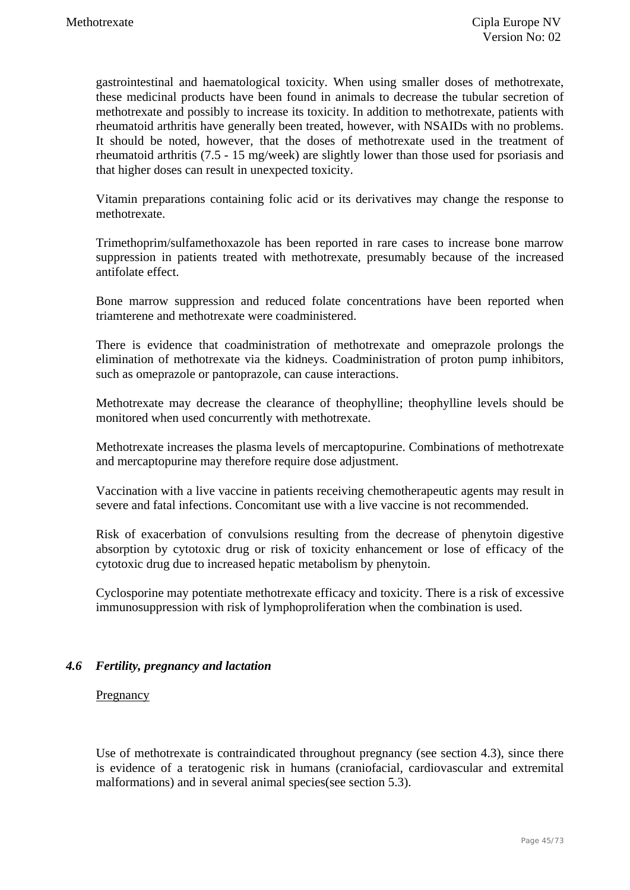gastrointestinal and haematological toxicity. When using smaller doses of methotrexate, these medicinal products have been found in animals to decrease the tubular secretion of methotrexate and possibly to increase its toxicity. In addition to methotrexate, patients with rheumatoid arthritis have generally been treated, however, with NSAIDs with no problems. It should be noted, however, that the doses of methotrexate used in the treatment of rheumatoid arthritis (7.5 - 15 mg/week) are slightly lower than those used for psoriasis and that higher doses can result in unexpected toxicity.

Vitamin preparations containing folic acid or its derivatives may change the response to methotrexate.

Trimethoprim/sulfamethoxazole has been reported in rare cases to increase bone marrow suppression in patients treated with methotrexate, presumably because of the increased antifolate effect.

Bone marrow suppression and reduced folate concentrations have been reported when triamterene and methotrexate were coadministered.

There is evidence that coadministration of methotrexate and omeprazole prolongs the elimination of methotrexate via the kidneys. Coadministration of proton pump inhibitors, such as omeprazole or pantoprazole, can cause interactions.

Methotrexate may decrease the clearance of theophylline; theophylline levels should be monitored when used concurrently with methotrexate.

Methotrexate increases the plasma levels of mercaptopurine. Combinations of methotrexate and mercaptopurine may therefore require dose adjustment.

Vaccination with a live vaccine in patients receiving chemotherapeutic agents may result in severe and fatal infections. Concomitant use with a live vaccine is not recommended.

Risk of exacerbation of convulsions resulting from the decrease of phenytoin digestive absorption by cytotoxic drug or risk of toxicity enhancement or lose of efficacy of the cytotoxic drug due to increased hepatic metabolism by phenytoin.

Cyclosporine may potentiate methotrexate efficacy and toxicity. There is a risk of excessive immunosuppression with risk of lymphoproliferation when the combination is used.

### *4.6 Fertility, pregnancy and lactation*

#### Pregnancy

Use of methotrexate is contraindicated throughout pregnancy (see section 4.3), since there is evidence of a teratogenic risk in humans (craniofacial, cardiovascular and extremital malformations) and in several animal species(see section 5.3).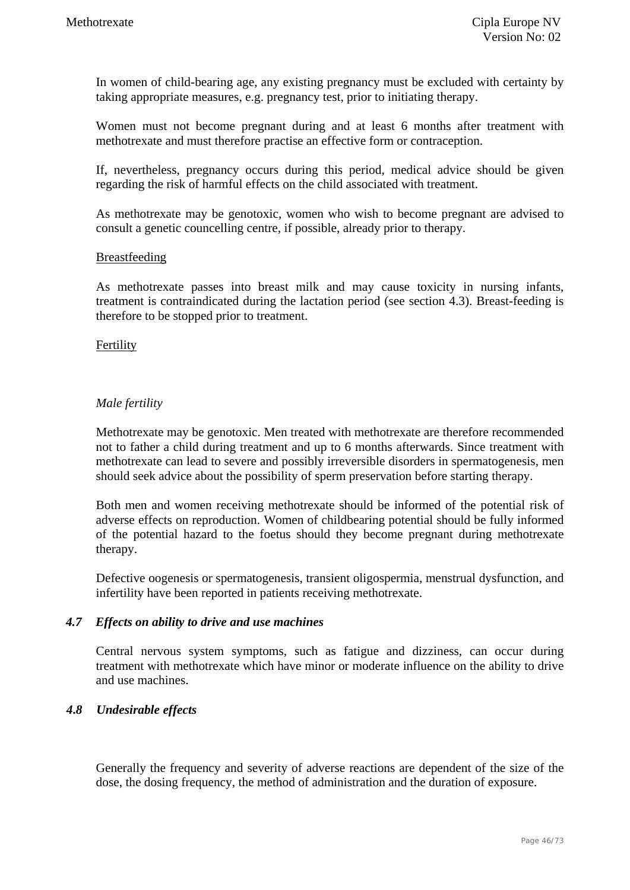In women of child-bearing age, any existing pregnancy must be excluded with certainty by taking appropriate measures, e.g. pregnancy test, prior to initiating therapy.

Women must not become pregnant during and at least 6 months after treatment with methotrexate and must therefore practise an effective form or contraception.

If, nevertheless, pregnancy occurs during this period, medical advice should be given regarding the risk of harmful effects on the child associated with treatment.

As methotrexate may be genotoxic, women who wish to become pregnant are advised to consult a genetic councelling centre, if possible, already prior to therapy.

#### Breastfeeding

As methotrexate passes into breast milk and may cause toxicity in nursing infants, treatment is contraindicated during the lactation period (see section 4.3). Breast-feeding is therefore to be stopped prior to treatment.

#### Fertility

### *Male fertility*

Methotrexate may be genotoxic. Men treated with methotrexate are therefore recommended not to father a child during treatment and up to 6 months afterwards. Since treatment with methotrexate can lead to severe and possibly irreversible disorders in spermatogenesis, men should seek advice about the possibility of sperm preservation before starting therapy.

Both men and women receiving methotrexate should be informed of the potential risk of adverse effects on reproduction. Women of childbearing potential should be fully informed of the potential hazard to the foetus should they become pregnant during methotrexate therapy.

Defective oogenesis or spermatogenesis, transient oligospermia, menstrual dysfunction, and infertility have been reported in patients receiving methotrexate.

#### *4.7 Effects on ability to drive and use machines*

Central nervous system symptoms, such as fatigue and dizziness, can occur during treatment with methotrexate which have minor or moderate influence on the ability to drive and use machines.

### *4***.***8 Undesirable effects*

Generally the frequency and severity of adverse reactions are dependent of the size of the dose, the dosing frequency, the method of administration and the duration of exposure.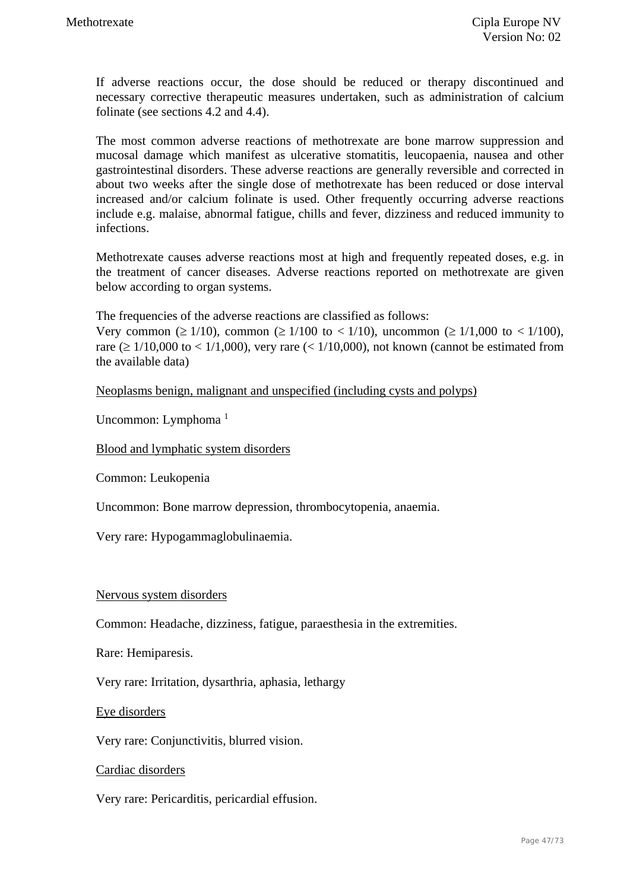If adverse reactions occur, the dose should be reduced or therapy discontinued and necessary corrective therapeutic measures undertaken, such as administration of calcium folinate (see sections 4.2 and 4.4).

The most common adverse reactions of methotrexate are bone marrow suppression and mucosal damage which manifest as ulcerative stomatitis, leucopaenia, nausea and other gastrointestinal disorders. These adverse reactions are generally reversible and corrected in about two weeks after the single dose of methotrexate has been reduced or dose interval increased and/or calcium folinate is used. Other frequently occurring adverse reactions include e.g. malaise, abnormal fatigue, chills and fever, dizziness and reduced immunity to infections.

Methotrexate causes adverse reactions most at high and frequently repeated doses, e.g. in the treatment of cancer diseases. Adverse reactions reported on methotrexate are given below according to organ systems.

The frequencies of the adverse reactions are classified as follows:

Very common ( $\geq 1/10$ ), common ( $\geq 1/100$  to  $\lt 1/10$ ), uncommon ( $\geq 1/1,000$  to  $\lt 1/100$ ). rare ( $\geq 1/10,000$  to  $\lt 1/1,000$ ), very rare ( $\lt 1/10,000$ ), not known (cannot be estimated from the available data)

Neoplasms benign, malignant and unspecified (including cysts and polyps)

Uncommon: Lymphoma<sup>1</sup>

Blood and lymphatic system disorders

Common: Leukopenia

Uncommon: Bone marrow depression, thrombocytopenia, anaemia.

Very rare: Hypogammaglobulinaemia.

#### Nervous system disorders

Common: Headache, dizziness, fatigue, paraesthesia in the extremities.

Rare: Hemiparesis.

Very rare: Irritation, dysarthria, aphasia, lethargy

Eye disorders

Very rare: Conjunctivitis, blurred vision.

Cardiac disorders

Very rare: Pericarditis, pericardial effusion.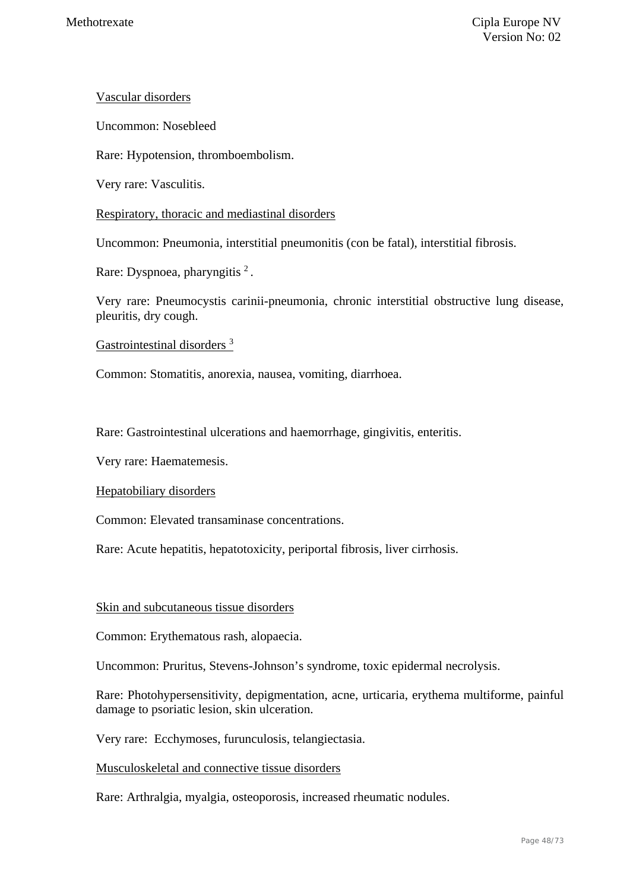### Vascular disorders

Uncommon: Nosebleed

Rare: Hypotension, thromboembolism.

Very rare: Vasculitis.

### Respiratory, thoracic and mediastinal disorders

Uncommon: Pneumonia, interstitial pneumonitis (con be fatal), interstitial fibrosis.

Rare: Dyspnoea, pharyngitis <sup>2</sup>.

Very rare: Pneumocystis carinii-pneumonia, chronic interstitial obstructive lung disease, pleuritis, dry cough.

### Gastrointestinal disorders 3

Common: Stomatitis, anorexia, nausea, vomiting, diarrhoea.

Rare: Gastrointestinal ulcerations and haemorrhage, gingivitis, enteritis.

Very rare: Haematemesis.

Hepatobiliary disorders

Common: Elevated transaminase concentrations.

Rare: Acute hepatitis, hepatotoxicity, periportal fibrosis, liver cirrhosis.

### Skin and subcutaneous tissue disorders

Common: Erythematous rash, alopaecia.

Uncommon: Pruritus, Stevens-Johnson's syndrome, toxic epidermal necrolysis.

Rare: Photohypersensitivity, depigmentation, acne, urticaria, erythema multiforme, painful damage to psoriatic lesion, skin ulceration.

Very rare: Ecchymoses, furunculosis, telangiectasia.

Musculoskeletal and connective tissue disorders

Rare: Arthralgia, myalgia, osteoporosis, increased rheumatic nodules.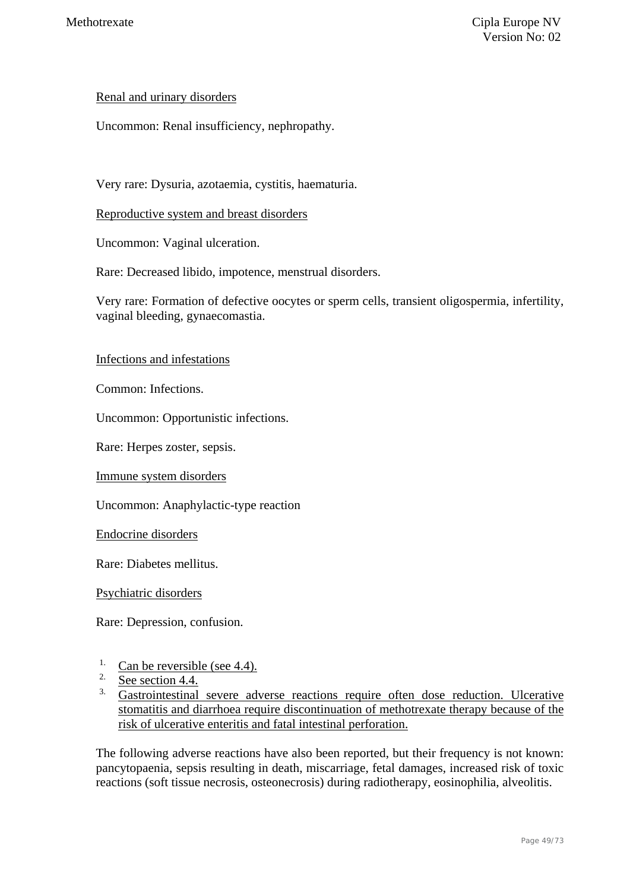### Renal and urinary disorders

Uncommon: Renal insufficiency, nephropathy.

Very rare: Dysuria, azotaemia, cystitis, haematuria.

Reproductive system and breast disorders

Uncommon: Vaginal ulceration.

Rare: Decreased libido, impotence, menstrual disorders.

Very rare: Formation of defective oocytes or sperm cells, transient oligospermia, infertility, vaginal bleeding, gynaecomastia.

### Infections and infestations

Common: Infections.

Uncommon: Opportunistic infections.

Rare: Herpes zoster, sepsis.

Immune system disorders

Uncommon: Anaphylactic-type reaction

Endocrine disorders

Rare: Diabetes mellitus.

Psychiatric disorders

Rare: Depression, confusion.

- <sup>1.</sup> Can be reversible (see 4.4).
- See section 4.4.
- <sup>3.</sup> Gastrointestinal severe adverse reactions require often dose reduction. Ulcerative stomatitis and diarrhoea require discontinuation of methotrexate therapy because of the risk of ulcerative enteritis and fatal intestinal perforation.

The following adverse reactions have also been reported, but their frequency is not known: pancytopaenia, sepsis resulting in death, miscarriage, fetal damages, increased risk of toxic reactions (soft tissue necrosis, osteonecrosis) during radiotherapy, eosinophilia, alveolitis.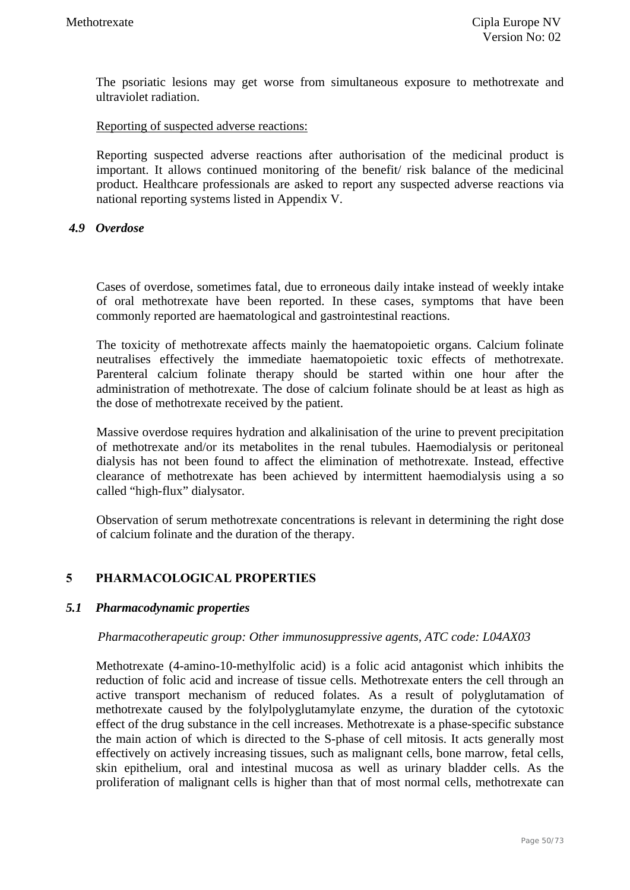The psoriatic lesions may get worse from simultaneous exposure to methotrexate and ultraviolet radiation.

#### Reporting of suspected adverse reactions:

Reporting suspected adverse reactions after authorisation of the medicinal product is important. It allows continued monitoring of the benefit/ risk balance of the medicinal product. Healthcare professionals are asked to report any suspected adverse reactions via national reporting systems listed in Appendix V.

#### *4.9 Overdose*

Cases of overdose, sometimes fatal, due to erroneous daily intake instead of weekly intake of oral methotrexate have been reported. In these cases, symptoms that have been commonly reported are haematological and gastrointestinal reactions.

The toxicity of methotrexate affects mainly the haematopoietic organs. Calcium folinate neutralises effectively the immediate haematopoietic toxic effects of methotrexate. Parenteral calcium folinate therapy should be started within one hour after the administration of methotrexate. The dose of calcium folinate should be at least as high as the dose of methotrexate received by the patient.

Massive overdose requires hydration and alkalinisation of the urine to prevent precipitation of methotrexate and/or its metabolites in the renal tubules. Haemodialysis or peritoneal dialysis has not been found to affect the elimination of methotrexate. Instead, effective clearance of methotrexate has been achieved by intermittent haemodialysis using a so called "high-flux" dialysator.

Observation of serum methotrexate concentrations is relevant in determining the right dose of calcium folinate and the duration of the therapy.

### **5 PHARMACOLOGICAL PROPERTIES**

### *5.1 Pharmacodynamic properties*

#### *Pharmacotherapeutic group: Other immunosuppressive agents, ATC code: L04AX03*

Methotrexate (4-amino-10-methylfolic acid) is a folic acid antagonist which inhibits the reduction of folic acid and increase of tissue cells. Methotrexate enters the cell through an active transport mechanism of reduced folates. As a result of polyglutamation of methotrexate caused by the folylpolyglutamylate enzyme, the duration of the cytotoxic effect of the drug substance in the cell increases. Methotrexate is a phase-specific substance the main action of which is directed to the S-phase of cell mitosis. It acts generally most effectively on actively increasing tissues, such as malignant cells, bone marrow, fetal cells, skin epithelium, oral and intestinal mucosa as well as urinary bladder cells. As the proliferation of malignant cells is higher than that of most normal cells, methotrexate can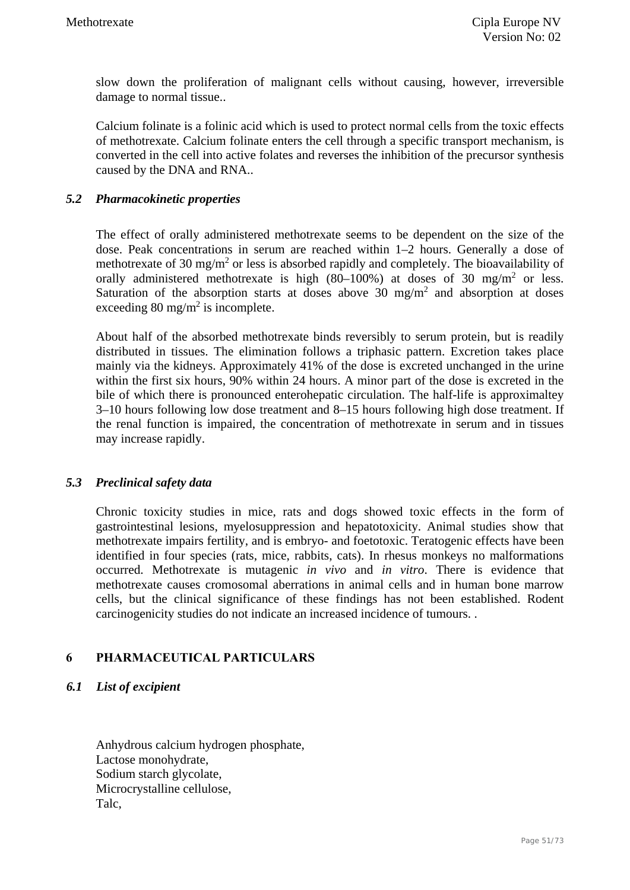slow down the proliferation of malignant cells without causing, however, irreversible damage to normal tissue..

Calcium folinate is a folinic acid which is used to protect normal cells from the toxic effects of methotrexate. Calcium folinate enters the cell through a specific transport mechanism, is converted in the cell into active folates and reverses the inhibition of the precursor synthesis caused by the DNA and RNA..

### *5.2 Pharmacokinetic properties*

The effect of orally administered methotrexate seems to be dependent on the size of the dose. Peak concentrations in serum are reached within 1–2 hours. Generally a dose of methotrexate of 30 mg/m<sup>2</sup> or less is absorbed rapidly and completely. The bioavailability of orally administered methotrexate is high  $(80-100%)$  at doses of 30 mg/m<sup>2</sup> or less. Saturation of the absorption starts at doses above  $30 \text{ mg/m}^2$  and absorption at doses exceeding 80 mg/m<sup>2</sup> is incomplete.

About half of the absorbed methotrexate binds reversibly to serum protein, but is readily distributed in tissues. The elimination follows a triphasic pattern. Excretion takes place mainly via the kidneys. Approximately 41% of the dose is excreted unchanged in the urine within the first six hours, 90% within 24 hours. A minor part of the dose is excreted in the bile of which there is pronounced enterohepatic circulation. The half-life is approximaltey 3–10 hours following low dose treatment and 8–15 hours following high dose treatment. If the renal function is impaired, the concentration of methotrexate in serum and in tissues may increase rapidly.

### *5.3 Preclinical safety data*

Chronic toxicity studies in mice, rats and dogs showed toxic effects in the form of gastrointestinal lesions, myelosuppression and hepatotoxicity. Animal studies show that methotrexate impairs fertility, and is embryo- and foetotoxic. Teratogenic effects have been identified in four species (rats, mice, rabbits, cats). In rhesus monkeys no malformations occurred. Methotrexate is mutagenic *in vivo* and *in vitro*. There is evidence that methotrexate causes cromosomal aberrations in animal cells and in human bone marrow cells, but the clinical significance of these findings has not been established. Rodent carcinogenicity studies do not indicate an increased incidence of tumours. .

### **6 PHARMACEUTICAL PARTICULARS**

*6.1 List of excipient* 

Anhydrous calcium hydrogen phosphate, Lactose monohydrate, Sodium starch glycolate, Microcrystalline cellulose, Talc,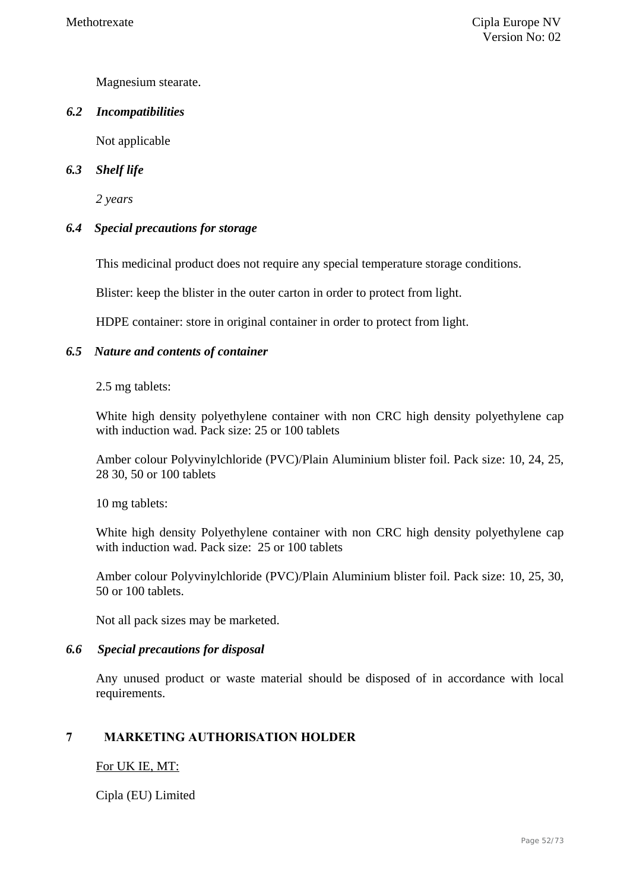Magnesium stearate.

### *6.2 Incompatibilities*

Not applicable

### *6.3 Shelf life*

*2 years* 

### *6.4 Special precautions for storage*

This medicinal product does not require any special temperature storage conditions.

Blister: keep the blister in the outer carton in order to protect from light.

HDPE container: store in original container in order to protect from light.

### *6.5 Nature and contents of container*

#### 2.5 mg tablets:

White high density polyethylene container with non CRC high density polyethylene cap with induction wad. Pack size: 25 or 100 tablets

Amber colour Polyvinylchloride (PVC)/Plain Aluminium blister foil. Pack size: 10, 24, 25, 28 30, 50 or 100 tablets

10 mg tablets:

White high density Polyethylene container with non CRC high density polyethylene cap with induction wad. Pack size: 25 or 100 tablets

Amber colour Polyvinylchloride (PVC)/Plain Aluminium blister foil. Pack size: 10, 25, 30, 50 or 100 tablets.

Not all pack sizes may be marketed.

### *6.6 Special precautions for disposal*

Any unused product or waste material should be disposed of in accordance with local requirements.

### **7 MARKETING AUTHORISATION HOLDER**

### For UK IE, MT:

Cipla (EU) Limited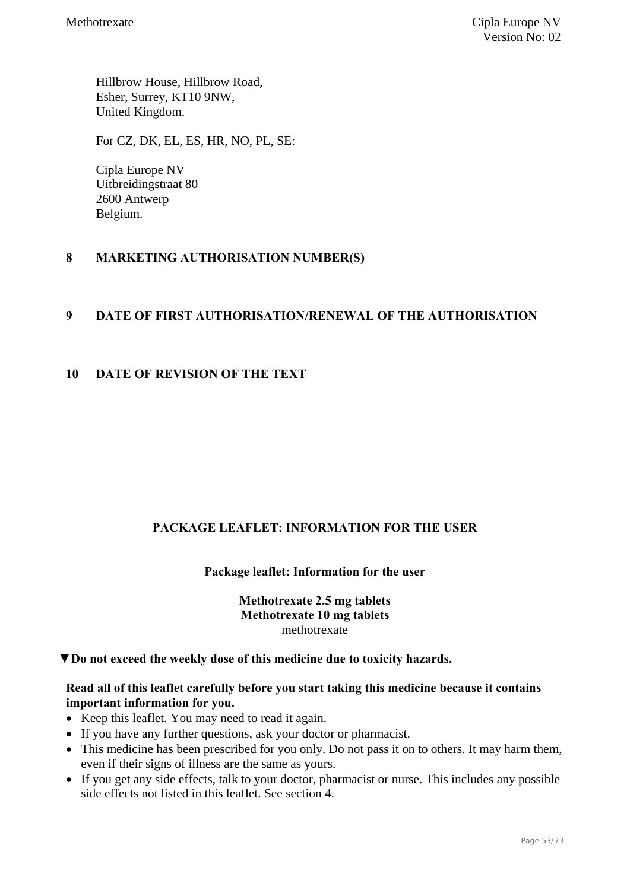Hillbrow House, Hillbrow Road, Esher, Surrey, KT10 9NW, United Kingdom.

For CZ, DK, EL, ES, HR, NO, PL, SE:

Cipla Europe NV Uitbreidingstraat 80 2600 Antwerp Belgium.

### **8 MARKETING AUTHORISATION NUMBER(S)**

### **9 DATE OF FIRST AUTHORISATION/RENEWAL OF THE AUTHORISATION**

### **10 DATE OF REVISION OF THE TEXT**

### **PACKAGE LEAFLET: INFORMATION FOR THE USER**

### **Package leaflet: Information for the user**

### **Methotrexate 2.5 mg tablets Methotrexate 10 mg tablets**  methotrexate

**▼Do not exceed the weekly dose of this medicine due to toxicity hazards.** 

### **Read all of this leaflet carefully before you start taking this medicine because it contains important information for you.**

- Keep this leaflet. You may need to read it again.
- If you have any further questions, ask your doctor or pharmacist.
- This medicine has been prescribed for you only. Do not pass it on to others. It may harm them, even if their signs of illness are the same as yours.
- If you get any side effects, talk to your doctor, pharmacist or nurse. This includes any possible side effects not listed in this leaflet. See section 4.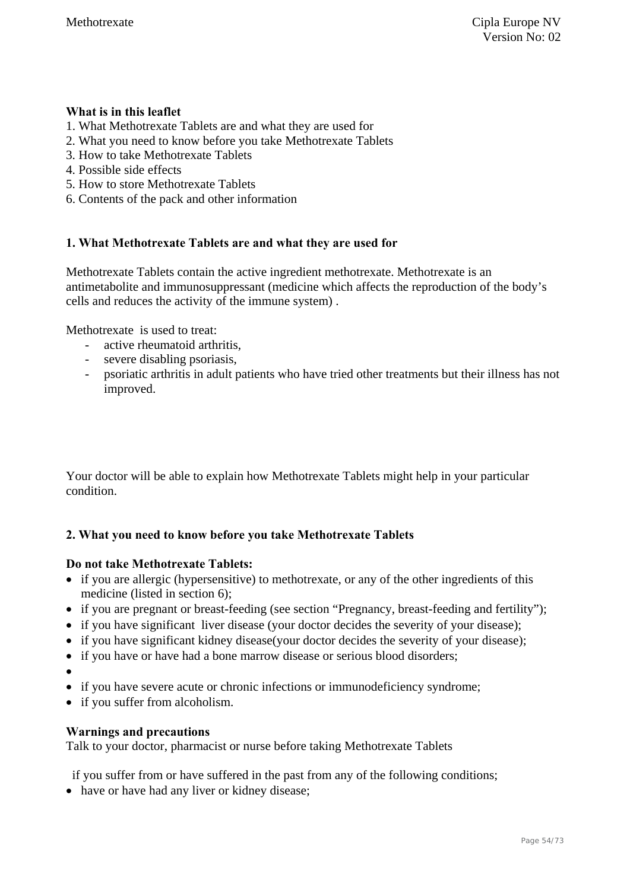### **What is in this leaflet**

- 1. What Methotrexate Tablets are and what they are used for
- 2. What you need to know before you take Methotrexate Tablets
- 3. How to take Methotrexate Tablets
- 4. Possible side effects
- 5. How to store Methotrexate Tablets
- 6. Contents of the pack and other information

### **1. What Methotrexate Tablets are and what they are used for**

Methotrexate Tablets contain the active ingredient methotrexate. Methotrexate is an antimetabolite and immunosuppressant (medicine which affects the reproduction of the body's cells and reduces the activity of the immune system) .

Methotrexate is used to treat:

- active rheumatoid arthritis,
- severe disabling psoriasis,
- psoriatic arthritis in adult patients who have tried other treatments but their illness has not improved.

Your doctor will be able to explain how Methotrexate Tablets might help in your particular condition.

### **2. What you need to know before you take Methotrexate Tablets**

### **Do not take Methotrexate Tablets:**

- if you are allergic (hypersensitive) to methotrexate, or any of the other ingredients of this medicine (listed in section 6);
- if you are pregnant or breast-feeding (see section "Pregnancy, breast-feeding and fertility");
- if you have significant liver disease (your doctor decides the severity of your disease);
- if you have significant kidney disease(your doctor decides the severity of your disease);
- if you have or have had a bone marrow disease or serious blood disorders;
- $\bullet$
- if you have severe acute or chronic infections or immunodeficiency syndrome;
- if you suffer from alcoholism.

### **Warnings and precautions**

Talk to your doctor, pharmacist or nurse before taking Methotrexate Tablets

if you suffer from or have suffered in the past from any of the following conditions;

• have or have had any liver or kidney disease;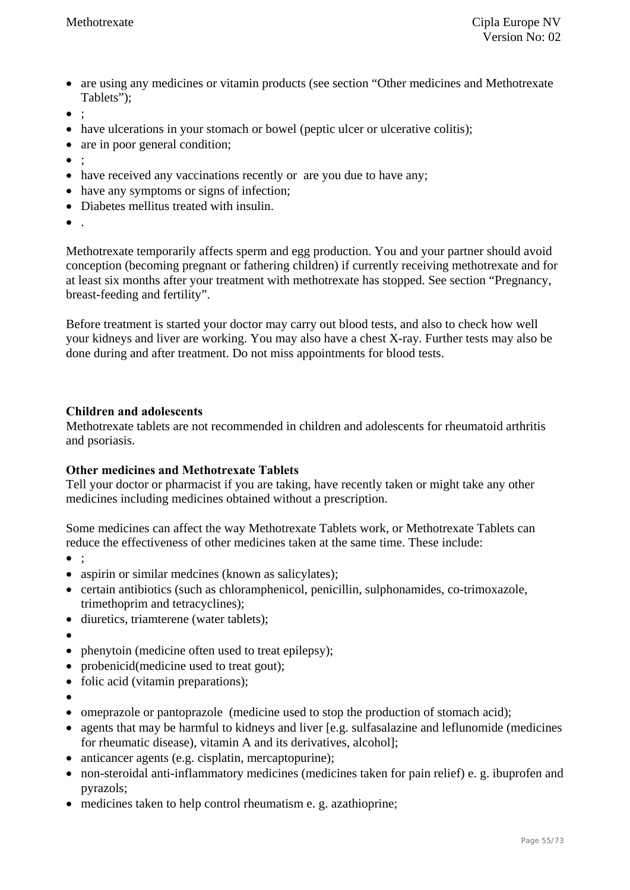- are using any medicines or vitamin products (see section "Other medicines and Methotrexate Tablets");
- $\bullet$  :
- have ulcerations in your stomach or bowel (peptic ulcer or ulcerative colitis);
- are in poor general condition;
- $\bullet$  :
- have received any vaccinations recently or are you due to have any;
- have any symptoms or signs of infection;
- Diabetes mellitus treated with insulin.
- .

Methotrexate temporarily affects sperm and egg production. You and your partner should avoid conception (becoming pregnant or fathering children) if currently receiving methotrexate and for at least six months after your treatment with methotrexate has stopped. See section "Pregnancy, breast-feeding and fertility".

Before treatment is started your doctor may carry out blood tests, and also to check how well your kidneys and liver are working. You may also have a chest X-ray. Further tests may also be done during and after treatment. Do not miss appointments for blood tests.

#### **Children and adolescents**

Methotrexate tablets are not recommended in children and adolescents for rheumatoid arthritis and psoriasis.

### **Other medicines and Methotrexate Tablets**

Tell your doctor or pharmacist if you are taking, have recently taken or might take any other medicines including medicines obtained without a prescription.

Some medicines can affect the way Methotrexate Tablets work, or Methotrexate Tablets can reduce the effectiveness of other medicines taken at the same time. These include:

- $\bullet$  :
- aspirin or similar medcines (known as salicylates);
- certain antibiotics (such as chloramphenicol, penicillin, sulphonamides, co-trimoxazole, trimethoprim and tetracyclines);
- diuretics, triamterene (water tablets):
- $\bullet$
- phenytoin (medicine often used to treat epilepsy);
- probenicid(medicine used to treat gout):
- folic acid (vitamin preparations);
- $\bullet$
- omeprazole or pantoprazole (medicine used to stop the production of stomach acid);
- agents that may be harmful to kidneys and liver [e.g. sulfasalazine and leflunomide (medicines for rheumatic disease), vitamin A and its derivatives, alcohol];
- anticancer agents (e.g. cisplatin, mercaptopurine);
- non-steroidal anti-inflammatory medicines (medicines taken for pain relief) e. g. ibuprofen and pyrazols;
- medicines taken to help control rheumatism e. g. azathioprine;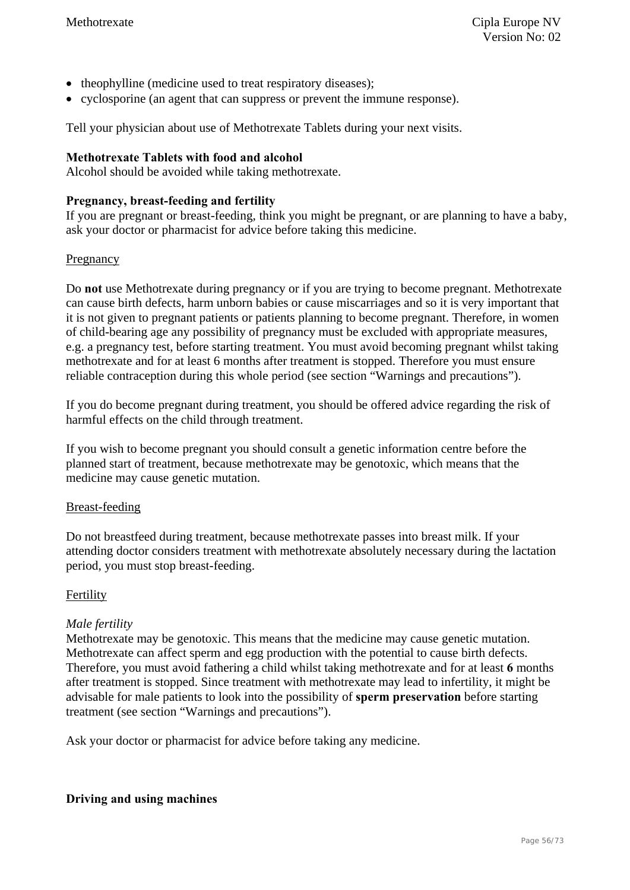- theophylline (medicine used to treat respiratory diseases);
- cyclosporine (an agent that can suppress or prevent the immune response).

Tell your physician about use of Methotrexate Tablets during your next visits.

### **Methotrexate Tablets with food and alcohol**

Alcohol should be avoided while taking methotrexate.

### **Pregnancy, breast-feeding and fertility**

If you are pregnant or breast-feeding, think you might be pregnant, or are planning to have a baby, ask your doctor or pharmacist for advice before taking this medicine.

### Pregnancy

Do **not** use Methotrexate during pregnancy or if you are trying to become pregnant. Methotrexate can cause birth defects, harm unborn babies or cause miscarriages and so it is very important that it is not given to pregnant patients or patients planning to become pregnant. Therefore, in women of child-bearing age any possibility of pregnancy must be excluded with appropriate measures, e.g. a pregnancy test, before starting treatment. You must avoid becoming pregnant whilst taking methotrexate and for at least 6 months after treatment is stopped. Therefore you must ensure reliable contraception during this whole period (see section "Warnings and precautions").

If you do become pregnant during treatment, you should be offered advice regarding the risk of harmful effects on the child through treatment.

If you wish to become pregnant you should consult a genetic information centre before the planned start of treatment, because methotrexate may be genotoxic, which means that the medicine may cause genetic mutation.

### Breast-feeding

Do not breastfeed during treatment, because methotrexate passes into breast milk. If your attending doctor considers treatment with methotrexate absolutely necessary during the lactation period, you must stop breast-feeding.

### Fertility

### *Male fertility*

Methotrexate may be genotoxic. This means that the medicine may cause genetic mutation. Methotrexate can affect sperm and egg production with the potential to cause birth defects. Therefore, you must avoid fathering a child whilst taking methotrexate and for at least **6** months after treatment is stopped. Since treatment with methotrexate may lead to infertility, it might be advisable for male patients to look into the possibility of **sperm preservation** before starting treatment (see section "Warnings and precautions").

Ask your doctor or pharmacist for advice before taking any medicine.

### **Driving and using machines**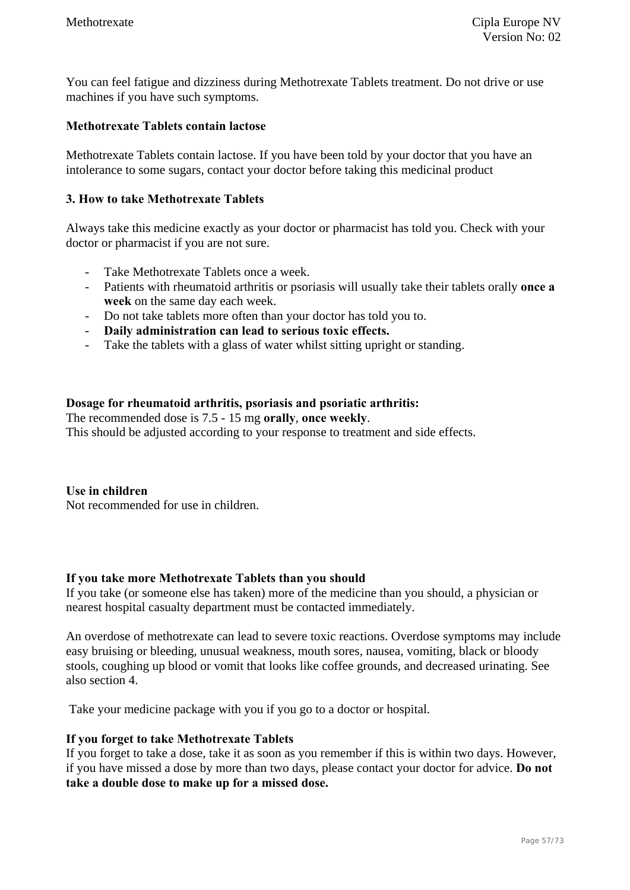You can feel fatigue and dizziness during Methotrexate Tablets treatment. Do not drive or use machines if you have such symptoms.

### **Methotrexate Tablets contain lactose**

Methotrexate Tablets contain lactose. If you have been told by your doctor that you have an intolerance to some sugars, contact your doctor before taking this medicinal product

#### **3. How to take Methotrexate Tablets**

Always take this medicine exactly as your doctor or pharmacist has told you. Check with your doctor or pharmacist if you are not sure.

- Take Methotrexate Tablets once a week.
- Patients with rheumatoid arthritis or psoriasis will usually take their tablets orally **once a week** on the same day each week.
- Do not take tablets more often than your doctor has told you to.
- **Daily administration can lead to serious toxic effects.**
- Take the tablets with a glass of water whilst sitting upright or standing.

#### **Dosage for rheumatoid arthritis, psoriasis and psoriatic arthritis:**

The recommended dose is 7.5 - 15 mg **orally**, **once weekly**.

This should be adjusted according to your response to treatment and side effects.

**Use in children**  Not recommended for use in children.

#### **If you take more Methotrexate Tablets than you should**

If you take (or someone else has taken) more of the medicine than you should, a physician or nearest hospital casualty department must be contacted immediately.

An overdose of methotrexate can lead to severe toxic reactions. Overdose symptoms may include easy bruising or bleeding, unusual weakness, mouth sores, nausea, vomiting, black or bloody stools, coughing up blood or vomit that looks like coffee grounds, and decreased urinating. See also section 4.

Take your medicine package with you if you go to a doctor or hospital.

#### **If you forget to take Methotrexate Tablets**

If you forget to take a dose, take it as soon as you remember if this is within two days. However, if you have missed a dose by more than two days, please contact your doctor for advice. **Do not take a double dose to make up for a missed dose.**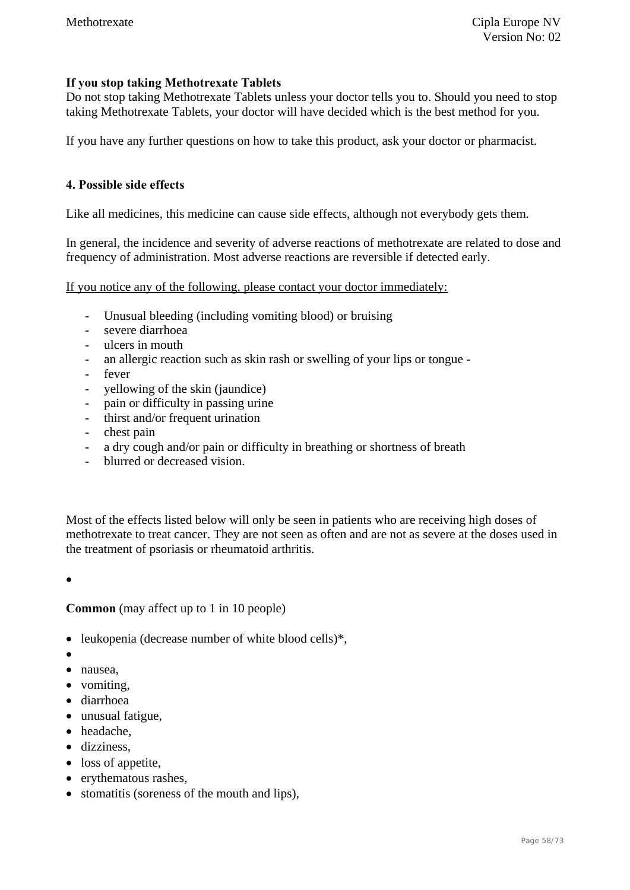### **If you stop taking Methotrexate Tablets**

Do not stop taking Methotrexate Tablets unless your doctor tells you to. Should you need to stop taking Methotrexate Tablets, your doctor will have decided which is the best method for you.

If you have any further questions on how to take this product, ask your doctor or pharmacist.

#### **4. Possible side effects**

Like all medicines, this medicine can cause side effects, although not everybody gets them.

In general, the incidence and severity of adverse reactions of methotrexate are related to dose and frequency of administration. Most adverse reactions are reversible if detected early.

If you notice any of the following, please contact your doctor immediately:

- Unusual bleeding (including vomiting blood) or bruising
- severe diarrhoea
- ulcers in mouth
- an allergic reaction such as skin rash or swelling of your lips or tongue -
- fever
- yellowing of the skin (jaundice)
- pain or difficulty in passing urine
- thirst and/or frequent urination
- chest pain
- a dry cough and/or pain or difficulty in breathing or shortness of breath
- blurred or decreased vision.

Most of the effects listed below will only be seen in patients who are receiving high doses of methotrexate to treat cancer. They are not seen as often and are not as severe at the doses used in the treatment of psoriasis or rheumatoid arthritis.

 $\bullet$ 

**Common** (may affect up to 1 in 10 people)

- leukopenia (decrease number of white blood cells)\*,
- $\bullet$
- nausea,
- vomiting,
- diarrhoea
- unusual fatigue,
- headache,
- dizziness.
- loss of appetite.
- erythematous rashes,
- stomatitis (soreness of the mouth and lips).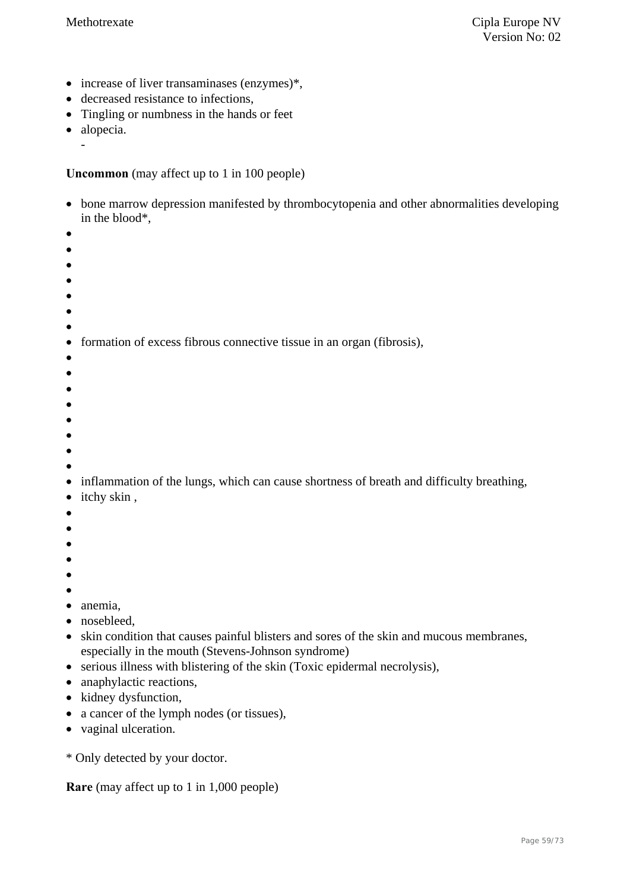- $\bullet$  increase of liver transaminases (enzymes)\*,
- decreased resistance to infections,
- Tingling or numbness in the hands or feet
- alopecia.

-

**Uncommon** (may affect up to 1 in 100 people)

- bone marrow depression manifested by thrombocytopenia and other abnormalities developing in the blood\*,
- $\bullet$
- $\bullet$
- $\bullet$
- $\bullet$
- $\bullet$
- $\bullet$
- $\bullet$

• formation of excess fibrous connective tissue in an organ (fibrosis),

- $\bullet$
- $\bullet$
- $\bullet$
- $\bullet$
- $\bullet$
- $\bullet$
- $\bullet$
- $\bullet$

• inflammation of the lungs, which can cause shortness of breath and difficulty breathing,

- itchy skin,
- $\bullet$
- $\bullet$
- $\bullet$
- $\bullet$
- $\bullet$
- $\bullet$
- anemia.
- nosebleed.
- skin condition that causes painful blisters and sores of the skin and mucous membranes, especially in the mouth (Stevens-Johnson syndrome)
- serious illness with blistering of the skin (Toxic epidermal necrolysis),
- anaphylactic reactions,
- kidney dysfunction,
- a cancer of the lymph nodes (or tissues),
- vaginal ulceration.

\* Only detected by your doctor.

**Rare** (may affect up to 1 in 1,000 people)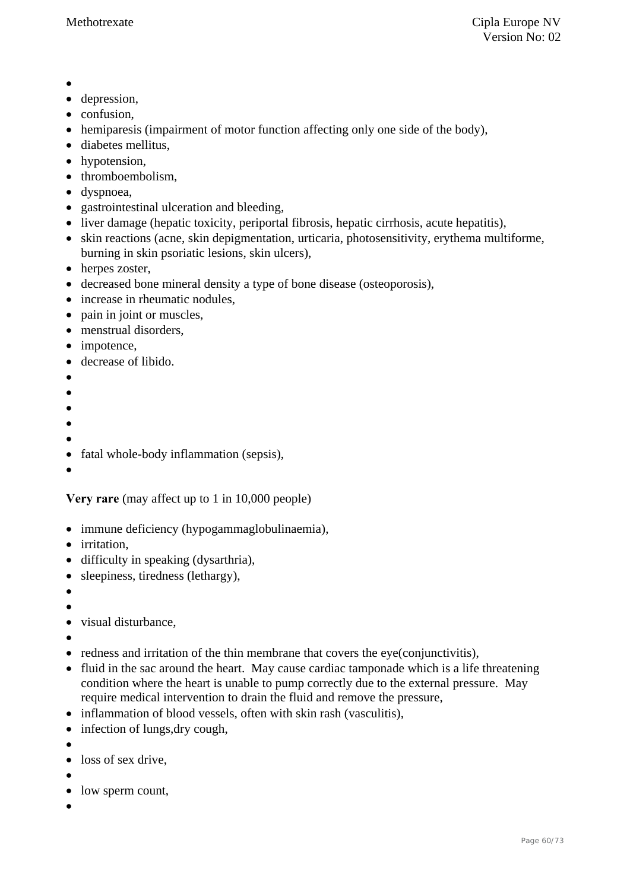- $\bullet$
- depression,
- confusion,
- hemiparesis (impairment of motor function affecting only one side of the body),
- diabetes mellitus,
- hypotension,
- thromboembolism,
- dyspnoea.
- gastrointestinal ulceration and bleeding,
- liver damage (hepatic toxicity, periportal fibrosis, hepatic cirrhosis, acute hepatitis),
- skin reactions (acne, skin depigmentation, urticaria, photosensitivity, erythema multiforme, burning in skin psoriatic lesions, skin ulcers),
- herpes zoster,
- decreased bone mineral density a type of bone disease (osteoporosis),
- increase in rheumatic nodules,
- pain in joint or muscles,
- menstrual disorders,
- impotence,
- decrease of libido.
- $\bullet$
- $\bullet$
- $\bullet$
- $\bullet$
- $\bullet$
- fatal whole-body inflammation (sepsis),
- $\bullet$

**Very rare** (may affect up to 1 in 10,000 people)

- immune deficiency (hypogammaglobulinaemia),
- irritation.
- difficulty in speaking (dysarthria),
- sleepiness, tiredness (lethargy),
- $\bullet$
- $\bullet$
- visual disturbance,

 $\bullet$ 

- redness and irritation of the thin membrane that covers the eye(conjunctivitis),
- fluid in the sac around the heart. May cause cardiac tamponade which is a life threatening condition where the heart is unable to pump correctly due to the external pressure. May require medical intervention to drain the fluid and remove the pressure,
- inflammation of blood vessels, often with skin rash (vasculitis),
- infection of lungs, dry cough,
- $\bullet$
- loss of sex drive.
- 
- $\bullet$
- low sperm count,
- $\bullet$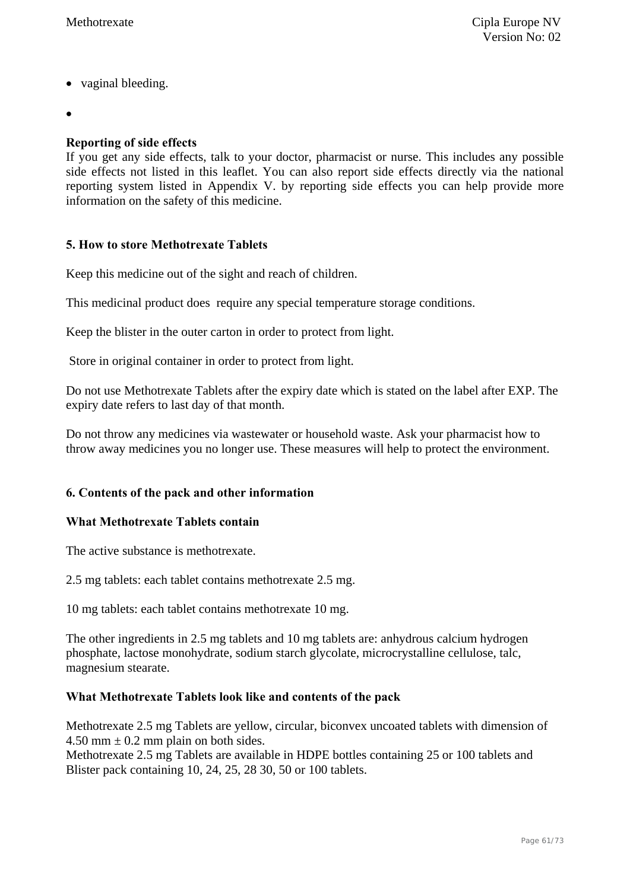- vaginal bleeding.
- $\bullet$

### **Reporting of side effects**

If you get any side effects, talk to your doctor, pharmacist or nurse. This includes any possible side effects not listed in this leaflet. You can also report side effects directly via the national reporting system listed in Appendix V. by reporting side effects you can help provide more information on the safety of this medicine.

### **5. How to store Methotrexate Tablets**

Keep this medicine out of the sight and reach of children.

This medicinal product does require any special temperature storage conditions.

Keep the blister in the outer carton in order to protect from light.

Store in original container in order to protect from light.

Do not use Methotrexate Tablets after the expiry date which is stated on the label after EXP. The expiry date refers to last day of that month.

Do not throw any medicines via wastewater or household waste. Ask your pharmacist how to throw away medicines you no longer use. These measures will help to protect the environment.

### **6. Contents of the pack and other information**

#### **What Methotrexate Tablets contain**

The active substance is methotrexate.

2.5 mg tablets: each tablet contains methotrexate 2.5 mg.

10 mg tablets: each tablet contains methotrexate 10 mg.

The other ingredients in 2.5 mg tablets and 10 mg tablets are: anhydrous calcium hydrogen phosphate, lactose monohydrate, sodium starch glycolate, microcrystalline cellulose, talc, magnesium stearate.

#### **What Methotrexate Tablets look like and contents of the pack**

Methotrexate 2.5 mg Tablets are yellow, circular, biconvex uncoated tablets with dimension of 4.50 mm  $\pm$  0.2 mm plain on both sides.

Methotrexate 2.5 mg Tablets are available in HDPE bottles containing 25 or 100 tablets and Blister pack containing 10, 24, 25, 28 30, 50 or 100 tablets.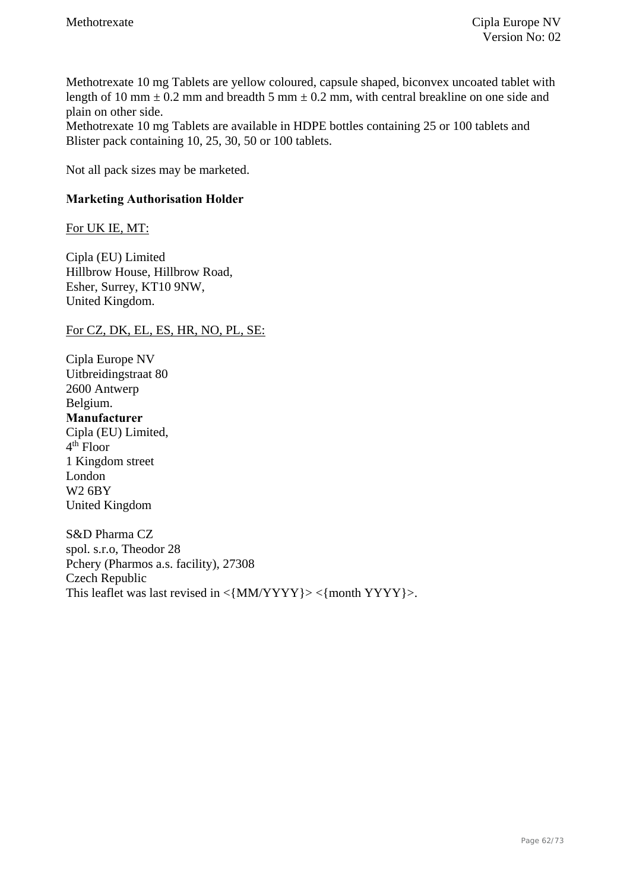Methotrexate 10 mg Tablets are yellow coloured, capsule shaped, biconvex uncoated tablet with length of 10 mm  $\pm$  0.2 mm and breadth 5 mm  $\pm$  0.2 mm, with central breakline on one side and plain on other side.

Methotrexate 10 mg Tablets are available in HDPE bottles containing 25 or 100 tablets and Blister pack containing 10, 25, 30, 50 or 100 tablets.

Not all pack sizes may be marketed.

### **Marketing Authorisation Holder**

### For UK IE, MT:

Cipla (EU) Limited Hillbrow House, Hillbrow Road, Esher, Surrey, KT10 9NW, United Kingdom.

For CZ, DK, EL, ES, HR, NO, PL, SE:

Cipla Europe NV Uitbreidingstraat 80 2600 Antwerp Belgium. **Manufacturer**  Cipla (EU) Limited,  $4<sup>th</sup>$  Floor 1 Kingdom street London W2 6BY United Kingdom

S&D Pharma CZ spol. s.r.o, Theodor 28 Pchery (Pharmos a.s. facility), 27308 Czech Republic This leaflet was last revised in  $\langle$  MM/YYYY} >  $\langle$  month YYYY} >.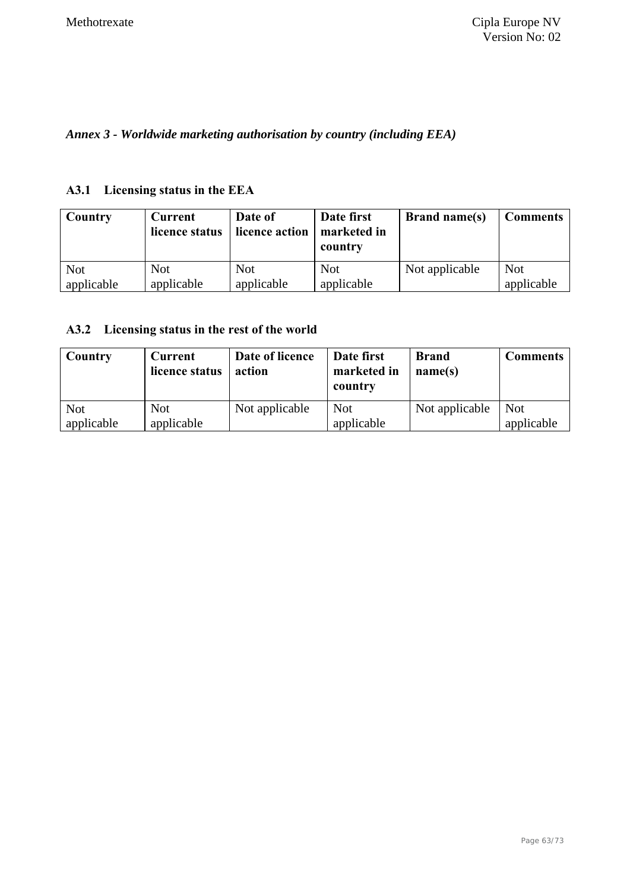*Annex 3 - Worldwide marketing authorisation by country (including EEA)* 

### **A3.1 Licensing status in the EEA**

| Country    | <b>Current</b><br>licence status | Date of<br>licence action | Date first<br>marketed in<br>country | <b>Brand name(s)</b> | <b>Comments</b> |
|------------|----------------------------------|---------------------------|--------------------------------------|----------------------|-----------------|
| <b>Not</b> | <b>Not</b>                       | <b>Not</b>                | <b>Not</b>                           | Not applicable       | <b>Not</b>      |
| applicable | applicable                       | applicable                | applicable                           |                      | applicable      |

### **A3.2 Licensing status in the rest of the world**

| Country                  | <b>Current</b><br>licence status | Date of licence<br>action | Date first<br>marketed in<br>country | <b>Brand</b><br>name(s) | <b>Comments</b>          |
|--------------------------|----------------------------------|---------------------------|--------------------------------------|-------------------------|--------------------------|
| <b>Not</b><br>applicable | <b>Not</b><br>applicable         | Not applicable            | <b>Not</b><br>applicable             | Not applicable          | <b>Not</b><br>applicable |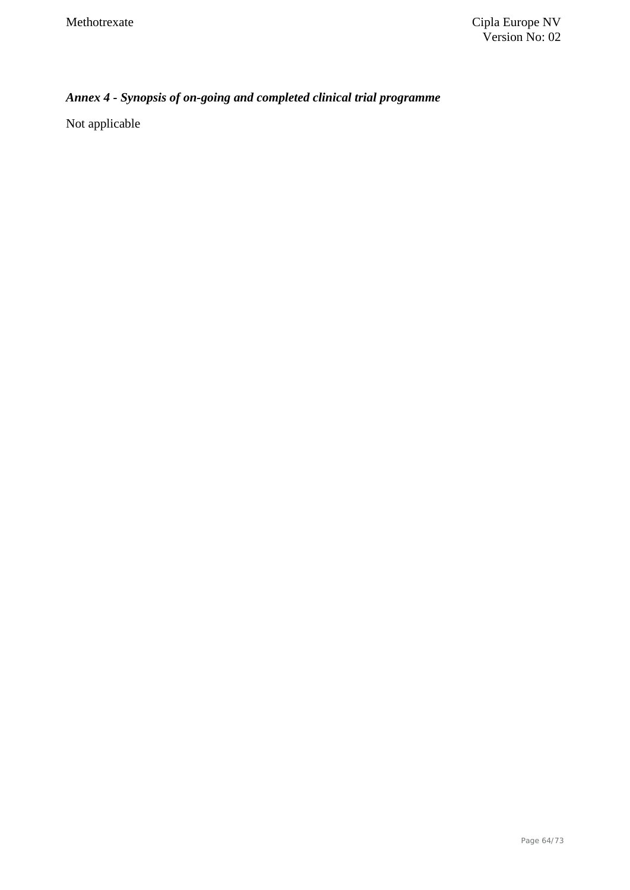# *Annex 4 - Synopsis of on-going and completed clinical trial programme*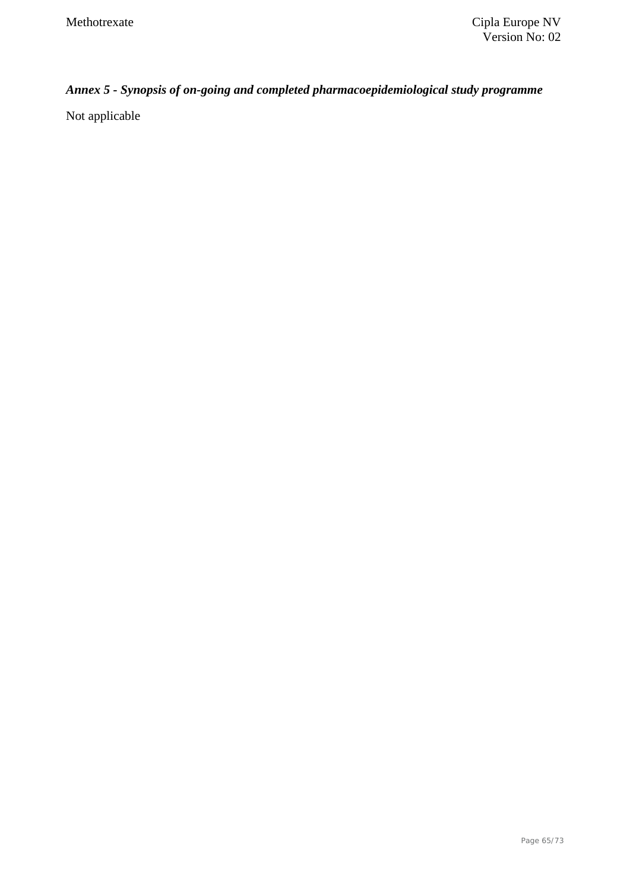# *Annex 5 - Synopsis of on-going and completed pharmacoepidemiological study programme*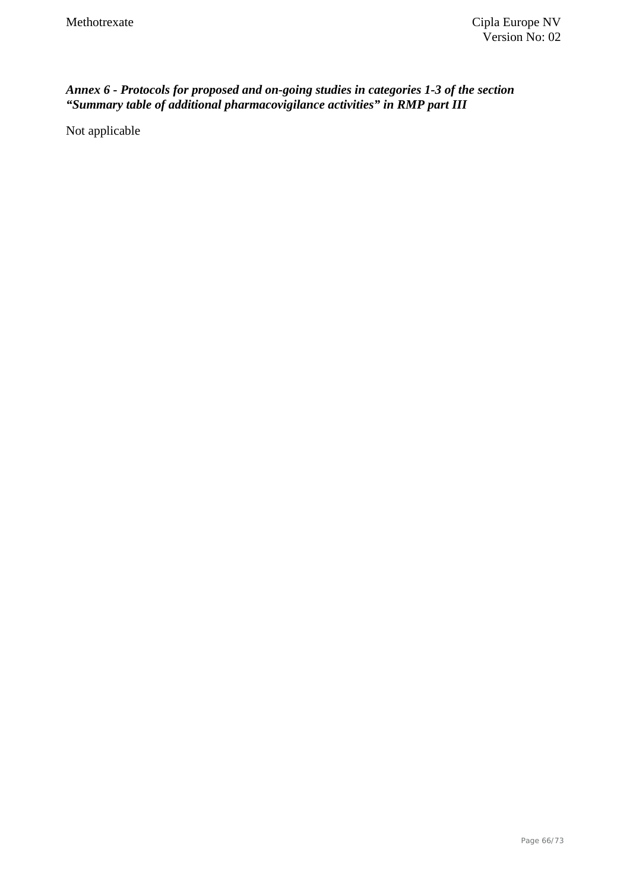### *Annex 6 - Protocols for proposed and on-going studies in categories 1-3 of the section "Summary table of additional pharmacovigilance activities" in RMP part III*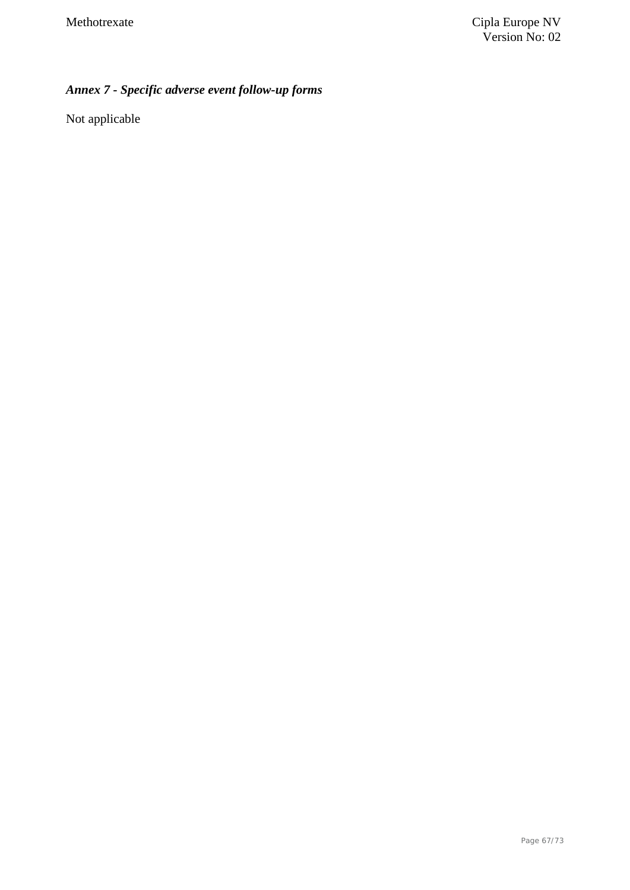# *Annex 7 - Specific adverse event follow-up forms*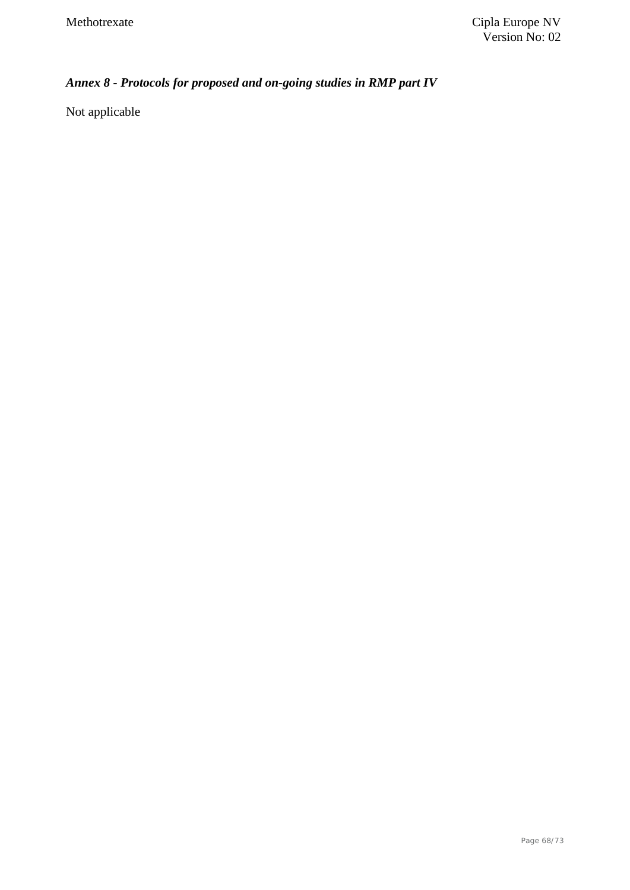# *Annex 8 - Protocols for proposed and on-going studies in RMP part IV*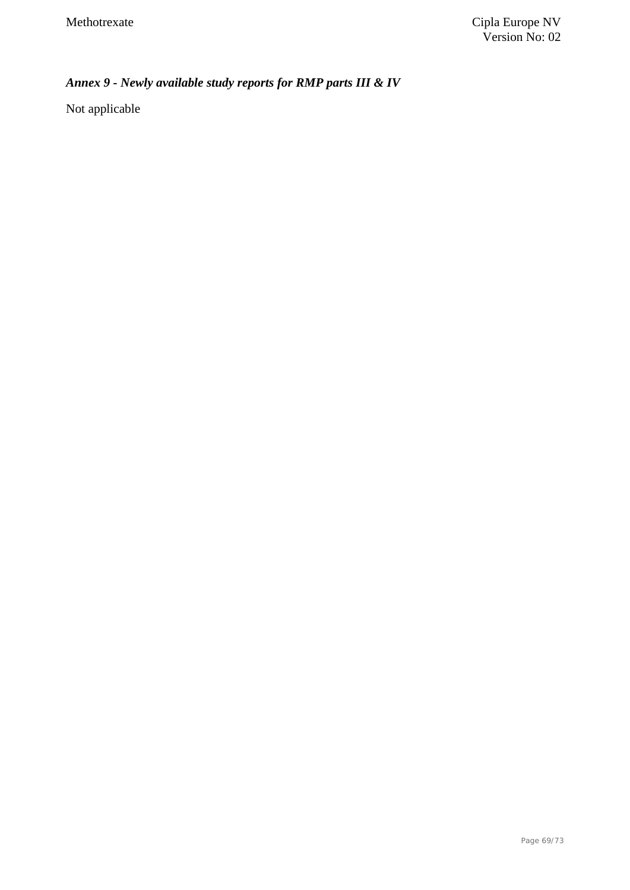# *Annex 9 - Newly available study reports for RMP parts III & IV*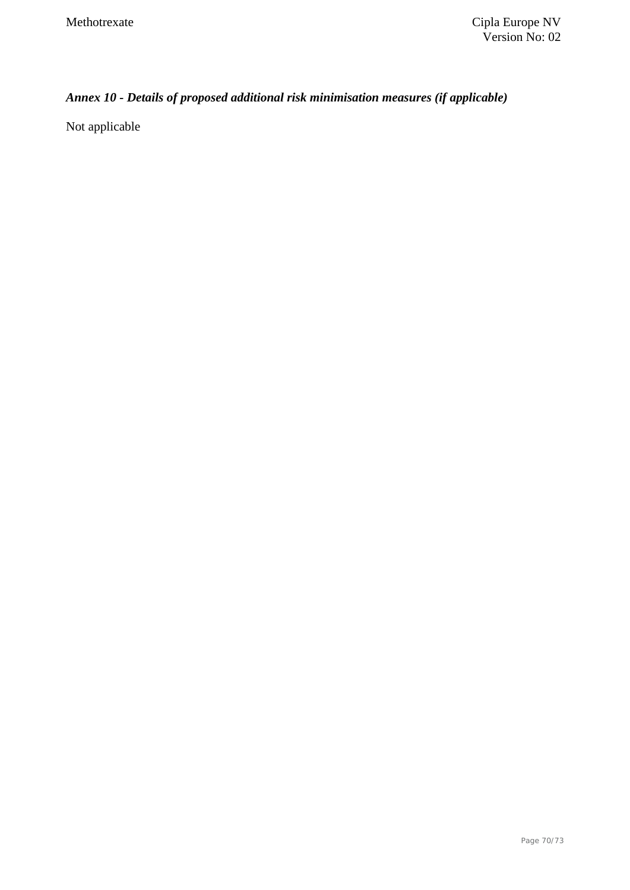# *Annex 10 - Details of proposed additional risk minimisation measures (if applicable)*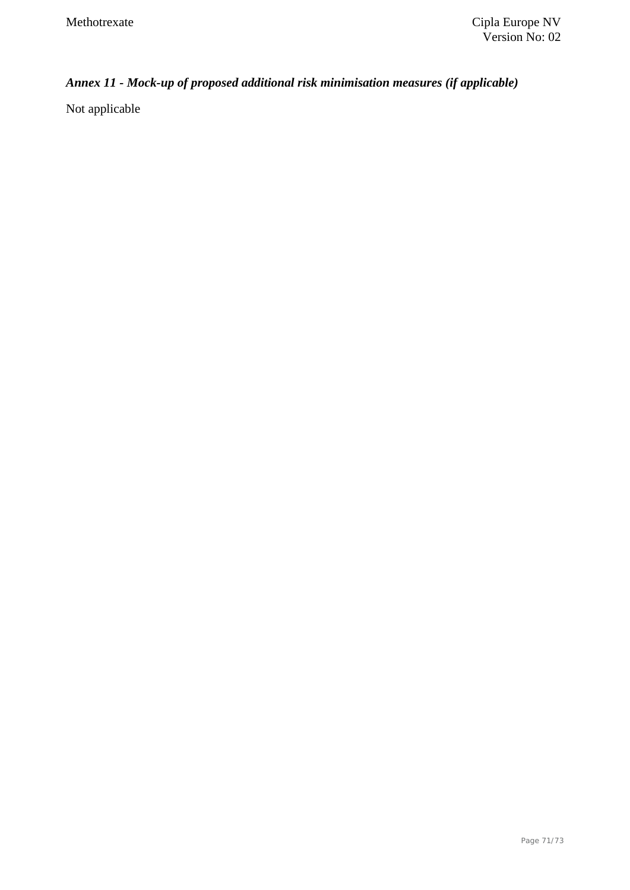# *Annex 11 - Mock-up of proposed additional risk minimisation measures (if applicable)*